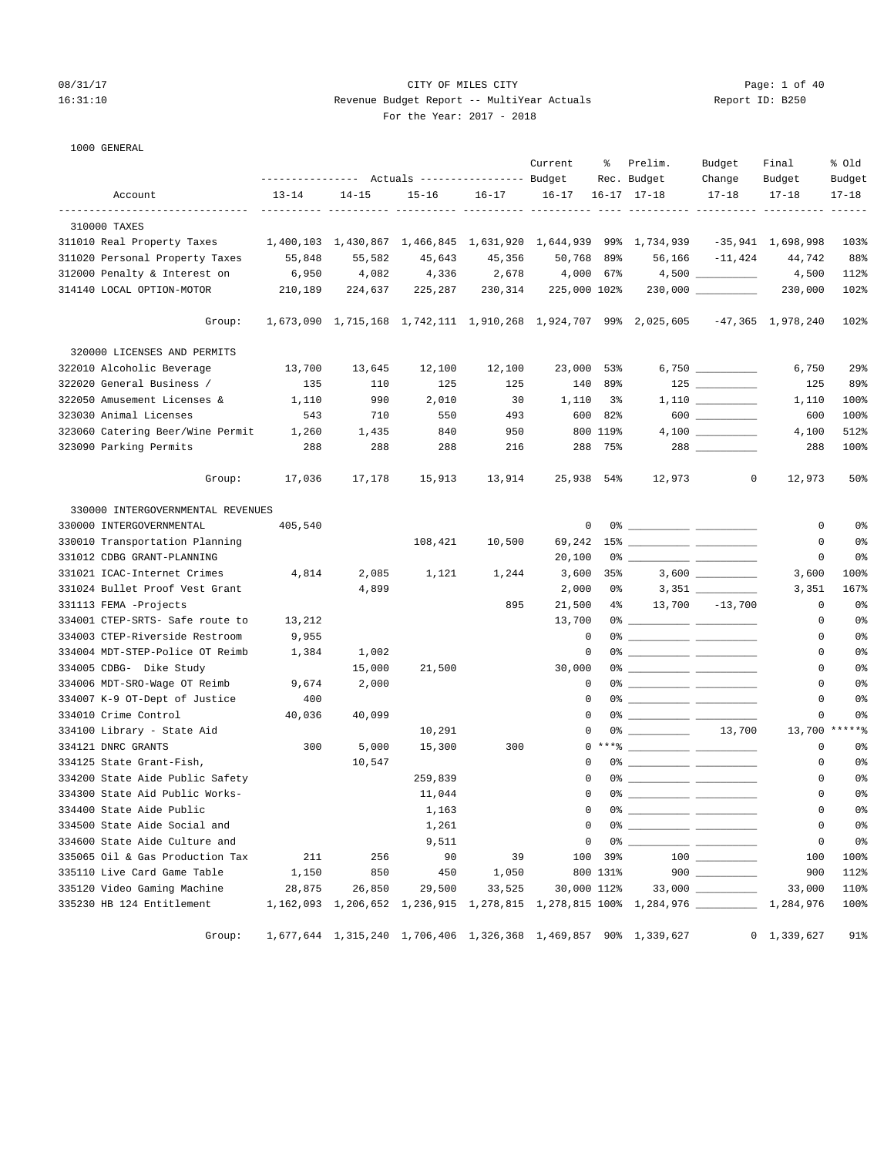## 08/31/17 Page: 1 of 40 16:31:10 Revenue Budget Report -- MultiYear Actuals Report ID: B250 For the Year: 2017 - 2018

1000 GENERAL

|                                   |           |                                                 |           |           | Current      | ႜ        | Prelim.                                                                           | Budget              | Final               | % old             |
|-----------------------------------|-----------|-------------------------------------------------|-----------|-----------|--------------|----------|-----------------------------------------------------------------------------------|---------------------|---------------------|-------------------|
|                                   |           | --------------- Actuals ---------------- Budget |           |           |              |          | Rec. Budget                                                                       | Change              | Budget              | Budget            |
| Account                           | $13 - 14$ | $14 - 15$                                       | $15 - 16$ | $16 - 17$ | $16 - 17$    |          | $16 - 17$ $17 - 18$                                                               | $17 - 18$           | $17 - 18$           | $17 - 18$         |
| 310000 TAXES                      |           |                                                 |           |           |              |          |                                                                                   |                     |                     |                   |
| 311010 Real Property Taxes        |           |                                                 |           |           |              |          | 1,400,103 1,430,867 1,466,845 1,631,920 1,644,939 99% 1,734,939                   |                     | -35,941 1,698,998   | 103%              |
| 311020 Personal Property Taxes    | 55,848    | 55,582                                          | 45,643    | 45,356    | 50,768 89%   |          |                                                                                   | 56,166 -11,424      | 44,742              | 88%               |
| 312000 Penalty & Interest on      | 6,950     | 4,082                                           | 4,336     | 2,678     | 4,000 67%    |          |                                                                                   | $4,500$ _________   | 4,500               | 112%              |
| 314140 LOCAL OPTION-MOTOR         | 210,189   | 224,637                                         | 225,287   | 230,314   | 225,000 102% |          |                                                                                   | $230,000$ _________ | 230,000             | 102%              |
| Group:                            |           |                                                 |           |           |              |          | 1,673,090 1,715,168 1,742,111 1,910,268 1,924,707 99% 2,025,605 -47,365 1,978,240 |                     |                     | 102%              |
| 320000 LICENSES AND PERMITS       |           |                                                 |           |           |              |          |                                                                                   |                     |                     |                   |
| 322010 Alcoholic Beverage         | 13,700    | 13,645                                          | 12,100    | 12,100    | 23,000 53%   |          |                                                                                   |                     | 6,750               | $29$ <sup>8</sup> |
| 322020 General Business /         | 135       | 110                                             | 125       | 125       |              | 140 89%  |                                                                                   |                     | 125                 | 89%               |
| 322050 Amusement Licenses &       | 1,110     | 990                                             | 2,010     | 30        | 1,110        | 3%       |                                                                                   |                     | 1,110               | 100%              |
| 323030 Animal Licenses            | 543       | 710                                             | 550       | 493       |              | 600 82%  |                                                                                   | $600$               | 600                 | 100%              |
| 323060 Catering Beer/Wine Permit  | 1,260     | 1,435                                           | 840       | 950       |              | 800 119% |                                                                                   |                     | 4,100               | 512%              |
| 323090 Parking Permits            | 288       | 288                                             | 288       | 216       |              | 288 75%  |                                                                                   |                     | 288                 | 100%              |
| Group:                            | 17,036    | 17,178                                          | 15,913    | 13,914    | 25,938 54%   |          | 12,973                                                                            | $\mathbf{0}$        | 12,973              | 50%               |
| 330000 INTERGOVERNMENTAL REVENUES |           |                                                 |           |           |              |          |                                                                                   |                     |                     |                   |
| 330000 INTERGOVERNMENTAL          | 405,540   |                                                 |           |           | 0            |          |                                                                                   |                     | 0                   | 0%                |
| 330010 Transportation Planning    |           |                                                 | 108,421   | 10,500    | 69,242       |          |                                                                                   |                     | 0                   | 0%                |
| 331012 CDBG GRANT-PLANNING        |           |                                                 |           |           | 20,100       |          |                                                                                   |                     | 0                   | 0 <sup>8</sup>    |
| 331021 ICAC-Internet Crimes       | 4,814     | 2,085                                           | 1,121     | 1,244     | 3,600        | 35%      |                                                                                   | $3,600$ _________   | 3,600               | 100%              |
| 331024 Bullet Proof Vest Grant    |           | 4,899                                           |           |           | 2,000        |          | 0 %                                                                               | $3,351$ __________  | 3,351               | 167%              |
| 331113 FEMA -Projects             |           |                                                 |           | 895       | 21,500       |          | 4% 13,700 -13,700                                                                 |                     | 0                   | 0 <sup>8</sup>    |
| 334001 CTEP-SRTS- Safe route to   | 13,212    |                                                 |           |           | 13,700       |          |                                                                                   |                     | 0                   | 0 <sup>8</sup>    |
| 334003 CTEP-Riverside Restroom    | 9,955     |                                                 |           |           | $\mathbf 0$  |          |                                                                                   |                     | 0                   | 0 <sup>8</sup>    |
| 334004 MDT-STEP-Police OT Reimb   | 1,384     | 1,002                                           |           |           | 0            |          |                                                                                   |                     | 0                   | 0%                |
| 334005 CDBG- Dike Study           |           | 15,000                                          | 21,500    |           | 30,000       |          |                                                                                   |                     | 0                   | 0%                |
| 334006 MDT-SRO-Wage OT Reimb      | 9,674     | 2,000                                           |           |           | 0            |          |                                                                                   |                     | 0                   | 0%                |
| 334007 K-9 OT-Dept of Justice     | 400       |                                                 |           |           | 0            |          |                                                                                   |                     | 0                   | 0 <sup>8</sup>    |
| 334010 Crime Control              | 40,036    | 40,099                                          |           |           | $\mathbf 0$  |          |                                                                                   |                     | 0                   | 0 <sup>°</sup>    |
| 334100 Library - State Aid        |           |                                                 | 10,291    |           | 0            |          | $0\%$ 13,700                                                                      |                     |                     | 13,700 ******     |
| 334121 DNRC GRANTS                | 300       | 5,000                                           | 15,300    | 300       |              |          | $0***$ $\frac{1}{2}$                                                              |                     | 0                   | 0%                |
| 334125 State Grant-Fish,          |           | 10,547                                          |           |           | $\Omega$     |          |                                                                                   |                     | 0                   | 0 <sup>8</sup>    |
| 334200 State Aide Public Safety   |           |                                                 | 259,839   |           | $\Omega$     |          |                                                                                   |                     | 0                   | 0 <sup>8</sup>    |
| 334300 State Aid Public Works-    |           |                                                 | 11,044    |           | 0            |          |                                                                                   |                     | 0                   | 0 <sup>°</sup>    |
| 334400 State Aide Public          |           |                                                 | 1,163     |           | 0            |          |                                                                                   |                     | 0                   | 0%                |
| 334500 State Aide Social and      |           |                                                 | 1,261     |           | 0            |          |                                                                                   |                     | 0                   | 0%                |
| 334600 State Aide Culture and     |           |                                                 | 9,511     |           | 0            |          |                                                                                   |                     | 0                   | 0%                |
| 335065 Oil & Gas Production Tax   | 211       | 256                                             | 90        | 39        |              | 100 39%  |                                                                                   |                     | 100                 | 100%              |
| 335110 Live Card Game Table       | 1,150     | 850                                             | 450       | 1,050     |              | 800 131% |                                                                                   | $900$               | 900                 | 112%              |
| 335120 Video Gaming Machine       | 28,875    | 26,850                                          | 29,500    | 33,525    | 30,000 112%  |          |                                                                                   |                     | 33,000              | 110%              |
| 335230 HB 124 Entitlement         |           |                                                 |           |           |              |          | 1, 162, 093 1, 206, 652 1, 236, 915 1, 278, 815 1, 278, 815 100% 1, 284, 976      |                     | 1,284,976           | 100%              |
| Group:                            |           |                                                 |           |           |              |          | 1,677,644 1,315,240 1,706,406 1,326,368 1,469,857 90% 1,339,627                   |                     | $0 \quad 1,339,627$ | 91%               |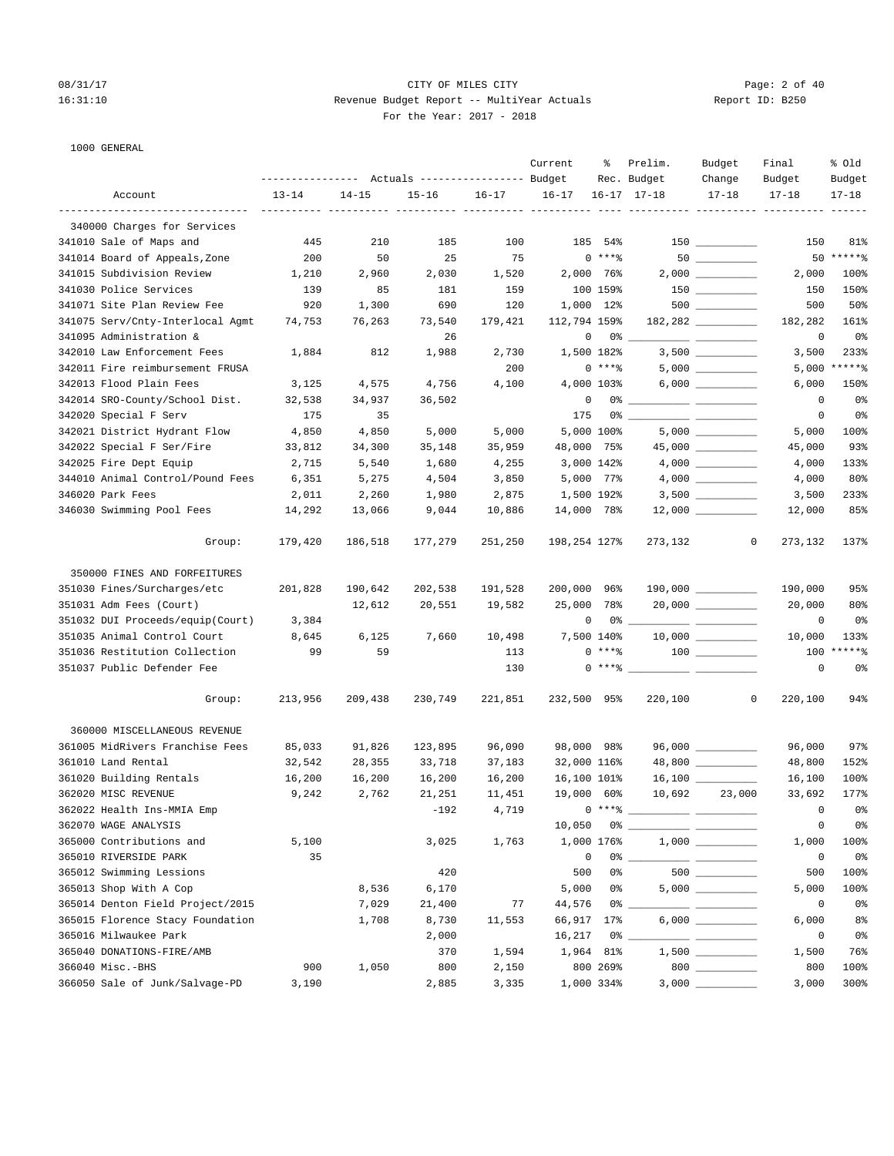## 08/31/17 Page: 2 of 40 16:31:10 Revenue Budget Report -- MultiYear Actuals Report ID: B250 For the Year: 2017 - 2018

1000 GENERAL

|                                  |           |                                                 |           |           | Current      | ႜ          | Prelim.                                                                                                                                                                                                                                                                                                                                             | Budget              | Final                           | % old          |
|----------------------------------|-----------|-------------------------------------------------|-----------|-----------|--------------|------------|-----------------------------------------------------------------------------------------------------------------------------------------------------------------------------------------------------------------------------------------------------------------------------------------------------------------------------------------------------|---------------------|---------------------------------|----------------|
|                                  |           | --------------- Actuals ---------------- Budget |           |           |              |            | Rec. Budget                                                                                                                                                                                                                                                                                                                                         | Change              | Budget                          | Budget         |
| Account                          | $13 - 14$ | $14 - 15$                                       | $15 - 16$ | $16 - 17$ | $16 - 17$    |            | $16 - 17$ $17 - 18$                                                                                                                                                                                                                                                                                                                                 | $17 - 18$           | $17 - 18$                       | $17 - 18$      |
| 340000 Charges for Services      |           |                                                 |           |           |              |            |                                                                                                                                                                                                                                                                                                                                                     |                     | ---------- ---------- --------- |                |
| 341010 Sale of Maps and          | 445       | 210                                             | 185       | 100       |              | 185 54%    |                                                                                                                                                                                                                                                                                                                                                     |                     | 150                             | 81%            |
| 341014 Board of Appeals, Zone    | 200       | 50                                              | 25        | 75        |              | $0***$     |                                                                                                                                                                                                                                                                                                                                                     |                     |                                 | 50 ******      |
| 341015 Subdivision Review        | 1,210     | 2,960                                           | 2,030     | 1,520     |              | 2,000 76%  |                                                                                                                                                                                                                                                                                                                                                     |                     | 2,000                           | 100%           |
| 341030 Police Services           | 139       | 85                                              | 181       | 159       |              | 100 159%   |                                                                                                                                                                                                                                                                                                                                                     | $150$ _________     | 150                             | 150%           |
| 341071 Site Plan Review Fee      | 920       | 1,300                                           | 690       | 120       | 1,000 12%    |            |                                                                                                                                                                                                                                                                                                                                                     |                     | 500                             | 50%            |
| 341075 Serv/Cnty-Interlocal Agmt | 74,753    | 76,263                                          | 73,540    | 179,421   | 112,794 159% |            |                                                                                                                                                                                                                                                                                                                                                     | 182,282             | 182,282                         | 161%           |
| 341095 Administration &          |           |                                                 | 26        |           | 0            |            |                                                                                                                                                                                                                                                                                                                                                     |                     | 0                               | 0%             |
| 342010 Law Enforcement Fees      | 1,884     | 812                                             | 1,988     | 2,730     | 1,500 182%   |            |                                                                                                                                                                                                                                                                                                                                                     |                     | 3,500                           | 233%           |
| 342011 Fire reimbursement FRUSA  |           |                                                 |           | 200       |              | $0***$ $*$ |                                                                                                                                                                                                                                                                                                                                                     |                     |                                 | $5,000$ *****% |
| 342013 Flood Plain Fees          | 3,125     | 4,575                                           | 4,756     | 4,100     |              | 4,000 103% |                                                                                                                                                                                                                                                                                                                                                     |                     | 6,000                           | 150%           |
| 342014 SRO-County/School Dist.   | 32,538    | 34,937                                          | 36,502    |           | 0            |            |                                                                                                                                                                                                                                                                                                                                                     |                     | 0                               | 0%             |
| 342020 Special F Serv            | 175       | 35                                              |           |           | 175          |            |                                                                                                                                                                                                                                                                                                                                                     |                     | 0                               | 0%             |
| 342021 District Hydrant Flow     | 4,850     | 4,850                                           | 5,000     | 5,000     |              | 5,000 100% |                                                                                                                                                                                                                                                                                                                                                     |                     | 5,000                           | 100%           |
| 342022 Special F Ser/Fire        | 33,812    | 34,300                                          | 35,148    | 35,959    | 48,000 75%   |            |                                                                                                                                                                                                                                                                                                                                                     |                     | 45,000                          | 93%            |
| 342025 Fire Dept Equip           | 2,715     | 5,540                                           | 1,680     | 4,255     | 3,000 142%   |            |                                                                                                                                                                                                                                                                                                                                                     |                     | 4,000                           | 133%           |
| 344010 Animal Control/Pound Fees | 6,351     | 5,275                                           | 4,504     | 3,850     | 5,000 77%    |            |                                                                                                                                                                                                                                                                                                                                                     |                     | 4,000                           | 80%            |
| 346020 Park Fees                 | 2,011     | 2,260                                           | 1,980     | 2,875     | 1,500 192%   |            |                                                                                                                                                                                                                                                                                                                                                     |                     | 3,500                           | 233%           |
| 346030 Swimming Pool Fees        | 14,292    | 13,066                                          | 9,044     | 10,886    | 14,000 78%   |            |                                                                                                                                                                                                                                                                                                                                                     | $12,000$ _________  | 12,000                          | 85%            |
| Group:                           | 179,420   | 186,518                                         | 177,279   | 251,250   | 198,254 127% |            | 273,132                                                                                                                                                                                                                                                                                                                                             | $\overline{0}$      | 273,132                         | 137%           |
| 350000 FINES AND FORFEITURES     |           |                                                 |           |           |              |            |                                                                                                                                                                                                                                                                                                                                                     |                     |                                 |                |
| 351030 Fines/Surcharges/etc      | 201,828   | 190,642                                         | 202,538   | 191,528   | 200,000 96%  |            |                                                                                                                                                                                                                                                                                                                                                     |                     | 190,000                         | 95%            |
| 351031 Adm Fees (Court)          |           | 12,612                                          | 20,551    | 19,582    | 25,000 78%   |            |                                                                                                                                                                                                                                                                                                                                                     | $20,000$ _________  | 20,000                          | 80%            |
| 351032 DUI Proceeds/equip(Court) | 3,384     |                                                 |           |           | 0            |            |                                                                                                                                                                                                                                                                                                                                                     |                     | 0                               | 0 <sup>°</sup> |
| 351035 Animal Control Court      | 8,645     | 6,125                                           | 7,660     | 10,498    | 7,500 140%   |            |                                                                                                                                                                                                                                                                                                                                                     |                     | 10,000                          | 133%           |
| 351036 Restitution Collection    | 99        | 59                                              |           | 113       |              |            |                                                                                                                                                                                                                                                                                                                                                     |                     | 100                             | $*****$        |
| 351037 Public Defender Fee       |           |                                                 |           | 130       |              |            | $\begin{picture}(150,10) \put(0,0){\line(1,0){10}} \put(15,0){\line(1,0){10}} \put(15,0){\line(1,0){10}} \put(15,0){\line(1,0){10}} \put(15,0){\line(1,0){10}} \put(15,0){\line(1,0){10}} \put(15,0){\line(1,0){10}} \put(15,0){\line(1,0){10}} \put(15,0){\line(1,0){10}} \put(15,0){\line(1,0){10}} \put(15,0){\line(1,0){10}} \put(15,0){\line($ |                     | 0                               | 0 <sup>o</sup> |
| Group:                           | 213,956   | 209,438                                         | 230,749   | 221,851   | 232,500 95%  |            | 220,100                                                                                                                                                                                                                                                                                                                                             | $\overline{0}$      | 220,100                         | 94%            |
| 360000 MISCELLANEOUS REVENUE     |           |                                                 |           |           |              |            |                                                                                                                                                                                                                                                                                                                                                     |                     |                                 |                |
| 361005 MidRivers Franchise Fees  | 85,033    | 91,826                                          | 123,895   | 96,090    | 98,000 98%   |            |                                                                                                                                                                                                                                                                                                                                                     | $96,000$ __________ | 96,000                          | 97%            |
| 361010 Land Rental               | 32,542    | 28,355                                          | 33,718    | 37,183    | 32,000 116%  |            |                                                                                                                                                                                                                                                                                                                                                     | 48,800 _________    | 48,800                          | 152%           |
| 361020 Building Rentals          | 16,200    | 16,200                                          | 16,200    | 16,200    | 16,100 101%  |            |                                                                                                                                                                                                                                                                                                                                                     |                     | 16,100                          | 100%           |
| 362020 MISC REVENUE              | 9,242     | 2,762                                           | 21,251    | 11,451    | 19,000 60%   |            | 10,692                                                                                                                                                                                                                                                                                                                                              | 23,000              | 33,692                          | 177%           |
| 362022 Health Ins-MMIA Emp       |           |                                                 | $-192$    | 4,719     |              | $0***8$    |                                                                                                                                                                                                                                                                                                                                                     |                     | 0                               | 0 <sup>o</sup> |
| 362070 WAGE ANALYSIS             |           |                                                 |           |           | 10,050       |            | $0\%$ __                                                                                                                                                                                                                                                                                                                                            |                     | 0                               | 0%             |
| 365000 Contributions and         | 5,100     |                                                 | 3,025     | 1,763     | 1,000 176%   |            |                                                                                                                                                                                                                                                                                                                                                     |                     | 1,000                           | 100%           |
| 365010 RIVERSIDE PARK            | 35        |                                                 |           |           | $\mathsf 0$  | 0%         |                                                                                                                                                                                                                                                                                                                                                     |                     | 0                               | 0%             |
| 365012 Swimming Lessions         |           |                                                 | 420       |           | 500          | 0%         |                                                                                                                                                                                                                                                                                                                                                     |                     | 500                             | 100%           |
| 365013 Shop With A Cop           |           | 8,536                                           | 6,170     |           | 5,000        | 0%         |                                                                                                                                                                                                                                                                                                                                                     |                     | 5,000                           | 100%           |
| 365014 Denton Field Project/2015 |           | 7,029                                           | 21,400    | 77        | 44,576       | 0%         |                                                                                                                                                                                                                                                                                                                                                     |                     | 0                               | 0%             |
| 365015 Florence Stacy Foundation |           | 1,708                                           | 8,730     | 11,553    | 66,917       | 17%        |                                                                                                                                                                                                                                                                                                                                                     |                     | 6,000                           | 8 <sup>°</sup> |
| 365016 Milwaukee Park            |           |                                                 | 2,000     |           | 16,217       | 0%         |                                                                                                                                                                                                                                                                                                                                                     |                     | 0                               | 0 <sup>°</sup> |
| 365040 DONATIONS-FIRE/AMB        |           |                                                 | 370       | 1,594     | 1,964        | 81%        |                                                                                                                                                                                                                                                                                                                                                     |                     | 1,500                           | 76%            |
| 366040 Misc.-BHS                 | 900       | 1,050                                           | 800       | 2,150     |              | 800 269%   |                                                                                                                                                                                                                                                                                                                                                     | $800$               | 800                             | 100%           |
| 366050 Sale of Junk/Salvage-PD   | 3,190     |                                                 | 2,885     | 3,335     | 1,000 334%   |            |                                                                                                                                                                                                                                                                                                                                                     |                     | 3,000                           | 300%           |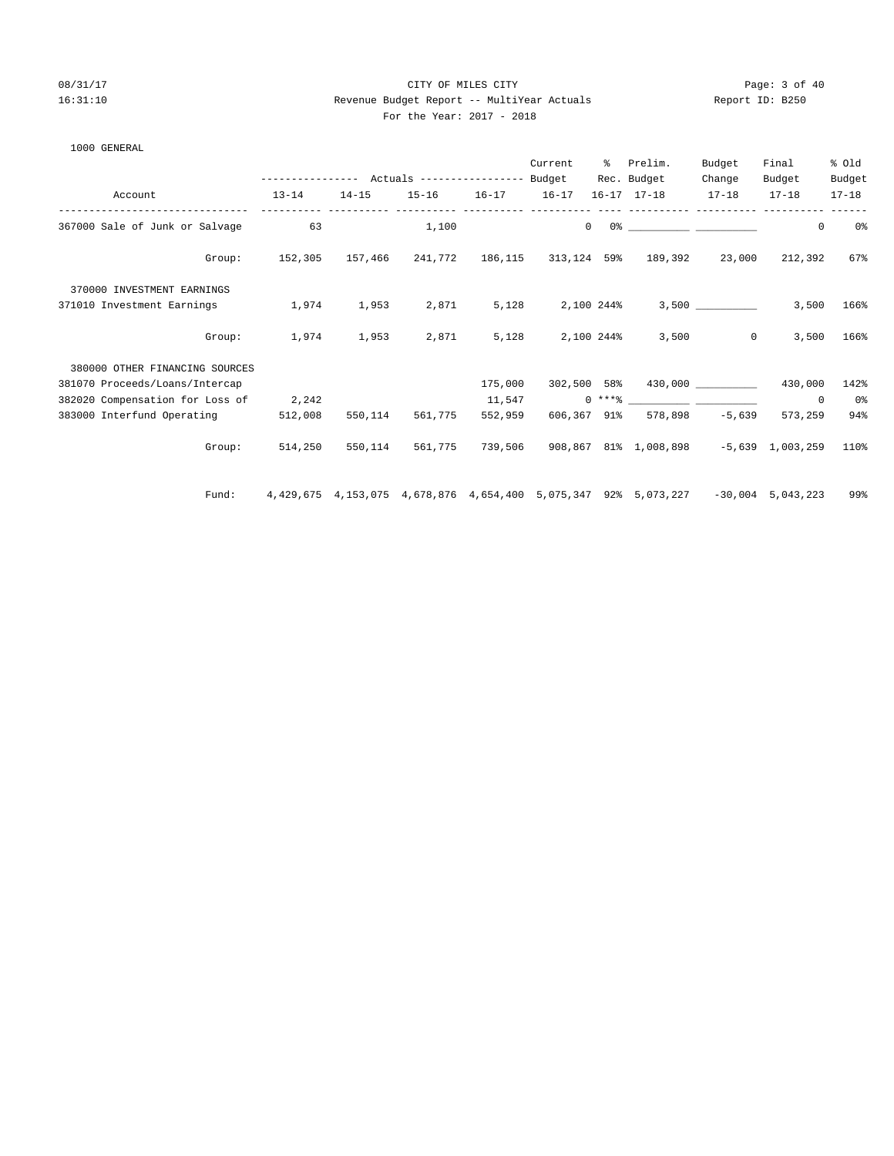#### 08/31/17 Page: 3 of 40 16:31:10 Revenue Budget Report -- MultiYear Actuals Report ID: B250 For the Year: 2017 - 2018

|  | 1000 GENERAL |
|--|--------------|
|--|--------------|

|                                 |                                                 |           |           |           | Current    | ႜႜ             | Prelim.                                                                                             | Budget       | Final       | % old     |
|---------------------------------|-------------------------------------------------|-----------|-----------|-----------|------------|----------------|-----------------------------------------------------------------------------------------------------|--------------|-------------|-----------|
|                                 | --------------- Actuals ---------------- Budget |           |           |           |            |                | Rec. Budget                                                                                         | Change       | Budget      | Budget    |
| Account                         | $13 - 14$                                       | $14 - 15$ | $15 - 16$ | $16 - 17$ | $16 - 17$  |                | $16 - 17$ $17 - 18$                                                                                 | $17 - 18$    | $17 - 18$   | $17 - 18$ |
| 367000 Sale of Junk or Salvage  | 63                                              |           | 1,100     |           |            | $\overline{0}$ | 0 % 200 % 200 % 200 % 200 % 200 % 200 % 200 % 200 % 200 % 200 % 200 % 200 % 200 % 200 % 200 % 200 % |              | 0           | 0%        |
| Group:                          | 152,305                                         |           |           |           |            |                | 157,466 241,772 186,115 313,124 59% 189,392 23,000                                                  |              | 212,392     | 67%       |
| 370000 INVESTMENT EARNINGS      |                                                 |           |           |           |            |                |                                                                                                     |              |             |           |
| 371010 Investment Earnings      | 1,974                                           | 1,953     | 2,871     | 5,128     | 2,100 244% |                |                                                                                                     |              | 3,500       | 166%      |
| Group:                          | 1,974                                           | 1,953     | 2,871     | 5,128     |            | 2,100 244%     | 3,500                                                                                               | $\mathbf{0}$ | 3,500       | 166%      |
| 380000 OTHER FINANCING SOURCES  |                                                 |           |           |           |            |                |                                                                                                     |              |             |           |
| 381070 Proceeds/Loans/Intercap  |                                                 |           |           | 175,000   |            |                | 302,500 58% 430,000 _________                                                                       |              | 430,000     | 142%      |
| 382020 Compensation for Loss of | 2,242                                           |           |           | 11,547    |            |                | $0 \times + *$ $*$                                                                                  |              | $\mathbf 0$ | 0%        |
| 383000 Interfund Operating      | 512,008                                         | 550,114   | 561,775   | 552,959   |            |                | 606,367 91% 578,898 -5,639                                                                          |              | 573,259     | 94%       |
| Group:                          | 514,250                                         | 550,114   | 561,775   | 739,506   |            |                | 908,867 81% 1,008,898 -5,639 1,003,259                                                              |              |             | 110%      |
| Fund:                           |                                                 |           |           |           |            |                | 4,429,675 4,153,075 4,678,876 4,654,400 5,075,347 92% 5,073,227 -30,004 5,043,223                   |              |             | 99%       |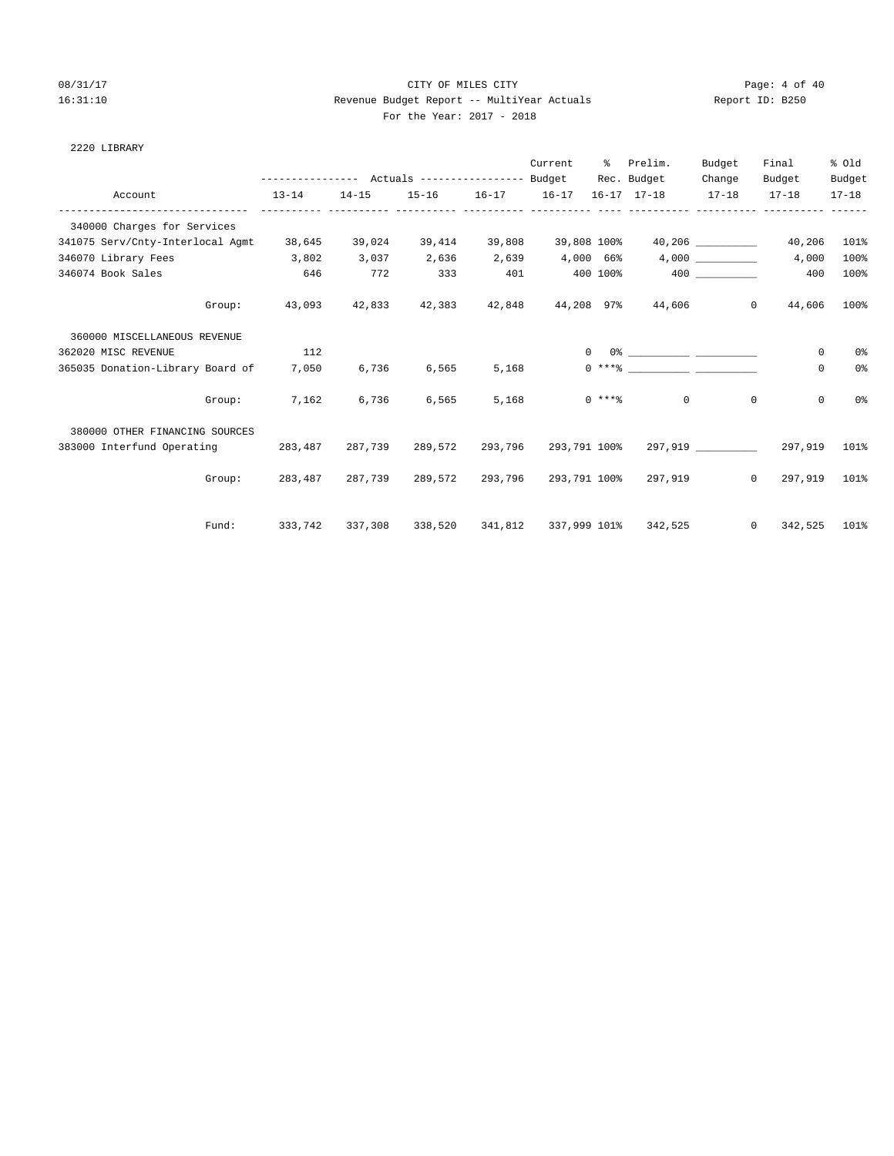## 08/31/17 Page: 4 of 40 16:31:10 Revenue Budget Report -- MultiYear Actuals Report ID: B250 For the Year: 2017 - 2018

#### 2220 LIBRARY

|                                        |           |           |             |                                             | Current   | ႜၟ             | Prelim.                                                        | Budget   | Final                          | % Old     |
|----------------------------------------|-----------|-----------|-------------|---------------------------------------------|-----------|----------------|----------------------------------------------------------------|----------|--------------------------------|-----------|
|                                        |           |           |             |                                             |           |                | Rec. Budget                                                    | Change   | Budget                         | Budget    |
| Account                                | $13 - 14$ | $14 - 15$ | ----------- | 15-16 16-17 16-17<br>----------- ---------- |           |                | 16-17 17-18 17-18 17-18                                        |          |                                | $17 - 18$ |
| 340000 Charges for Services            |           |           |             |                                             |           |                |                                                                |          |                                |           |
| 341075 Serv/Cnty-Interlocal Agmt       | 38,645    | 39,024    | 39,414      |                                             |           |                | 39,808 39,808 100% 40,206                                      |          | 40,206                         | 101%      |
| 346070 Library Fees                    | 3,802     | 3,037     | 2,636       | 2,639                                       | 4,000 66% |                |                                                                | 4,000    | 4,000                          | 100%      |
| 346074 Book Sales                      | 646       | 772       | 333         | 401                                         |           |                | 400 100% 400                                                   |          | 400                            | 100%      |
| Group:                                 |           |           |             |                                             |           |                | $43,093$ $42,833$ $42,383$ $42,848$ $44,208$ $97\%$ $44,606$ 0 |          | 44,606                         | 100%      |
| 360000 MISCELLANEOUS REVENUE           |           |           |             |                                             |           |                |                                                                |          |                                |           |
| 362020 MISC REVENUE                    | 112       |           |             |                                             |           | $\overline{0}$ |                                                                |          | 0                              | 0%        |
| 365035 Donation-Library Board of 7,050 |           | 6,736     | 6,565       | 5,168                                       |           |                |                                                                |          | $\mathbf 0$                    | 0%        |
| Group:                                 | 7,162     | 6,736     | 6,565       |                                             | 5,168     |                | $0 \leftarrow \ast \ast \ast$ 0                                | $\Omega$ | 0                              | 0 %       |
| 380000 OTHER FINANCING SOURCES         |           |           |             |                                             |           |                |                                                                |          |                                |           |
| 383000 Interfund Operating 283,487     |           |           |             |                                             |           |                | 287,739 289,572 293,796 293,791 100\$ 297,919 287,739 297,919  |          |                                | 101%      |
| Group:                                 |           |           |             |                                             |           |                | 283,487 287,739 289,572 293,796 293,791 100% 297,919     0     |          | 297,919 101%                   |           |
| Fund:                                  | 333,742   |           |             |                                             |           |                | 337,308 338,520 341,812 337,999 101% 342,525                   |          | 342,525 101%<br>$\overline{0}$ |           |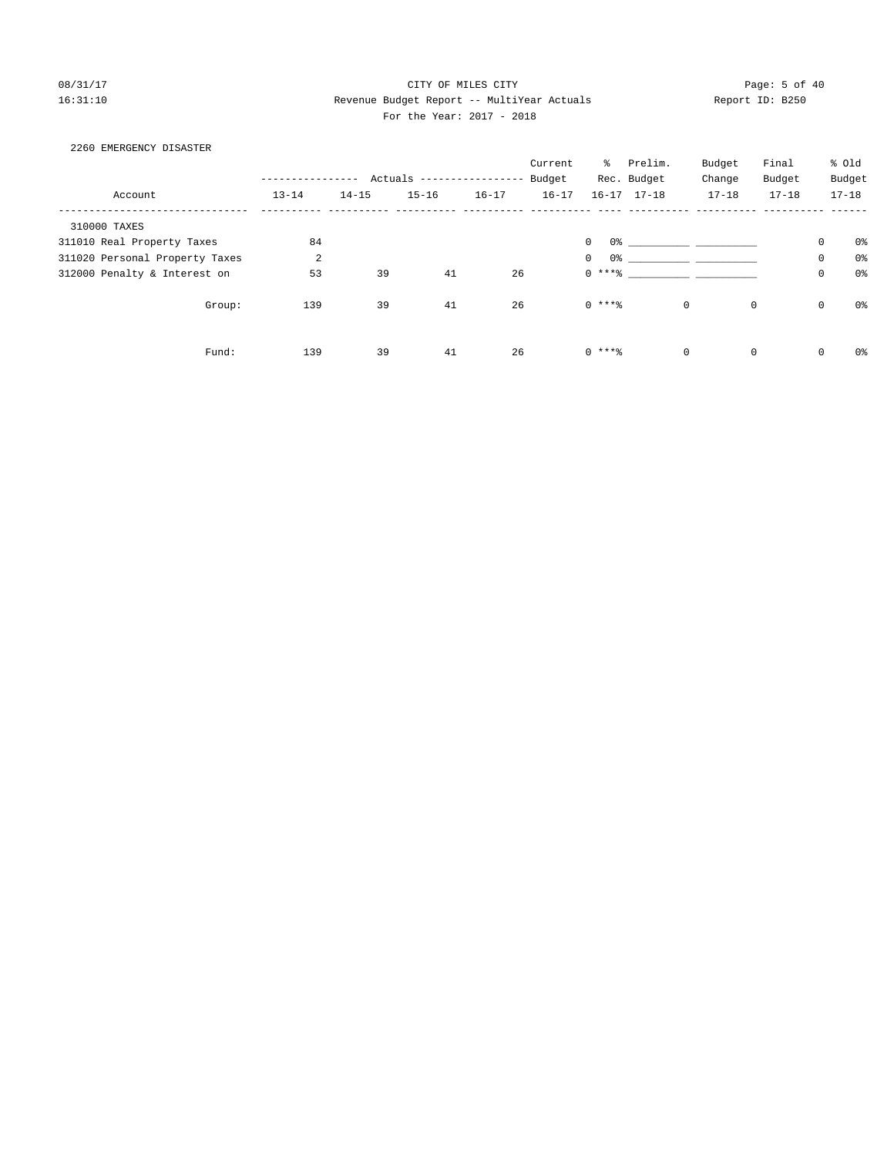## 08/31/17 Page: 5 of 40 16:31:10 Revenue Budget Report -- MultiYear Actuals Report ID: B250 For the Year: 2017 - 2018

| 2260 EMERGENCY DISASTER        |                |           |                         |           |           |             |                                        |           |             |                     |                |
|--------------------------------|----------------|-----------|-------------------------|-----------|-----------|-------------|----------------------------------------|-----------|-------------|---------------------|----------------|
|                                |                |           |                         |           | Current   |             | % Prelim.                              | Budget    | Final       |                     | % Old          |
|                                |                |           | Actuals --------------- |           | Budget    |             | Rec. Budget                            | Change    | Budget      |                     | Budget         |
| Account                        | $13 - 14$      | $14 - 15$ | $15 - 16$               | $16 - 17$ | $16 - 17$ |             | $16 - 17$ $17 - 18$                    | $17 - 18$ | $17 - 18$   |                     | $17 - 18$      |
| 310000 TAXES                   |                |           |                         |           |           |             |                                        |           |             |                     |                |
| 311010 Real Property Taxes     | 84             |           |                         |           |           | $\mathbf 0$ |                                        |           |             | $\mathsf{O}\xspace$ | 0%             |
| 311020 Personal Property Taxes | $\overline{a}$ |           |                         |           |           | $\mathbf 0$ | $0$ 왕 아이는 아이들은 아이들의 사람들은 아이들이 아이들이 있다. |           |             | 0                   | 0 <sup>°</sup> |
| 312000 Penalty & Interest on   | 53             | 39        | 41                      | 26        |           | $0$ ****    |                                        |           |             | $\mathsf{O}$        | 0 <sup>°</sup> |
| Group:                         | 139            | 39        | 41                      | 26        |           | $0***8$     | $\mathbf 0$                            |           | $\mathbf 0$ | $\mathsf 0$         | 0%             |
| Fund:                          | 139            | 39        | 41                      | 26        |           | $0$ ****    | $\mathbf 0$                            |           | $\mathbf 0$ | 0                   | 0%             |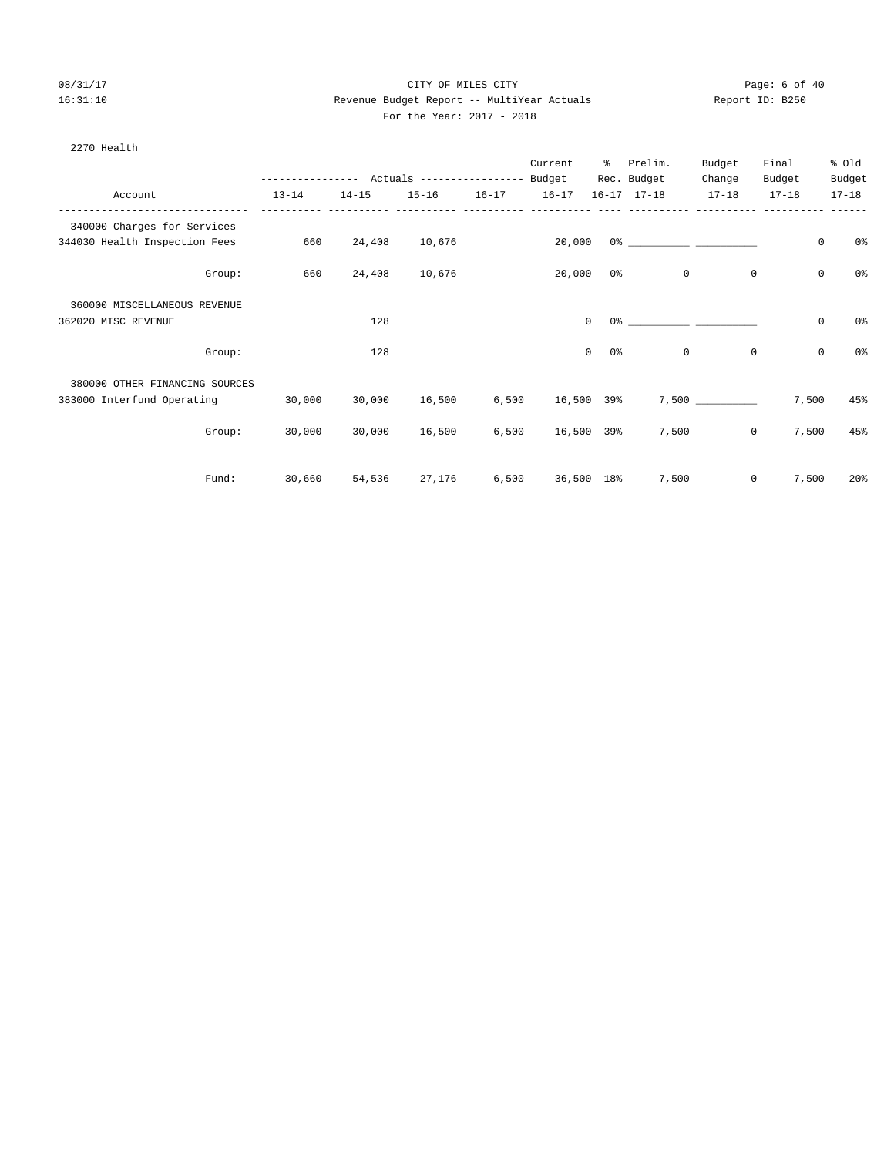## 08/31/17 Page: 6 of 40 16:31:10 Revenue Budget Report -- MultiYear Actuals Report ID: B250 For the Year: 2017 - 2018

| 2270 Health                    |        |           |           |                            |           |           |                    |                     |           |              |             |                 |
|--------------------------------|--------|-----------|-----------|----------------------------|-----------|-----------|--------------------|---------------------|-----------|--------------|-------------|-----------------|
|                                |        |           |           |                            |           | Current   | ိ                  | Prelim.             | Budget    | Final        |             | % old           |
|                                |        |           |           | Actuals ------------------ |           | Budget    |                    | Rec. Budget         | Change    | Budget       |             | Budget          |
| Account                        |        | $13 - 14$ | $14 - 15$ | $15 - 16$                  | $16 - 17$ | $16 - 17$ |                    | $16 - 17$ $17 - 18$ | $17 - 18$ | $17 - 18$    |             | $17 - 18$       |
| 340000 Charges for Services    |        |           |           |                            |           |           |                    |                     |           |              |             |                 |
| 344030 Health Inspection Fees  |        | 660       | 24,408    | 10,676                     |           | 20,000    |                    |                     |           |              | $\mathsf 0$ | 0 <sub>8</sub>  |
|                                | Group: | 660       | 24,408    | 10,676                     |           | 20,000    | 0%                 | $\mathbf{0}$        |           | $\mathbf{0}$ | $\mathbf 0$ | 0 <sub>8</sub>  |
| 360000 MISCELLANEOUS REVENUE   |        |           |           |                            |           |           |                    |                     |           |              |             |                 |
| 362020 MISC REVENUE            |        |           | 128       |                            |           |           | $\Omega$           | $0$ %               |           |              | 0           | 0 <sub>8</sub>  |
|                                | Group: |           | 128       |                            |           |           | $\mathbf 0$<br>0 응 | $\mathbb O$         |           | $\mathbb O$  | $\mathsf 0$ | 0 <sup>°</sup>  |
| 380000 OTHER FINANCING SOURCES |        |           |           |                            |           |           |                    |                     |           |              |             |                 |
| 383000 Interfund Operating     |        | 30,000    | 30,000    | 16,500                     | 6,500     | 16,500    | 39%                |                     |           |              | 7,500       | 45%             |
|                                | Group: | 30,000    | 30,000    | 16,500                     | 6,500     |           | 16,500 39%         | 7,500               |           | $\mathbf 0$  | 7,500       | 45%             |
|                                | Fund:  | 30,660    | 54,536    | 27,176                     | 6,500     |           | 36,500 18%         | 7,500               |           | 0            | 7,500       | 20 <sup>o</sup> |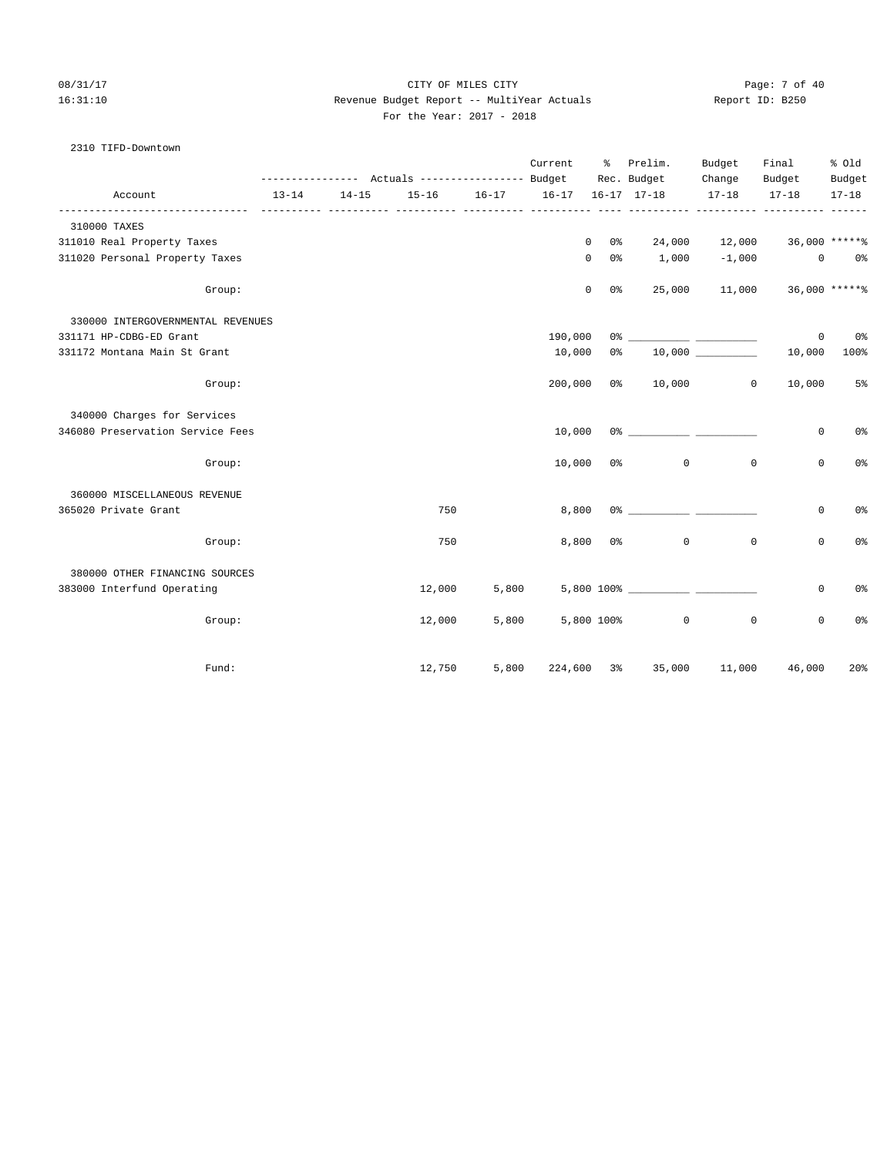## 08/31/17 Page: 7 of 40 16:31:10 Revenue Budget Report -- MultiYear Actuals Report ID: B250 For the Year: 2017 - 2018

#### 2310 TIFD-Downtown

|                                   |           |           |                                                 |       | Current | ႜႜ                 | Prelim.                                    | Budget        | Final                       | % Old             |
|-----------------------------------|-----------|-----------|-------------------------------------------------|-------|---------|--------------------|--------------------------------------------|---------------|-----------------------------|-------------------|
|                                   |           |           | --------------- Actuals ---------------- Budget |       |         |                    | Rec. Budget                                | Change        | Budget                      | Budget            |
| Account                           | $13 - 14$ | $14 - 15$ | 15-16 16-17 16-17                               |       |         |                    | $16 - 17$ $17 - 18$                        | $17 - 18$     | $17 - 18$                   | $17 - 18$         |
| 310000 TAXES                      |           |           |                                                 |       |         |                    |                                            |               |                             |                   |
| 311010 Real Property Taxes        |           |           |                                                 |       |         | $\mathbf{0}$<br>0% |                                            | 24,000 12,000 |                             | $36,000$ ***** \$ |
| 311020 Personal Property Taxes    |           |           |                                                 |       |         | $\mathbf 0$<br>0 % | $1,000 -1,000$                             |               |                             | $0$ $0$ %         |
| Group:                            |           |           |                                                 |       |         | $\mathbf 0$<br>0 % |                                            |               | 25,000 11,000 36,000 ****** |                   |
| 330000 INTERGOVERNMENTAL REVENUES |           |           |                                                 |       |         |                    |                                            |               |                             |                   |
| 331171 HP-CDBG-ED Grant           |           |           |                                                 |       | 190,000 |                    |                                            |               | $\mathbf 0$                 | $0\,$             |
| 331172 Montana Main St Grant      |           |           |                                                 |       | 10,000  | 0 %                | 10,000 000                                 |               | 10,000                      | 100%              |
| Group:                            |           |           |                                                 |       | 200,000 |                    | $0\%$ 10,000                               | $\circ$       | 10,000                      | 5 <sup>°</sup>    |
| 340000 Charges for Services       |           |           |                                                 |       |         |                    |                                            |               |                             |                   |
| 346080 Preservation Service Fees  |           |           |                                                 |       | 10,000  |                    |                                            |               | 0                           | 0 <sup>o</sup>    |
| Group:                            |           |           |                                                 |       | 10,000  |                    | $0$ 응<br>$\circ$                           | $\mathbb O$   | 0                           | 0 <sup>o</sup>    |
| 360000 MISCELLANEOUS REVENUE      |           |           |                                                 |       |         |                    |                                            |               |                             |                   |
| 365020 Private Grant              |           |           | 750                                             |       | 8,800   |                    | $0$ % 이 아이들은 아이들은 아이들이 아이들이 아이들이 아이들이 있었다. |               | 0                           | 0%                |
| Group:                            |           |           | 750                                             |       |         | $8,800$ $0$ %      | $\mathbf 0$                                | $\mathbf 0$   | 0                           | 0%                |
| 380000 OTHER FINANCING SOURCES    |           |           |                                                 |       |         |                    |                                            |               |                             |                   |
| 383000 Interfund Operating        |           |           | 12,000                                          | 5,800 |         |                    |                                            |               | 0                           | 0%                |
| Group:                            |           |           | 12,000                                          | 5,800 |         |                    | 5,800 100%<br>$\circ$                      | $\mathbf{0}$  | $\mathbf 0$                 | 0%                |
| Fund:                             |           |           | 12,750                                          | 5,800 |         |                    | 224,600 3% 35,000                          | 11,000        | 46,000                      | 20%               |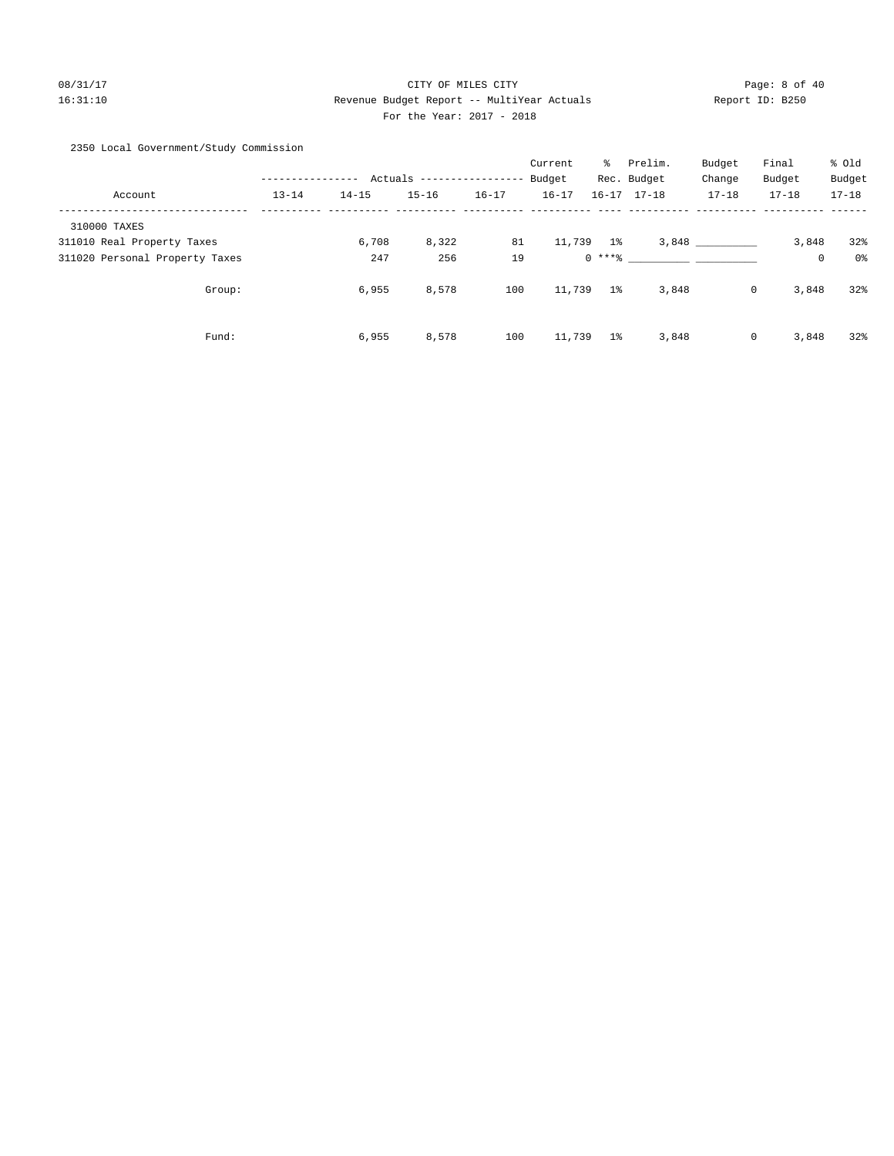# 08/31/17 Page: 8 of 40 16:31:10 Revenue Budget Report -- MultiYear Actuals Report ID: B250 For the Year: 2017 - 2018

2350 Local Government/Study Commission

|                                |           |           |           |                   | Current   | ႜႜၟ            | Prelim.             | Budget      | Final     | % Old     |
|--------------------------------|-----------|-----------|-----------|-------------------|-----------|----------------|---------------------|-------------|-----------|-----------|
|                                |           | Actuals   |           | ----------------- | Budget    |                | Rec. Budget         | Change      | Budget    | Budget    |
| Account                        | $13 - 14$ | $14 - 15$ | $15 - 16$ | $16 - 17$         | $16 - 17$ |                | $16 - 17$ $17 - 18$ | $17 - 18$   | $17 - 18$ | $17 - 18$ |
| 310000 TAXES                   |           |           |           |                   |           |                |                     |             |           |           |
| 311010 Real Property Taxes     |           | 6,708     | 8,322     | 81                | 11,739 1% |                |                     | 3,848       | 3,848     | 32%       |
| 311020 Personal Property Taxes |           | 247       | 256       | 19                |           | $0***8$        |                     |             | 0         | 0%        |
| Group:                         |           | 6,955     | 8,578     | 100               | 11,739    | 1 <sup>8</sup> | 3,848               | $\mathbf 0$ | 3,848     | 32%       |
| Fund:                          |           | 6,955     | 8,578     | 100               | 11,739    | $1\%$          | 3,848               | $\mathbf 0$ | 3,848     | 32%       |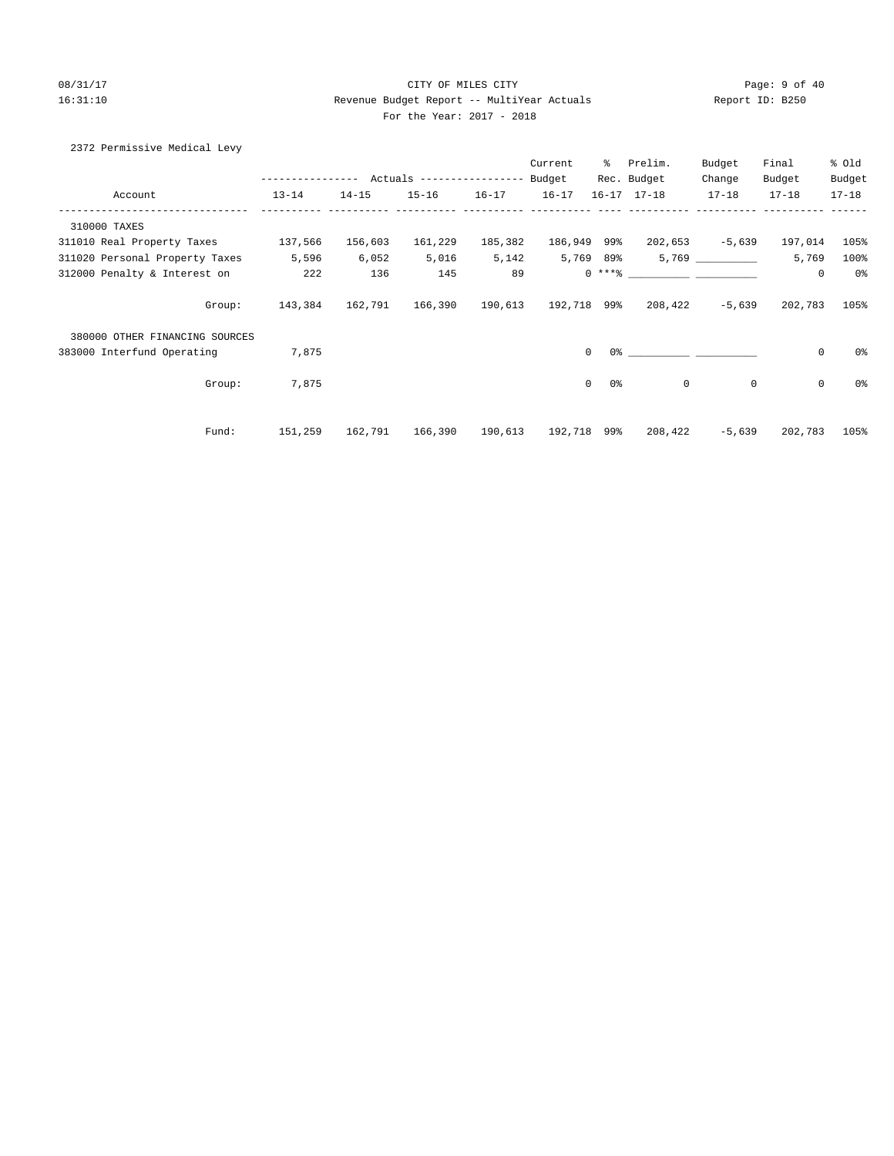#### 08/31/17 Page: 9 of 40 16:31:10 Revenue Budget Report -- MultiYear Actuals Report ID: B250 For the Year: 2017 - 2018

| 2372 Permissive Medical Levy |
|------------------------------|
|------------------------------|

|                                    |               |           |                            |           | Current             | ွေ                  | Prelim.             | Budget      | Final               | % Old     |
|------------------------------------|---------------|-----------|----------------------------|-----------|---------------------|---------------------|---------------------|-------------|---------------------|-----------|
|                                    | ------------- |           | Actuals ------------------ |           | Budget              |                     | Rec. Budget         | Change      | Budget              | Budget    |
| Account                            | $13 - 14$     | $14 - 15$ | $15 - 16$                  | $16 - 17$ | $16 - 17$           |                     | $16 - 17$ $17 - 18$ | $17 - 18$   | $17 - 18$           | $17 - 18$ |
| 310000 TAXES                       |               |           |                            |           |                     |                     |                     |             |                     |           |
| 311010 Real Property Taxes 137,566 |               | 156,603   | 161,229                    | 185,382   | 186,949 99%         |                     | 202,653             | $-5,639$    | 197,014             | 105%      |
| 311020 Personal Property Taxes     | 5,596         | 6,052     | 5,016                      | 5,142     | 5,769 89%           |                     |                     |             | 5,769               | 100%      |
| 312000 Penalty & Interest on       | 222           | 136       | 145                        | 89        |                     |                     | $0 \; * * *$ 8      |             | 0                   | 0%        |
| Group:                             | 143,384       | 162,791   | 166,390                    |           | 190,613 192,718 99% |                     | 208,422             | $-5,639$    | 202,783             | 105%      |
| 380000 OTHER FINANCING SOURCES     |               |           |                            |           |                     |                     |                     |             |                     |           |
| 383000 Interfund Operating         | 7,875         |           |                            |           |                     | $\Omega$            |                     |             | $\mathsf{O}\xspace$ | 0%        |
| Group:                             | 7,875         |           |                            |           |                     | 0 %<br>$\mathbf{0}$ | 0                   | $\mathbf 0$ | $\mathsf{O}\xspace$ | 0%        |
| Fund:                              | 151,259       | 162,791   | 166,390                    | 190,613   | 192,718 99%         |                     | 208,422             | $-5,639$    | 202,783             | 105%      |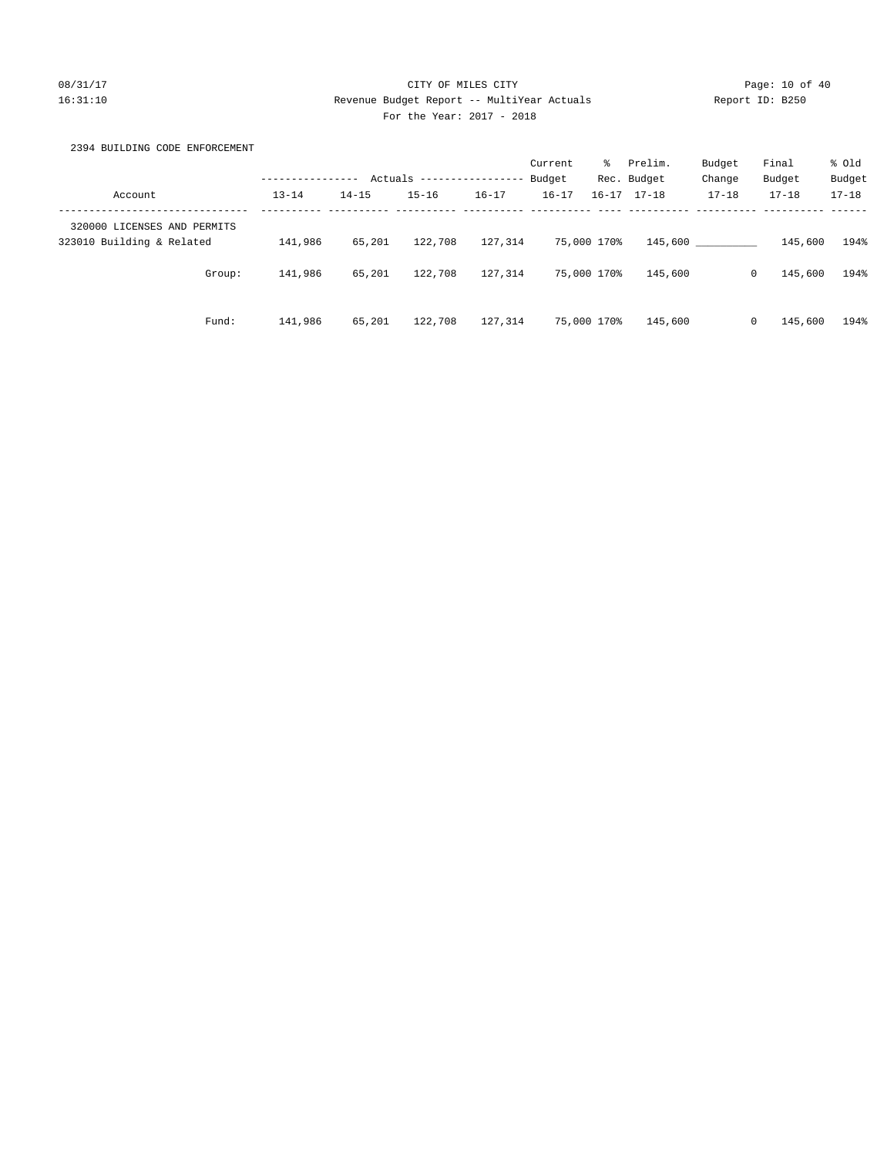# 08/31/17 Page: 10 of 40 16:31:10 Revenue Budget Report -- MultiYear Actuals Report ID: B250 For the Year: 2017 - 2018

# 2394 BUILDING CODE ENFORCEMENT

|                                                          |           |           |                           |           | Current   | ွေ          | Prelim.             | Budget    | Final                   | % old     |
|----------------------------------------------------------|-----------|-----------|---------------------------|-----------|-----------|-------------|---------------------|-----------|-------------------------|-----------|
|                                                          |           |           | Actuals ----------------- |           | Budget    |             | Rec. Budget         | Change    | Budget                  | Budget    |
| Account                                                  | $13 - 14$ | $14 - 15$ | $15 - 16$                 | $16 - 17$ | $16 - 17$ |             | $16 - 17$ $17 - 18$ | $17 - 18$ | $17 - 18$               | $17 - 18$ |
| 320000 LICENSES AND PERMITS<br>323010 Building & Related | 141,986   | 65,201    | 122,708                   | 127,314   |           | 75,000 170% | 145,600             |           | 145,600                 | 194%      |
|                                                          |           |           |                           |           |           |             |                     |           |                         |           |
| Group:                                                   | 141,986   | 65,201    | 122,708                   | 127,314   |           | 75,000 170% | 145,600             |           | 145,600<br>$\mathbf{0}$ | 194%      |
|                                                          |           |           |                           |           |           |             |                     |           |                         |           |
| Fund:                                                    | 141,986   | 65,201    | 122,708                   | 127,314   |           | 75,000 170% | 145,600             |           | 145,600<br>$\mathbf{0}$ | 194%      |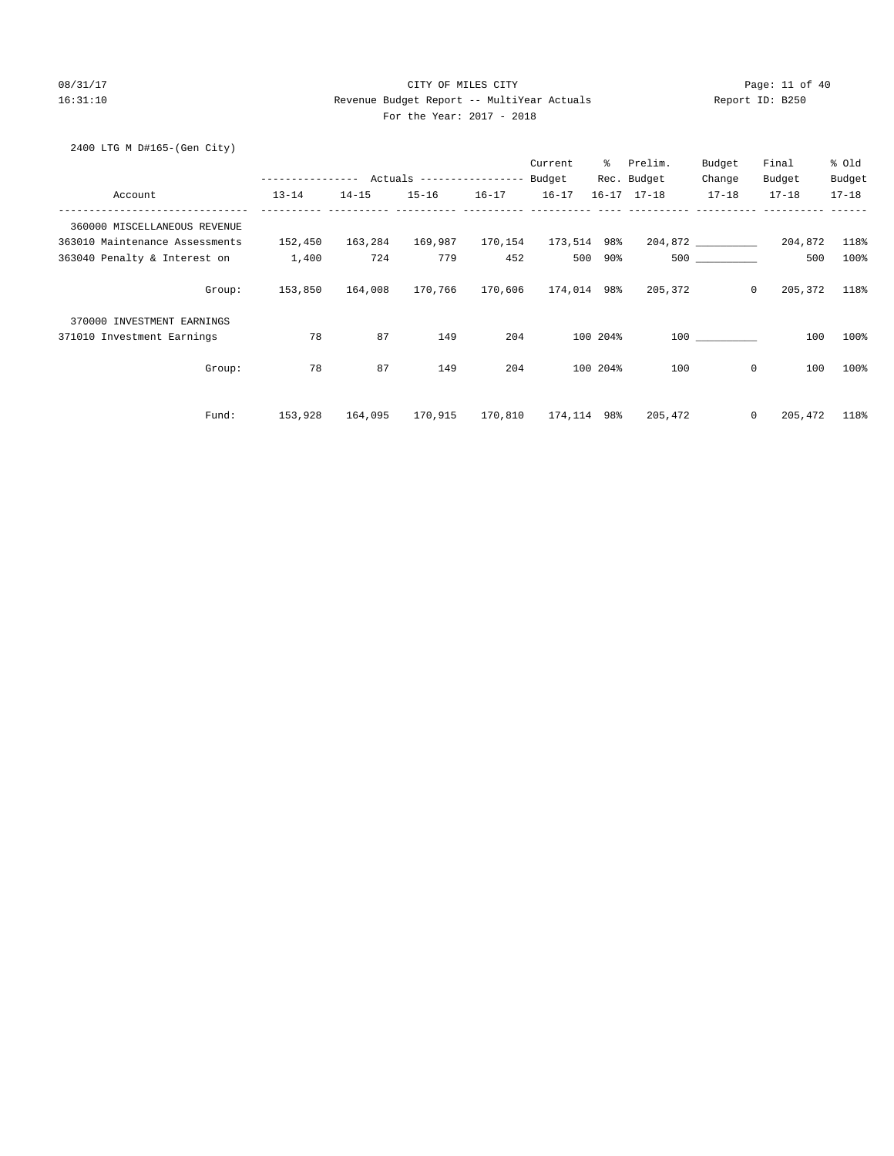# 08/31/17 Page: 11 of 40 16:31:10 Revenue Budget Report -- MultiYear Actuals Report ID: B250 For the Year: 2017 - 2018

2400 LTG M D#165-(Gen City)

|                                |                  |           |                                  |           | Current     | $\approx$ | Prelim.             | Budget                | Final     | % Old     |
|--------------------------------|------------------|-----------|----------------------------------|-----------|-------------|-----------|---------------------|-----------------------|-----------|-----------|
|                                | ---------------- |           | Actuals ----------------- Budget |           |             |           | Rec. Budget         | Change                | Budget    | Budget    |
| Account                        | $13 - 14$        | $14 - 15$ | $15 - 16$                        | $16 - 17$ | $16 - 17$   |           | $16 - 17$ $17 - 18$ | $17 - 18$             | $17 - 18$ | $17 - 18$ |
| 360000 MISCELLANEOUS REVENUE   |                  |           |                                  |           |             |           |                     |                       |           |           |
| 363010 Maintenance Assessments | 152,450          | 163,284   | 169,987                          | 170,154   | 173,514 98% |           |                     | $204,872$ ___________ | 204,872   | 118%      |
| 363040 Penalty & Interest on   | 1,400            | 724       | 779                              | 452       | 500         | 90%       |                     | 500 000               | 500       | 100%      |
| Group:                         | 153,850          | 164,008   | 170,766                          | 170,606   | 174,014 98% |           | 205,372             | $\circ$               | 205,372   | 118%      |
| 370000 INVESTMENT EARNINGS     |                  |           |                                  |           |             |           |                     |                       |           |           |
| 371010 Investment Earnings     | 78               | 87        | 149                              | 204       |             | 100 204%  |                     | 100 000               | 100       | 100%      |
| Group:                         | 78               | 87        | 149                              | 204       |             | 100 204%  | 100                 | 0                     | 100       | 100%      |
| Fund:                          | 153,928          | 164,095   | 170,915                          | 170,810   | 174,114 98% |           | 205,472             | $\mathbf{0}$          | 205,472   | 118%      |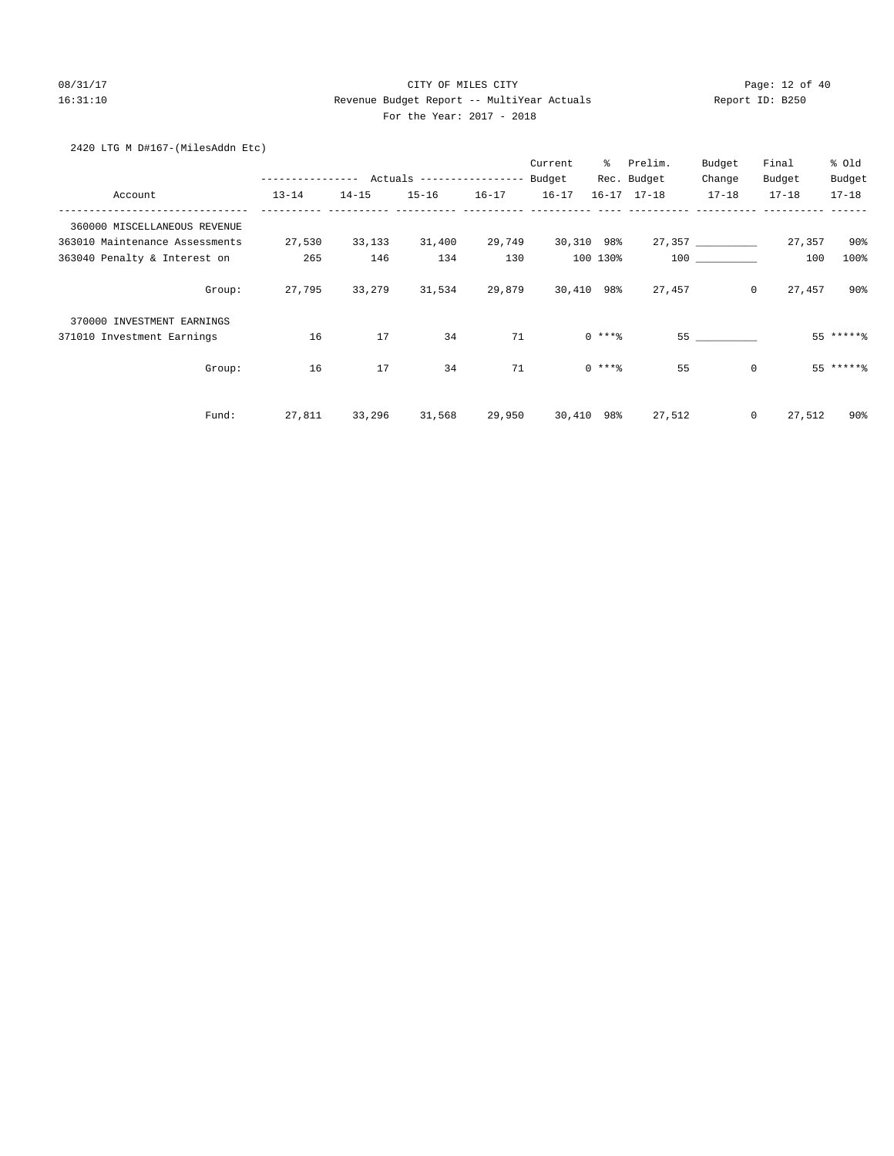# 08/31/17 Page: 12 of 40 16:31:10 Revenue Budget Report -- MultiYear Actuals Report ID: B250 For the Year: 2017 - 2018

# 2420 LTG M D#167-(MilesAddn Etc)

|                                |                  |           |                                  |           | Current   | ៖          | Prelim.             | Budget            | Final     | % old       |
|--------------------------------|------------------|-----------|----------------------------------|-----------|-----------|------------|---------------------|-------------------|-----------|-------------|
|                                | ---------------- |           | Actuals ----------------- Budget |           |           |            | Rec. Budget         | Change            | Budget    | Budget      |
| Account                        | $13 - 14$        | $14 - 15$ | $15 - 16$                        | $16 - 17$ | $16 - 17$ |            | $16 - 17$ $17 - 18$ | $17 - 18$         | $17 - 18$ | $17 - 18$   |
| 360000 MISCELLANEOUS REVENUE   |                  |           |                                  |           |           |            |                     |                   |           |             |
| 363010 Maintenance Assessments | 27,530           | 33,133    | 31,400                           | 29,749    |           | 30,310 98% |                     | 27,357 __________ | 27,357    | $90\%$      |
| 363040 Penalty & Interest on   | 265              | 146       | 134                              | 130       |           | 100 130%   |                     | 100 000           | 100       | 100%        |
| Group:                         | 27,795           | 33,279    | 31,534                           | 29,879    |           | 30,410 98% | 27,457              | $\circ$           | 27,457    | $90\%$      |
| 370000 INVESTMENT EARNINGS     |                  |           |                                  |           |           |            |                     |                   |           |             |
| 371010 Investment Earnings     | 16               | 17        | 34                               | 71        |           | $0***8$    |                     |                   |           | $55$ ****** |
| Group:                         | 16               | 17        | 34                               | 71        |           | $0$ ****   | 55                  | $\mathbf{0}$      |           | $55$ ****** |
| Fund:                          | 27,811           | 33,296    | 31,568                           | 29,950    |           | 30,410 98% | 27,512              | $\mathbf{0}$      | 27,512    | 90%         |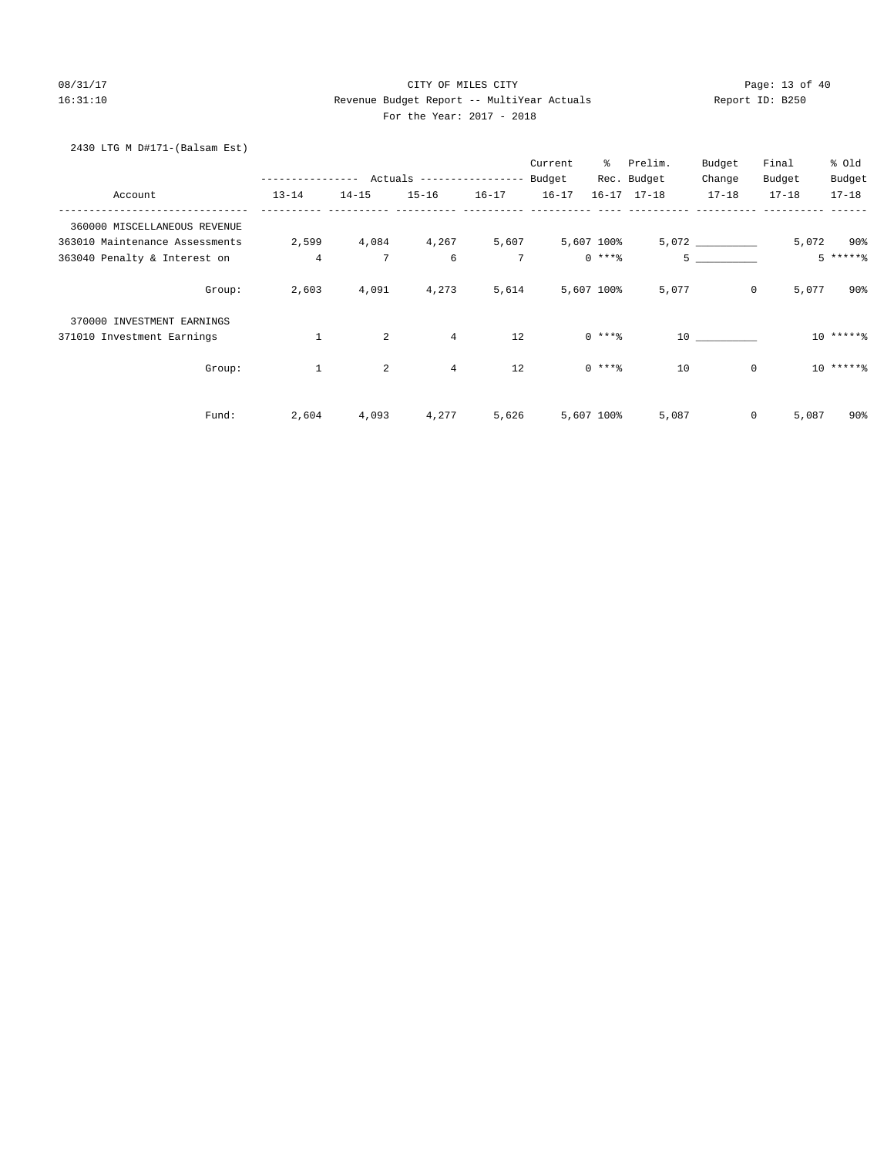# 08/31/17 Page: 13 of 40 16:31:10 Revenue Budget Report -- MultiYear Actuals Report ID: B250 For the Year: 2017 - 2018

# 2430 LTG M D#171-(Balsam Est)

|                                |                |                 |                                        |           | Current          | ွေ         | Prelim.             | Budget         | Final     | % Old     |
|--------------------------------|----------------|-----------------|----------------------------------------|-----------|------------------|------------|---------------------|----------------|-----------|-----------|
|                                |                |                 | ------------ Actuals ----------------- |           | Budget           |            | Rec. Budget         | Change         | Budget    | Budget    |
| Account                        | $13 - 14$      | $14 - 15$       | $15 - 16$                              | $16 - 17$ | $16 - 17$        |            | $16 - 17$ $17 - 18$ | $17 - 18$      | $17 - 18$ | $17 - 18$ |
| 360000 MISCELLANEOUS REVENUE   |                |                 |                                        |           |                  |            |                     |                |           |           |
| 363010 Maintenance Assessments | 2,599          |                 | 4,084 4,267                            |           | 5,607 5,607 100% |            |                     |                |           | 5,072 90% |
| 363040 Penalty & Interest on   | $\overline{4}$ | $7\phantom{.0}$ | 6                                      | 7         |                  | $0***$ $*$ |                     | 5 <sub>5</sub> |           | $5****8$  |
| Group:                         | 2,603          | 4,091           | 4,273                                  | 5,614     |                  | 5,607 100% | 5,077               | $\mathsf{O}$   | 5,077     | $90\%$    |
| 370000 INVESTMENT EARNINGS     |                |                 |                                        |           |                  |            |                     |                |           |           |
| 371010 Investment Earnings     | $\mathbf{1}$   | $\overline{a}$  | $\overline{4}$                         | 12        |                  | $0***8$    |                     | 10             |           | $10*****$ |
| Group:                         | $\mathbf{1}$   | $\overline{a}$  | $\overline{4}$                         | 12        |                  | $0***8$    | 10                  | $\mathbf{0}$   |           | $10****$  |
| Fund:                          | 2,604          | 4,093           | 4,277                                  | 5,626     |                  | 5,607 100% | 5,087               | 0              | 5,087     | $90\%$    |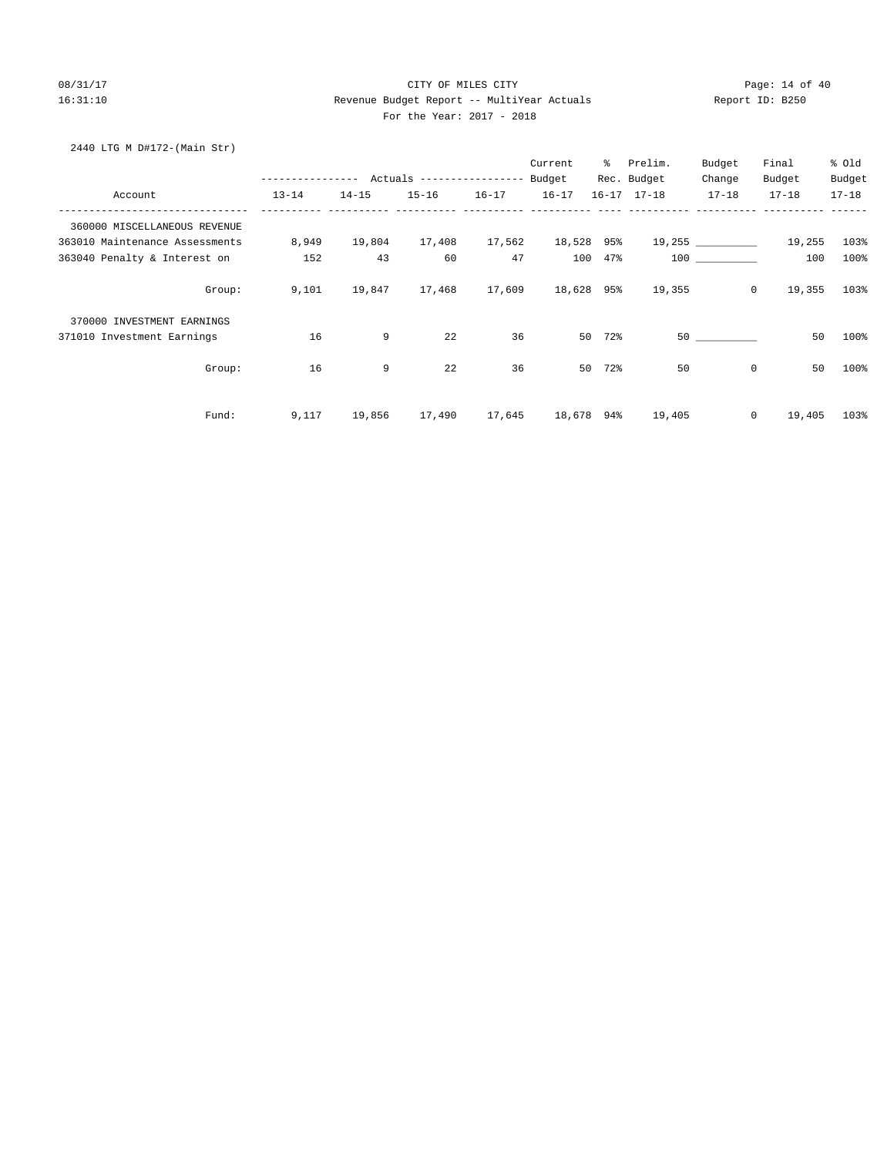#### 08/31/17 Page: 14 of 40 16:31:10 Revenue Budget Report -- MultiYear Actuals Report ID: B250 For the Year: 2017 - 2018

# 2440 LTG M D#172-(Main Str)

|                                |                                                 |           |           |           | Current    | ွေ        | Prelim.             | Budget             | Final     | % Old     |
|--------------------------------|-------------------------------------------------|-----------|-----------|-----------|------------|-----------|---------------------|--------------------|-----------|-----------|
|                                | --------------- Actuals ---------------- Budget |           |           |           |            |           | Rec. Budget         | Change             | Budget    | Budget    |
| Account                        | $13 - 14$                                       | $14 - 15$ | $15 - 16$ | $16 - 17$ | $16 - 17$  |           | $16 - 17$ $17 - 18$ | $17 - 18$          | $17 - 18$ | $17 - 18$ |
| 360000 MISCELLANEOUS REVENUE   |                                                 |           |           |           |            |           |                     |                    |           |           |
| 363010 Maintenance Assessments | 8,949                                           | 19,804    | 17,408    | 17,562    | 18,528 95% |           |                     | 19,255 ___________ | 19,255    | 103%      |
| 363040 Penalty & Interest on   | 152                                             | 43        | 60        | 47        |            | 100 47%   |                     | 100                | 100       | 100%      |
| Group:                         | 9,101                                           | 19,847    | 17,468    | 17,609    | 18,628 95% |           | 19,355              | $\circ$            | 19,355    | 103%      |
| 370000 INVESTMENT EARNINGS     |                                                 |           |           |           |            |           |                     |                    |           |           |
| 371010 Investment Earnings     | 16                                              | 9         | 22        | 36        |            | 72%<br>50 |                     | 50                 | 50        | 100%      |
| Group:                         | 16                                              | 9         | 22        | 36        | 50         | 72%       | 50                  | $\mathbf 0$        | 50        | 100%      |
| Fund:                          | 9,117                                           | 19,856    | 17,490    | 17,645    | 18,678     | 94%       | 19,405              | $\circ$            | 19,405    | 103%      |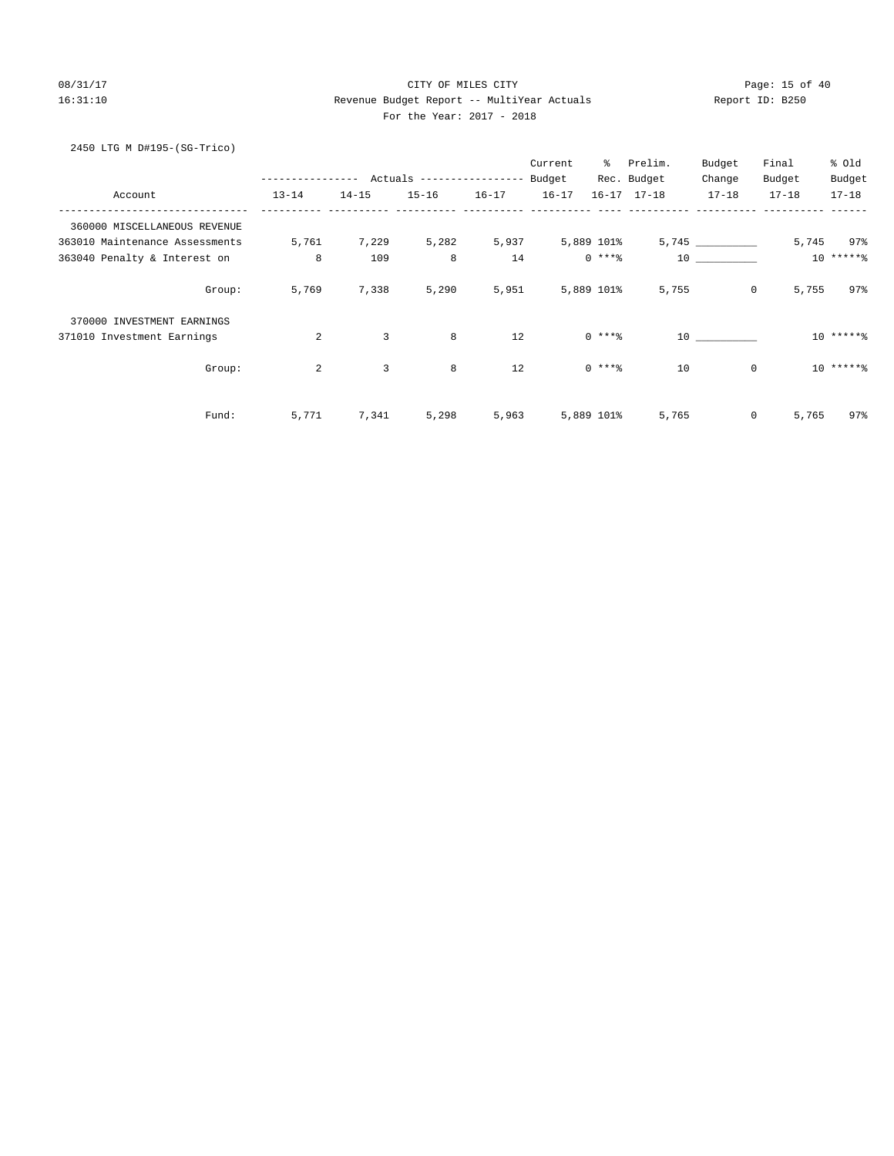# 08/31/17 Page: 15 of 40 16:31:10 Revenue Budget Report -- MultiYear Actuals Report ID: B250 For the Year: 2017 - 2018

# 2450 LTG M D#195-(SG-Trico)

|                                |              |                |                           |           | Current   | ៖          | Prelim.             | Budget          | Final     | % Old     |
|--------------------------------|--------------|----------------|---------------------------|-----------|-----------|------------|---------------------|-----------------|-----------|-----------|
|                                | ------------ |                | Actuals ----------------- |           | Budget    |            | Rec. Budget         | Change          | Budget    | Budget    |
| Account                        | $13 - 14$    | $14 - 15$      | $15 - 16$                 | $16 - 17$ | $16 - 17$ |            | $16 - 17$ $17 - 18$ | $17 - 18$       | $17 - 18$ | $17 - 18$ |
| 360000 MISCELLANEOUS REVENUE   |              |                |                           |           |           |            |                     |                 |           |           |
| 363010 Maintenance Assessments | 5,761        | 7,229          | 5,282                     | 5,937     |           | 5,889 101% |                     | 5,745           | 5,745     | 97%       |
| 363040 Penalty & Interest on   | 8            | 109            | 8                         | 14        |           | $0$ ****   |                     | 10              |           | $10****$  |
| Group:                         | 5,769        | 7,338          | 5,290                     | 5,951     |           | 5,889 101% | 5,755               | $\circ$         | 5,755     | 97%       |
| 370000 INVESTMENT EARNINGS     |              |                |                           |           |           |            |                     |                 |           |           |
| 371010 Investment Earnings     | 2            | 3              | 8                         | 12        |           | $0***8$    |                     | $10$ and $\sim$ |           | $10****$  |
| Group:                         | 2            | $\overline{3}$ | 8                         | 12        |           | $0***8$    | 10                  | $\mathbf{0}$    |           | $10****$  |
| Fund:                          | 5,771        | 7,341          | 5,298                     | 5,963     |           | 5,889 101% | 5,765               | $\mathsf{O}$    | 5,765     | 97%       |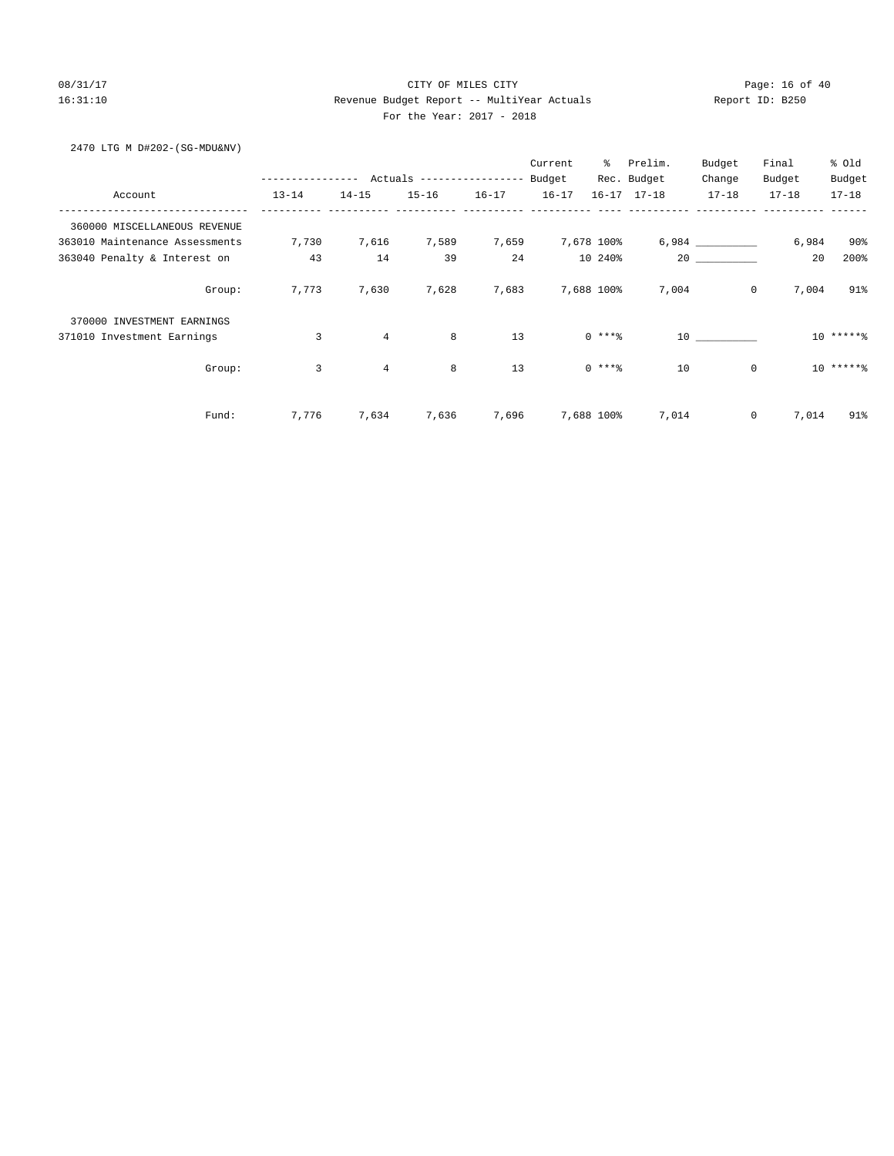# 08/31/17 Page: 16 of 40 16:31:10 Revenue Budget Report -- MultiYear Actuals Report ID: B250 For the Year: 2017 - 2018

2470 LTG M D#202-(SG-MDU&NV)

|                                |                |           |                           |           | Current   | $\approx$  | Prelim.             | Budget                                                                   | Final     | % Old     |
|--------------------------------|----------------|-----------|---------------------------|-----------|-----------|------------|---------------------|--------------------------------------------------------------------------|-----------|-----------|
|                                | -------------  |           | Actuals ----------------- |           | Budget    |            | Rec. Budget         | Change                                                                   | Budget    | Budget    |
| Account                        | $13 - 14$      | $14 - 15$ | $15 - 16$                 | $16 - 17$ | $16 - 17$ |            | $16 - 17$ $17 - 18$ | $17 - 18$                                                                | $17 - 18$ | $17 - 18$ |
| 360000 MISCELLANEOUS REVENUE   |                |           |                           |           |           |            |                     |                                                                          |           |           |
| 363010 Maintenance Assessments | 7,730          | 7,616     | 7,589                     | 7,659     |           | 7,678 100% |                     |                                                                          | 6,984     | 90%       |
| 363040 Penalty & Interest on   | 43             | 14        | 39                        | 24        |           | 10 240%    |                     | 20                                                                       | 20        | 200%      |
| Group:                         | 7,773          | 7,630     | 7,628                     | 7,683     |           | 7,688 100% | 7,004               | $\overline{0}$                                                           | 7,004     | 91%       |
| 370000 INVESTMENT EARNINGS     |                |           |                           |           |           |            |                     |                                                                          |           |           |
| 371010 Investment Earnings     | 3              | 4         | 8                         | 13        |           | $0***8$    |                     | $\begin{tabular}{c} 10 & \textcolor{red}{\textbf{---}} \\ \end{tabular}$ |           | $10*****$ |
| Group:                         | $\overline{3}$ | 4         | 8                         | 13        |           | $0***8$    | 10                  | $\mathbb O$                                                              |           | $10*****$ |
| Fund:                          | 7,776          | 7,634     | 7,636                     | 7,696     |           | 7,688 100% | 7,014               | $\mathsf{O}$                                                             | 7,014     | 91%       |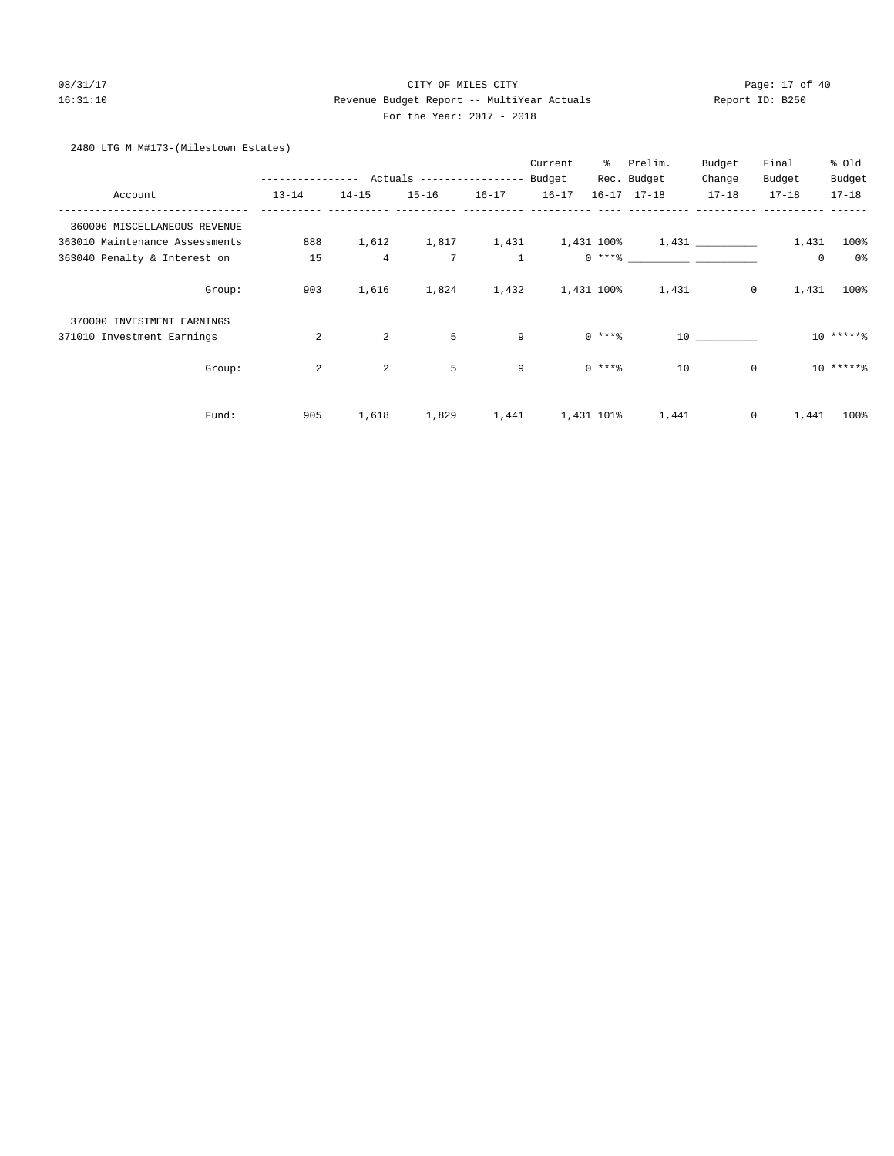## 08/31/17 Page: 17 of 40 16:31:10 Revenue Budget Report -- MultiYear Actuals Report ID: B250 For the Year: 2017 - 2018

#### 2480 LTG M M#173-(Milestown Estates)

|                                |                |                |                                         |                | Current   | ွေ         | Prelim.                                                                                                                                                                                                                                                                                                                  | Budget      | Final       | % old     |
|--------------------------------|----------------|----------------|-----------------------------------------|----------------|-----------|------------|--------------------------------------------------------------------------------------------------------------------------------------------------------------------------------------------------------------------------------------------------------------------------------------------------------------------------|-------------|-------------|-----------|
|                                |                |                | ------------- Actuals ----------------- |                | Budget    |            | Rec. Budget                                                                                                                                                                                                                                                                                                              | Change      | Budget      | Budget    |
| Account                        | $13 - 14$      | $14 - 15$      | $15 - 16$                               | $16 - 17$      | $16 - 17$ |            | $16 - 17$ $17 - 18$                                                                                                                                                                                                                                                                                                      | $17 - 18$   | $17 - 18$   | $17 - 18$ |
| 360000 MISCELLANEOUS REVENUE   |                |                |                                         |                |           |            |                                                                                                                                                                                                                                                                                                                          |             |             |           |
| 363010 Maintenance Assessments | 888            | 1,612          |                                         |                |           |            | $1,817$ $1,431$ $1,431$ $100$ $1,431$ $1,431$                                                                                                                                                                                                                                                                            |             | 1,431       | 100%      |
| 363040 Penalty & Interest on   | 15             | $\overline{4}$ | 7                                       | $\overline{1}$ |           |            | $0***$ $\frac{1}{2}$ $\frac{1}{2}$ $\frac{1}{2}$ $\frac{1}{2}$ $\frac{1}{2}$ $\frac{1}{2}$ $\frac{1}{2}$ $\frac{1}{2}$ $\frac{1}{2}$ $\frac{1}{2}$ $\frac{1}{2}$ $\frac{1}{2}$ $\frac{1}{2}$ $\frac{1}{2}$ $\frac{1}{2}$ $\frac{1}{2}$ $\frac{1}{2}$ $\frac{1}{2}$ $\frac{1}{2}$ $\frac{1}{2}$ $\frac{1}{2}$ $\frac{1}{$ |             | $\mathbf 0$ | 0%        |
| Group:                         | 903            | 1,616          | 1,824                                   |                |           |            | 1,432 1,431 100% 1,431                                                                                                                                                                                                                                                                                                   | $\circ$     | 1,431       | $100\%$   |
| 370000 INVESTMENT EARNINGS     |                |                |                                         |                |           |            |                                                                                                                                                                                                                                                                                                                          |             |             |           |
| 371010 Investment Earnings     | 2              | 2              | 5                                       | 9              |           | $0$ ****   |                                                                                                                                                                                                                                                                                                                          | 10          |             | $10****$  |
| Group:                         | $\overline{a}$ | 2              | 5                                       | 9              |           | $0$ ****   | 10                                                                                                                                                                                                                                                                                                                       | $\mathbf 0$ |             | $10****$  |
| Fund:                          | 905            | 1,618          | 1,829                                   | 1,441          |           | 1,431 101% | 1,441                                                                                                                                                                                                                                                                                                                    | 0           | 1,441       | 100%      |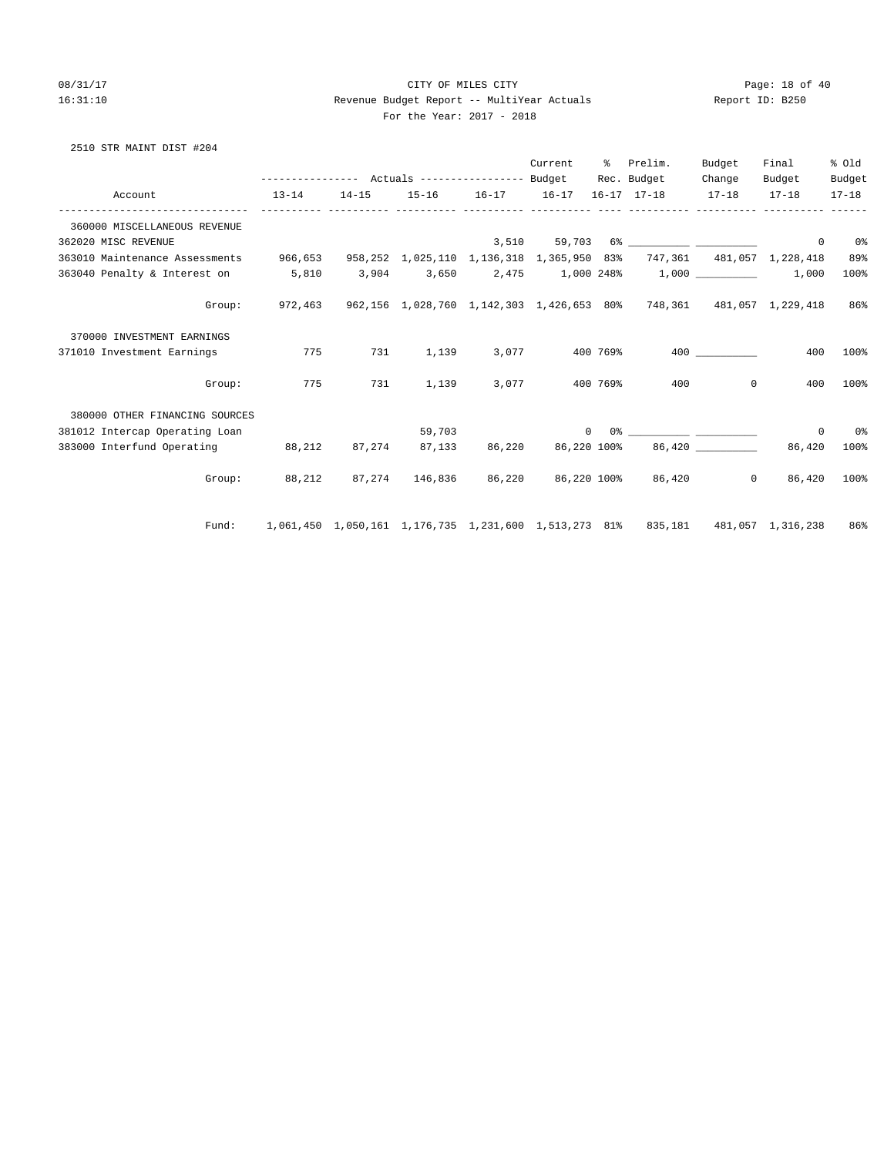## 08/31/17 Page: 18 of 40 16:31:10 Revenue Budget Report -- MultiYear Actuals Report ID: B250 For the Year: 2017 - 2018

# 2510 STR MAINT DIST #204

|                                                                                                            |                                                                                     |           |        | Current        | ႜႜႜၟ | Prelim.                                                                                                                                                                                                                                                                                                                                                            | Budget   | Final                    | % old     |
|------------------------------------------------------------------------------------------------------------|-------------------------------------------------------------------------------------|-----------|--------|----------------|------|--------------------------------------------------------------------------------------------------------------------------------------------------------------------------------------------------------------------------------------------------------------------------------------------------------------------------------------------------------------------|----------|--------------------------|-----------|
|                                                                                                            | --------------- Actuals ---------------- Budget                                     |           |        |                |      | Rec. Budget                                                                                                                                                                                                                                                                                                                                                        | Change   | Budget                   | Budget    |
| Account                                                                                                    | $13 - 14$                                                                           | $14 - 15$ |        |                |      | 15-16 16-17 16-17 16-17 17-18 17-18 17-18                                                                                                                                                                                                                                                                                                                          |          |                          | $17 - 18$ |
| 360000 MISCELLANEOUS REVENUE                                                                               |                                                                                     |           |        |                |      |                                                                                                                                                                                                                                                                                                                                                                    |          |                          |           |
| 362020 MISC REVENUE                                                                                        |                                                                                     |           |        |                |      |                                                                                                                                                                                                                                                                                                                                                                    |          | $^{\circ}$               | 0%        |
| 363010 Maintenance Assessments 966,653 958,252 1,025,110 1,136,318 1,365,950 83% 747,361 481,057 1,228,418 |                                                                                     |           |        |                |      |                                                                                                                                                                                                                                                                                                                                                                    |          |                          | 89%       |
| 363040 Penalty & Interest on 5,810                                                                         |                                                                                     |           |        |                |      | $3,904$ $3,650$ $2,475$ $1,000$ $248\%$ $1,000$ $\qquad \qquad$                                                                                                                                                                                                                                                                                                    |          | 1,000                    | 100%      |
| Group:                                                                                                     | 972,463                                                                             |           |        |                |      | 962,156 1,028,760 1,142,303 1,426,653 80% 748,361 481,057 1,229,418                                                                                                                                                                                                                                                                                                |          |                          | 86%       |
| 370000 INVESTMENT EARNINGS                                                                                 |                                                                                     |           |        |                |      |                                                                                                                                                                                                                                                                                                                                                                    |          |                          |           |
| 371010 Investment Earnings                                                                                 | 775                                                                                 | 731       | 1,139  | 3,077 400 769% |      |                                                                                                                                                                                                                                                                                                                                                                    | 400 000  | 400                      | 100%      |
| Group:                                                                                                     | 775                                                                                 | 731       | 1,139  | 3,077 400 769% |      | 400                                                                                                                                                                                                                                                                                                                                                                | $\Omega$ | 400                      | 100%      |
| 380000 OTHER FINANCING SOURCES                                                                             |                                                                                     |           |        |                |      |                                                                                                                                                                                                                                                                                                                                                                    |          |                          |           |
| 381012 Intercap Operating Loan                                                                             |                                                                                     |           | 59,703 |                |      | $\begin{picture}(180,10) \put(0,0){\vector(1,0){100}} \put(15,0){\vector(1,0){100}} \put(15,0){\vector(1,0){100}} \put(15,0){\vector(1,0){100}} \put(15,0){\vector(1,0){100}} \put(15,0){\vector(1,0){100}} \put(15,0){\vector(1,0){100}} \put(15,0){\vector(1,0){100}} \put(15,0){\vector(1,0){100}} \put(15,0){\vector(1,0){100}} \put(15,0){\vector(1,0){100}}$ |          | $^{\circ}$               | 0%        |
| 383000 Interfund Operating 88,212 87,274 87,133 86,220 86,220 100%                                         |                                                                                     |           |        |                |      |                                                                                                                                                                                                                                                                                                                                                                    |          |                          | 100%      |
|                                                                                                            | Group: 88,212 87,274 146,836 86,220 86,220 100% 86,420                              |           |        |                |      |                                                                                                                                                                                                                                                                                                                                                                    |          | $\overline{0}$<br>86,420 | 100%      |
| Fund:                                                                                                      | 1,061,450 1,050,161 1,176,735 1,231,600 1,513,273 81% 835,181 481,057 1,316,238 86% |           |        |                |      |                                                                                                                                                                                                                                                                                                                                                                    |          |                          |           |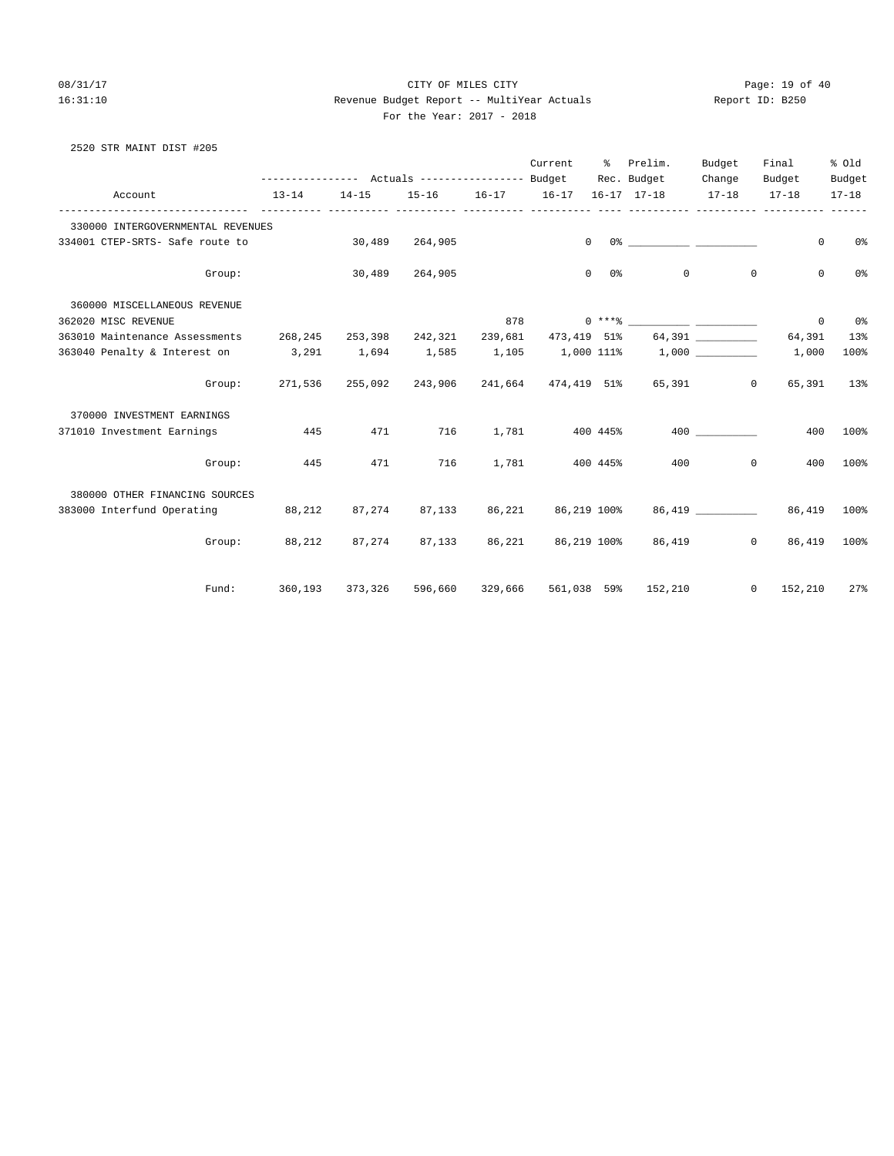2520 STR MAINT DIST #205

#### 08/31/17 Page: 19 of 40 16:31:10 Revenue Budget Report -- MultiYear Actuals Report ID: B250 For the Year: 2017 - 2018

 Current % Prelim. Budget Final % Old ---------------- Actuals ----------------- Budget Rec. Budget Change Budget Budget Account 13-14 14-15 15-16 16-17 16-17 16-17 17-18 17-18 17-18 17-18 ------------------------------- ---------- ---------- ---------- ---------- ---------- ---- ---------- ---------- ---------- ------ 330000 INTERGOVERNMENTAL REVENUES 334001 CTEP-SRTS- Safe route to 30,489 264,905 0 0% \_\_\_\_\_\_\_\_ \_\_\_\_\_\_\_\_\_ 0 0% Group: 30,489 264,905 0 0% 0 0 0 0% 360000 MISCELLANEOUS REVENUE 362020 MISC REVENUE 878 0 \*\*\*% \_\_\_\_\_\_\_\_\_\_ \_\_\_\_\_\_\_\_\_\_ 0 0% 363010 Maintenance Assessments 268,245 253,398 242,321 239,681 473,419 51% 64,391 \_\_\_\_\_\_\_\_\_\_ 64,391 13% 363040 Penalty & Interest on 3,291 1,694 1,585 1,105 1,000 111% 1,000 \_\_\_\_\_\_\_\_\_\_ 1,000 100% Group: 271,536 255,092 243,906 241,664 474,419 51% 65,391 0 65,391 13% 370000 INVESTMENT EARNINGS 371010 Investment Earnings **445** 471 716 1,781 400 445% 400 200 400 400 100% Group: 445 471 716 1,781 400 445% 400 0 400 100% 380000 OTHER FINANCING SOURCES 383000 Interfund Operating 88,212 87,274 87,133 86,221 86,219 100% 86,419 \_\_\_\_\_\_\_\_\_\_ 86,419 100% Group: 88,212 87,274 87,133 86,221 86,219 100% 86,419 0 86,419 100% Fund: 360,193 373,326 596,660 329,666 561,038 59% 152,210 0 152,210 27%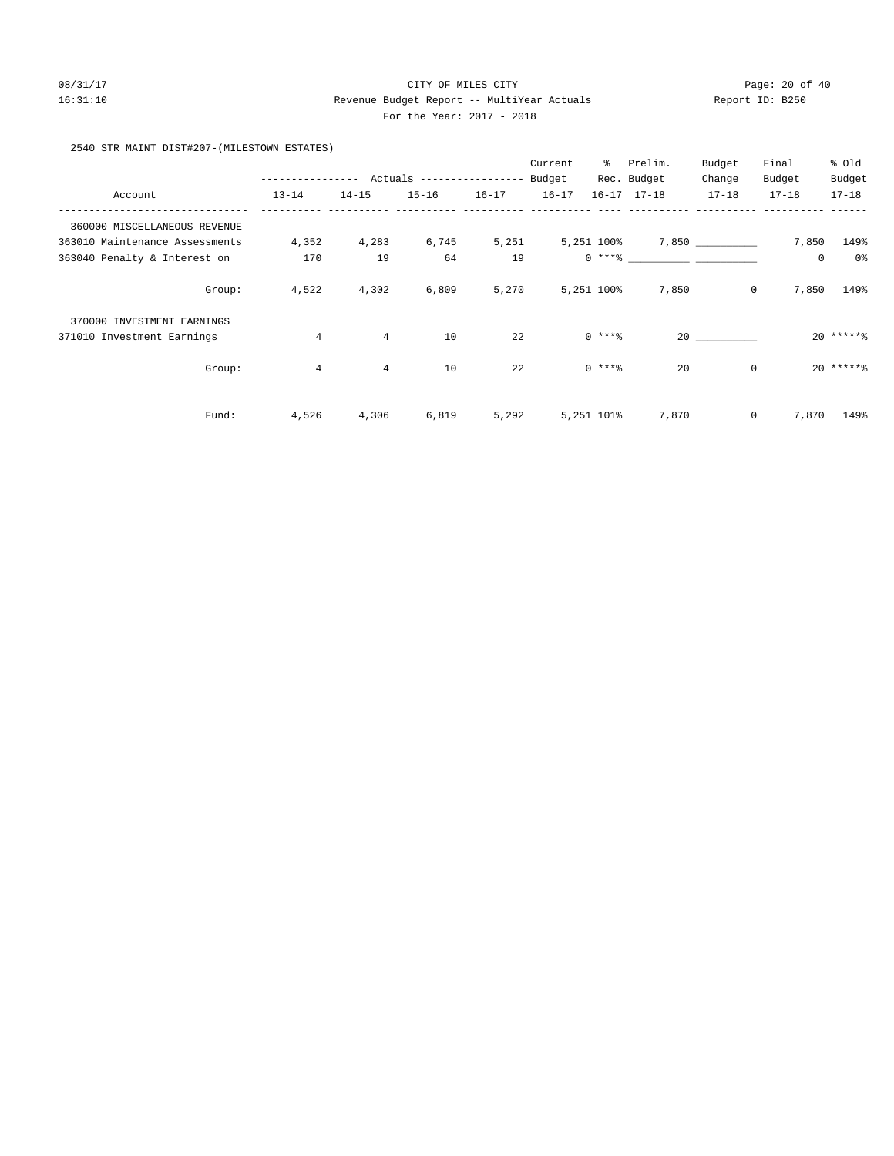# 08/31/17 Page: 20 of 40 16:31:10 Revenue Budget Report -- MultiYear Actuals Report ID: B250 For the Year: 2017 - 2018

#### 2540 STR MAINT DIST#207-(MILESTOWN ESTATES)

|                                |                |                |                                         |           | Current   | ွေ         | Prelim.                                                                                                                                                                                                                                                                                                                                                                                                                                                                                                             | Budget       | Final       | % Old       |
|--------------------------------|----------------|----------------|-----------------------------------------|-----------|-----------|------------|---------------------------------------------------------------------------------------------------------------------------------------------------------------------------------------------------------------------------------------------------------------------------------------------------------------------------------------------------------------------------------------------------------------------------------------------------------------------------------------------------------------------|--------------|-------------|-------------|
|                                |                |                | ------------- Actuals ----------------- |           | Budget    |            | Rec. Budget                                                                                                                                                                                                                                                                                                                                                                                                                                                                                                         | Change       | Budget      | Budget      |
| Account                        | $13 - 14$      | $14 - 15$      | $15 - 16$                               | $16 - 17$ | $16 - 17$ |            | $16 - 17$ $17 - 18$                                                                                                                                                                                                                                                                                                                                                                                                                                                                                                 | $17 - 18$    | $17 - 18$   | $17 - 18$   |
| 360000 MISCELLANEOUS REVENUE   |                |                |                                         |           |           |            |                                                                                                                                                                                                                                                                                                                                                                                                                                                                                                                     |              |             |             |
| 363010 Maintenance Assessments | 4,352          | 4,283          | 6,745                                   | 5,251     |           |            | $5,251$ 100% 7,850 _________                                                                                                                                                                                                                                                                                                                                                                                                                                                                                        |              | 7,850       | 149%        |
| 363040 Penalty & Interest on   | 170            | 19             | 64                                      | 19        |           |            | $0 \xrightarrow{***\text{\texttt{\%}}}\xrightarrow{\hspace*{1.5cm}}\xrightarrow{\hspace*{1.5cm}}\xrightarrow{\hspace*{1.5cm}}\xrightarrow{\hspace*{1.5cm}}\xrightarrow{\hspace*{1.5cm}}\xrightarrow{\hspace*{1.5cm}}\xrightarrow{\hspace*{1.5cm}}\xrightarrow{\hspace*{1.5cm}}\xrightarrow{\hspace*{1.5cm}}\xrightarrow{\hspace*{1.5cm}}\xrightarrow{\hspace*{1.5cm}}\xrightarrow{\hspace*{1.5cm}}\xrightarrow{\hspace*{1.5cm}}\xrightarrow{\hspace*{1.5cm}}\xrightarrow{\hspace*{1.5cm}}\xrightarrow{\hspace*{1.5$ |              | $\mathbf 0$ | 0%          |
| Group:                         | 4,522          | 4,302          | 6,809                                   | 5,270     |           | 5,251 100% | 7,850                                                                                                                                                                                                                                                                                                                                                                                                                                                                                                               | 0            | 7,850       | 149%        |
| 370000 INVESTMENT EARNINGS     |                |                |                                         |           |           |            |                                                                                                                                                                                                                                                                                                                                                                                                                                                                                                                     |              |             |             |
| 371010 Investment Earnings     | $\overline{4}$ | $\overline{4}$ | 10                                      | 22        |           | $0***8$    |                                                                                                                                                                                                                                                                                                                                                                                                                                                                                                                     | 20           |             | $20$ ****** |
| Group:                         | $\overline{4}$ | $\overline{4}$ | 10                                      | 22        |           | $0***8$    | 20                                                                                                                                                                                                                                                                                                                                                                                                                                                                                                                  | $\mathbf 0$  |             | $20*****$   |
| Fund:                          | 4,526          | 4,306          | 6,819                                   | 5,292     |           | 5,251 101% | 7,870                                                                                                                                                                                                                                                                                                                                                                                                                                                                                                               | $\mathbf{0}$ | 7,870       | 149%        |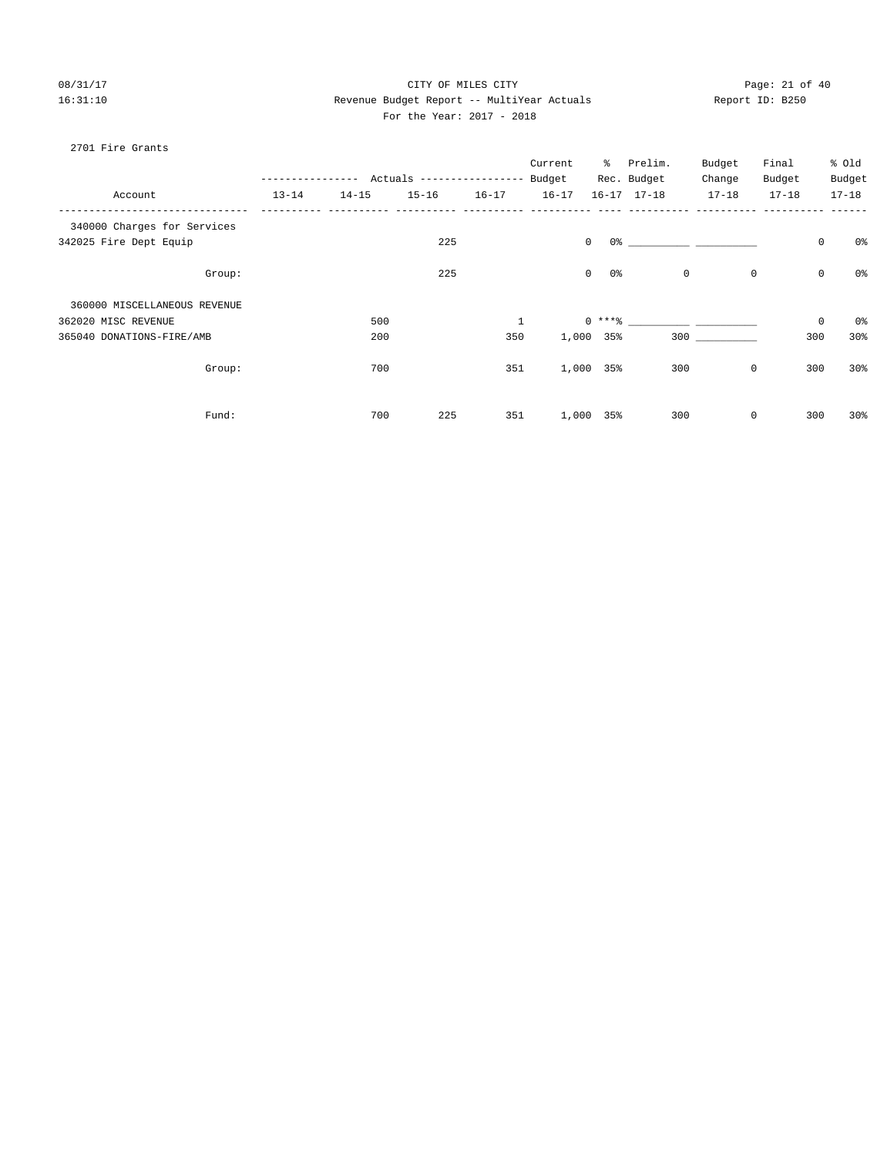# 08/31/17 Page: 21 of 40 16:31:10 Revenue Budget Report -- MultiYear Actuals Report ID: B250 For the Year: 2017 - 2018

### 2701 Fire Grants

|                              |           | --------- | Actuals ----------------- Budget |              | Current      | ိ       | Prelim.<br>Rec. Budget                 | Budget<br>Change | Final<br>Budget | % Old<br>Budget |
|------------------------------|-----------|-----------|----------------------------------|--------------|--------------|---------|----------------------------------------|------------------|-----------------|-----------------|
| Account                      | $13 - 14$ | $14 - 15$ | $15 - 16$                        | $16 - 17$    | $16 - 17$    |         | $16 - 17$ $17 - 18$                    | $17 - 18$        | $17 - 18$       | $17 - 18$       |
| 340000 Charges for Services  |           |           |                                  |              |              |         |                                        |                  |                 |                 |
| 342025 Fire Dept Equip       |           |           | 225                              |              | $\mathbf{0}$ |         | $0$ 왕 아이는 아이들은 아이들의 사람들은 아이들이 아이들이 있다. |                  | $\mathsf 0$     | 0%              |
| Group:                       |           |           | 225                              |              | $\mathbf{0}$ | $0\,$ s | $\mathbb O$                            | 0                | $\mathsf 0$     | $0\,$           |
| 360000 MISCELLANEOUS REVENUE |           |           |                                  |              |              |         |                                        |                  |                 |                 |
| 362020 MISC REVENUE          |           | 500       |                                  | $\mathbf{1}$ |              |         |                                        |                  | $\mathbb O$     | 0%              |
| 365040 DONATIONS-FIRE/AMB    |           | 200       |                                  | 350          | 1,000 35%    |         |                                        | 300              | 300             | 30%             |
| Group:                       |           | 700       |                                  | 351          | 1,000 35%    |         | 300                                    | $\mathbf 0$      | 300             | 30%             |
| Fund:                        |           | 700       | 225                              | 351          | 1,000        | 35%     | 300                                    | $\mathbf 0$      | 300             | 30%             |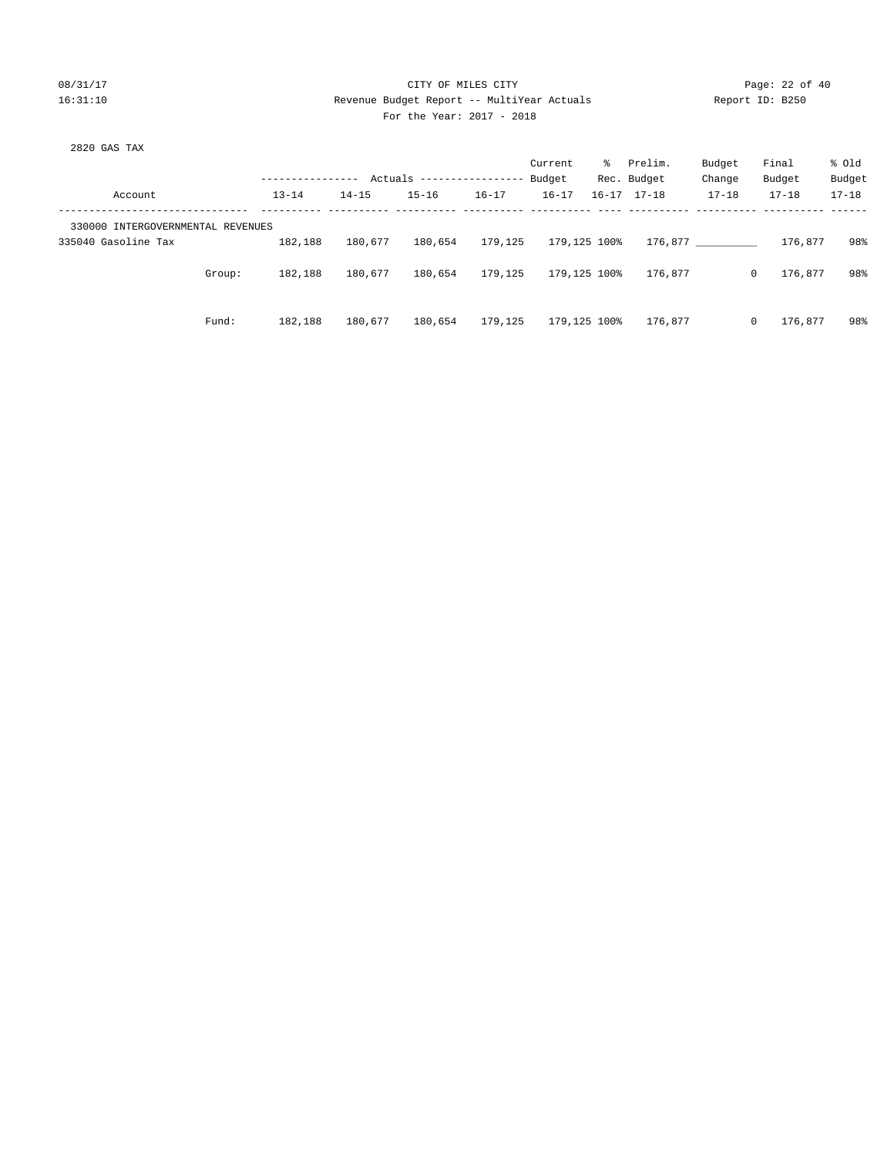#### 08/31/17 Page: 22 of 40 16:31:10 Revenue Budget Report -- MultiYear Actuals Report ID: B250 For the Year: 2017 - 2018

| 2820 GAS TAX                      |        |                  |           |                                  |           |              |    |                     |           |          |           |           |  |
|-----------------------------------|--------|------------------|-----------|----------------------------------|-----------|--------------|----|---------------------|-----------|----------|-----------|-----------|--|
|                                   |        |                  |           |                                  |           | Current      | ႜၟ | Prelim.             | Budget    | Final    |           | % old     |  |
|                                   |        | ---------------- |           | Actuals ----------------- Budget |           |              |    | Rec. Budget         | Change    | Budget   |           | Budget    |  |
| Account                           |        | $13 - 14$        | $14 - 15$ | $15 - 16$                        | $16 - 17$ | $16 - 17$    |    | $16 - 17$ $17 - 18$ | $17 - 18$ |          | $17 - 18$ | $17 - 18$ |  |
| 330000 INTERGOVERNMENTAL REVENUES |        |                  |           |                                  |           |              |    |                     |           |          |           |           |  |
| 335040 Gasoline Tax               |        | 182,188          | 180,677   | 180,654                          | 179,125   | 179,125 100% |    |                     | 176,877   |          | 176,877   | 98%       |  |
|                                   | Group: | 182,188          | 180,677   | 180,654                          | 179,125   | 179,125 100% |    | 176,877             |           | $\Omega$ | 176,877   | 98%       |  |
|                                   | Fund:  | 182,188          | 180,677   | 180,654                          | 179,125   | 179,125 100% |    | 176,877             |           | $\Omega$ | 176,877   | 98%       |  |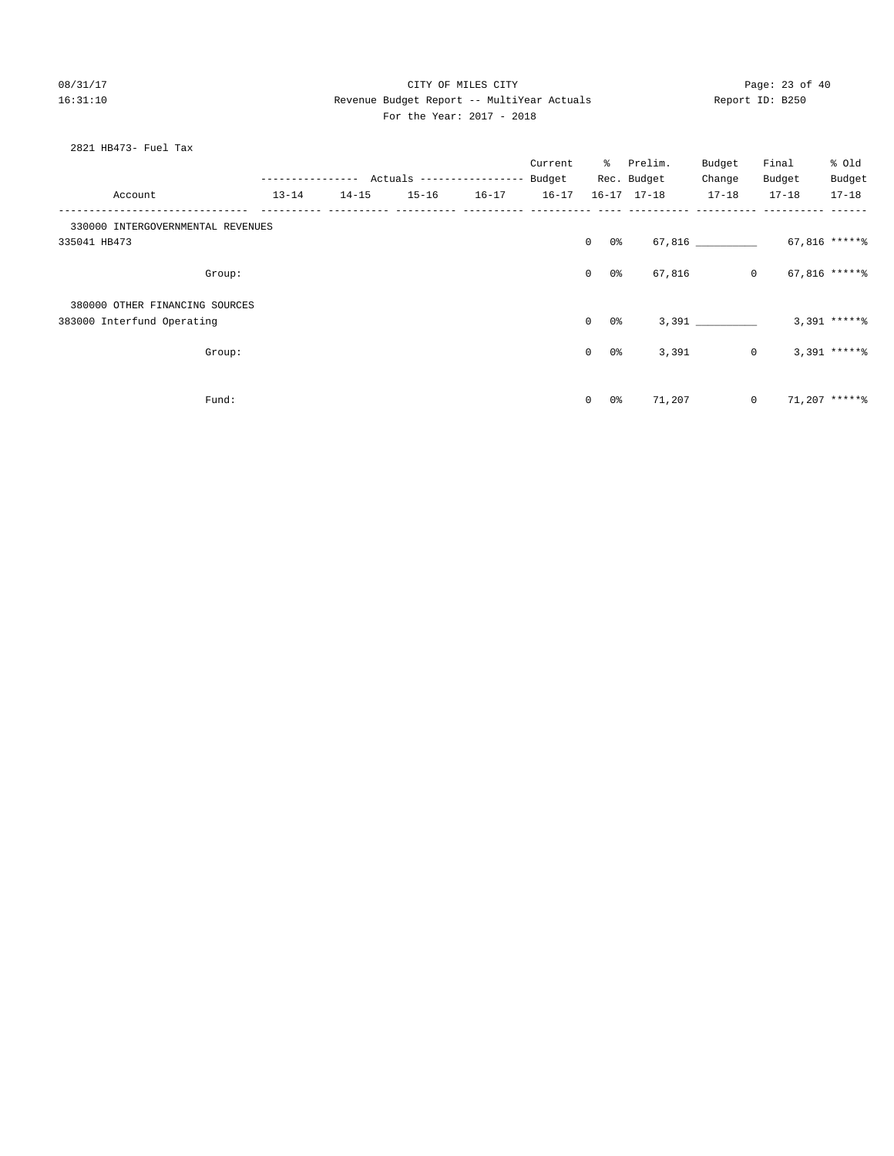#### 08/31/17 Page: 23 of 40 16:31:10 Revenue Budget Report -- MultiYear Actuals Report ID: B250 For the Year: 2017 - 2018

#### 2821 HB473- Fuel Tax

|                                   |           |           |           |           | Current   |                    | % Prelim.   | Budget         | Final     | % Old           |
|-----------------------------------|-----------|-----------|-----------|-----------|-----------|--------------------|-------------|----------------|-----------|-----------------|
|                                   |           |           |           |           |           |                    | Rec. Budget | Change         | Budget    | Budget          |
| Account                           | $13 - 14$ | $14 - 15$ | $15 - 16$ | $16 - 17$ | $16 - 17$ |                    | 16-17 17-18 | $17 - 18$      | $17 - 18$ | $17 - 18$       |
| 330000 INTERGOVERNMENTAL REVENUES |           |           |           |           |           |                    |             |                |           |                 |
| 335041 HB473                      |           |           |           |           |           | $\circ$<br>0 %     |             | 67,816         |           | 67,816 ******   |
| Group:                            |           |           |           |           |           | $\circ$<br>0 %     | 67,816      | $\overline{0}$ |           | 67,816 *****%   |
| 380000 OTHER FINANCING SOURCES    |           |           |           |           |           |                    |             |                |           |                 |
| 383000 Interfund Operating        |           |           |           |           |           | $\circ$<br>0 %     |             | 3,391          |           | $3,391$ ***** % |
| Group:                            |           |           |           |           |           | $\circ$<br>0%      | 3,391       | $\circ$        |           | $3,391$ *****%  |
| Fund:                             |           |           |           |           |           | $\mathbf{0}$<br>0% | 71,207      | $\overline{0}$ |           | $71.207$ *****% |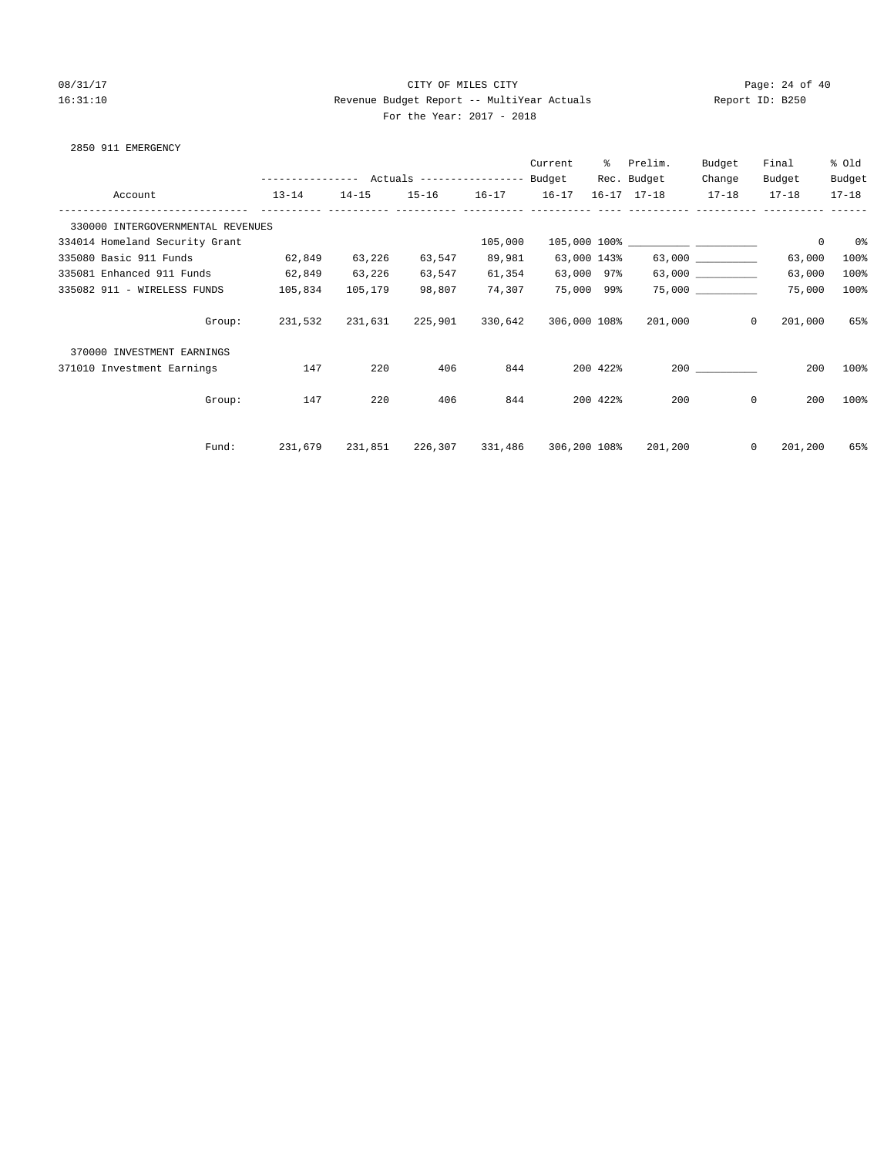#### 08/31/17 Page: 24 of 40 16:31:10 Revenue Budget Report -- MultiYear Actuals Report ID: B250 For the Year: 2017 - 2018

|  |  |  | 2850 911 EMERGENCY |
|--|--|--|--------------------|
|--|--|--|--------------------|

|                                   |                                                 |           |           |           | Current      | ిం       | Prelim.             | Budget                  | Final                   | % old     |
|-----------------------------------|-------------------------------------------------|-----------|-----------|-----------|--------------|----------|---------------------|-------------------------|-------------------------|-----------|
|                                   | --------------- Actuals ---------------- Budget |           |           |           |              |          | Rec. Budget         | Change                  | Budget                  | Budget    |
| Account                           | $13 - 14$                                       | $14 - 15$ | $15 - 16$ | $16 - 17$ | $16 - 17$    |          | $16 - 17$ $17 - 18$ | $17 - 18$               | $17 - 18$               | $17 - 18$ |
| 330000 INTERGOVERNMENTAL REVENUES |                                                 |           |           |           |              |          |                     |                         |                         |           |
| 334014 Homeland Security Grant    |                                                 |           |           | 105,000   |              |          |                     |                         | $\mathbf 0$             | 0%        |
| 335080 Basic 911 Funds            | 62,849                                          | 63,226    | 63,547    | 89,981    | 63,000 143%  |          |                     | $63,000$ ______________ | 63,000                  | 100%      |
| 335081 Enhanced 911 Funds         | 62,849                                          | 63,226    | 63,547    | 61,354    | 63,000 97%   |          |                     |                         | 63,000                  | 100%      |
| 335082 911 - WIRELESS FUNDS       | 105,834                                         | 105,179   | 98,807    | 74,307    | 75,000 99%   |          |                     | 75,000                  | 75,000                  | 100%      |
| Group:                            | 231,532                                         | 231,631   | 225,901   | 330,642   | 306,000 108% |          | 201,000             |                         | 201,000<br>$\mathbf{0}$ | 65%       |
| 370000 INVESTMENT EARNINGS        |                                                 |           |           |           |              |          |                     |                         |                         |           |
| 371010 Investment Earnings        | 147                                             | 220       | 406       | 844       |              | 200 422% |                     | 200                     | 200                     | 100%      |
| Group:                            | 147                                             | 220       | 406       | 844       |              | 200 422% | 200                 |                         | $\mathbf 0$<br>200      | 100%      |
|                                   |                                                 |           |           |           |              |          |                     |                         |                         |           |
| Fund:                             | 231,679                                         | 231,851   | 226,307   | 331,486   | 306,200 108% |          | 201,200             |                         | $\mathbf 0$<br>201,200  | 65%       |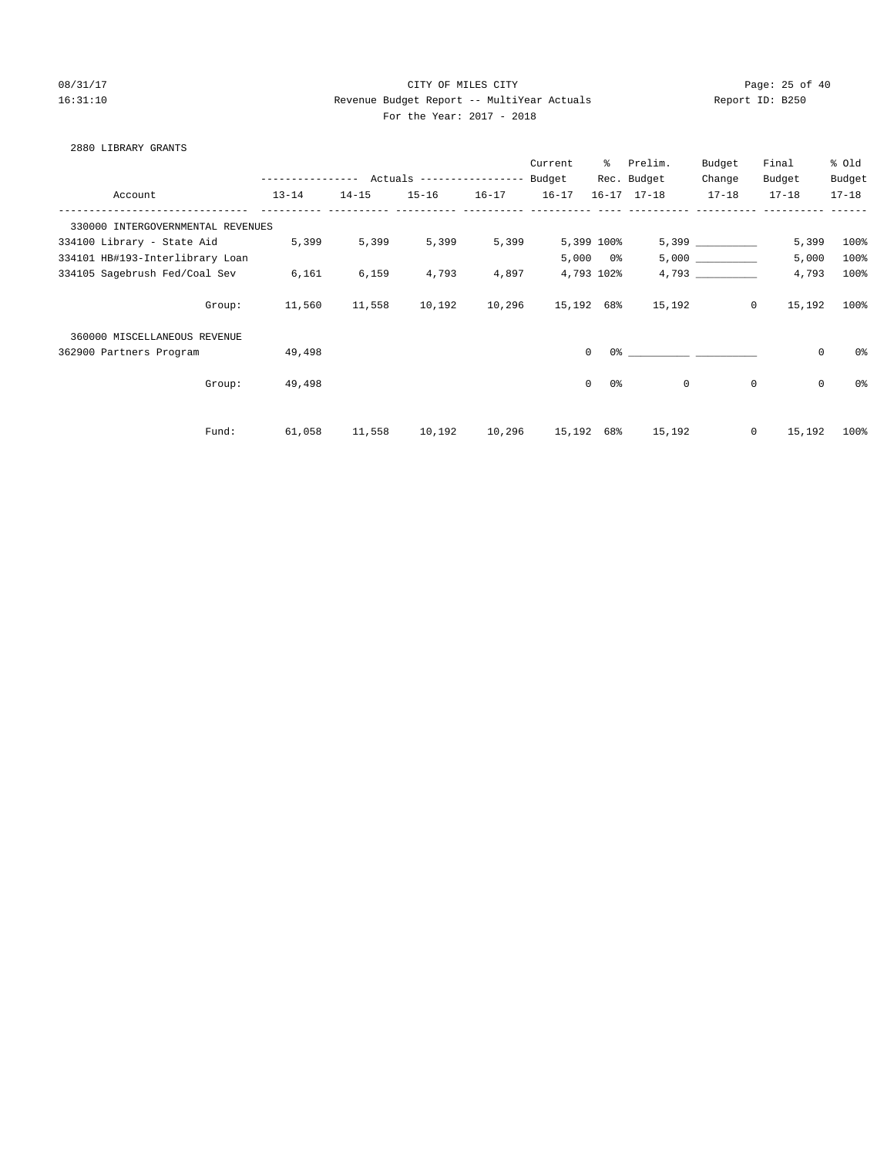## 08/31/17 Page: 25 of 40 16:31:10 Revenue Budget Report -- MultiYear Actuals Report ID: B250 For the Year: 2017 - 2018

#### 2880 LIBRARY GRANTS

|                                   |                  |           |                                  |           | Current    | ွေ                         | Prelim.             | Budget      | Final               | % old          |
|-----------------------------------|------------------|-----------|----------------------------------|-----------|------------|----------------------------|---------------------|-------------|---------------------|----------------|
|                                   | ---------------- |           | Actuals ----------------- Budget |           |            |                            | Rec. Budget         | Change      | Budget              | Budget         |
| Account                           | $13 - 14$        | $14 - 15$ | $15 - 16$                        | $16 - 17$ | $16 - 17$  |                            | $16 - 17$ $17 - 18$ | $17 - 18$   | $17 - 18$           | $17 - 18$      |
| 330000 INTERGOVERNMENTAL REVENUES |                  |           |                                  |           |            |                            |                     |             |                     |                |
| 334100 Library - State Aid        | 5,399            | 5,399     | 5,399                            | 5,399     |            | 5,399 100%                 |                     | 5,399       | 5,399               | 100%           |
| 334101 HB#193-Interlibrary Loan   |                  |           |                                  |           | 5,000      | 0%                         |                     | 5,000       | 5,000               | 100%           |
| 334105 Sagebrush Fed/Coal Sev     | 6,161            | 6,159     | 4,793                            | 4,897     |            | 4,793 102%                 |                     | 4,793       | 4,793               | 100%           |
| Group:                            | 11,560           | 11,558    | 10,192                           | 10,296    | 15,192 68% |                            | 15,192              | $\circ$     | 15,192              | 100%           |
| 360000 MISCELLANEOUS REVENUE      |                  |           |                                  |           |            |                            |                     |             |                     |                |
| 362900 Partners Program           | 49,498           |           |                                  |           |            | $\Omega$                   | $0$ %               |             | $\mathsf{O}\xspace$ | 0 <sup>o</sup> |
| Group:                            | 49,498           |           |                                  |           |            | $\Omega$<br>0 <sup>°</sup> | $\mathbf 0$         | $\mathbf 0$ | $\mathbf 0$         | 0 <sup>o</sup> |
| Fund:                             | 61,058           | 11,558    | 10,192                           | 10,296    | 15,192 68% |                            | 15,192              | $\circ$     | 15,192              | 100%           |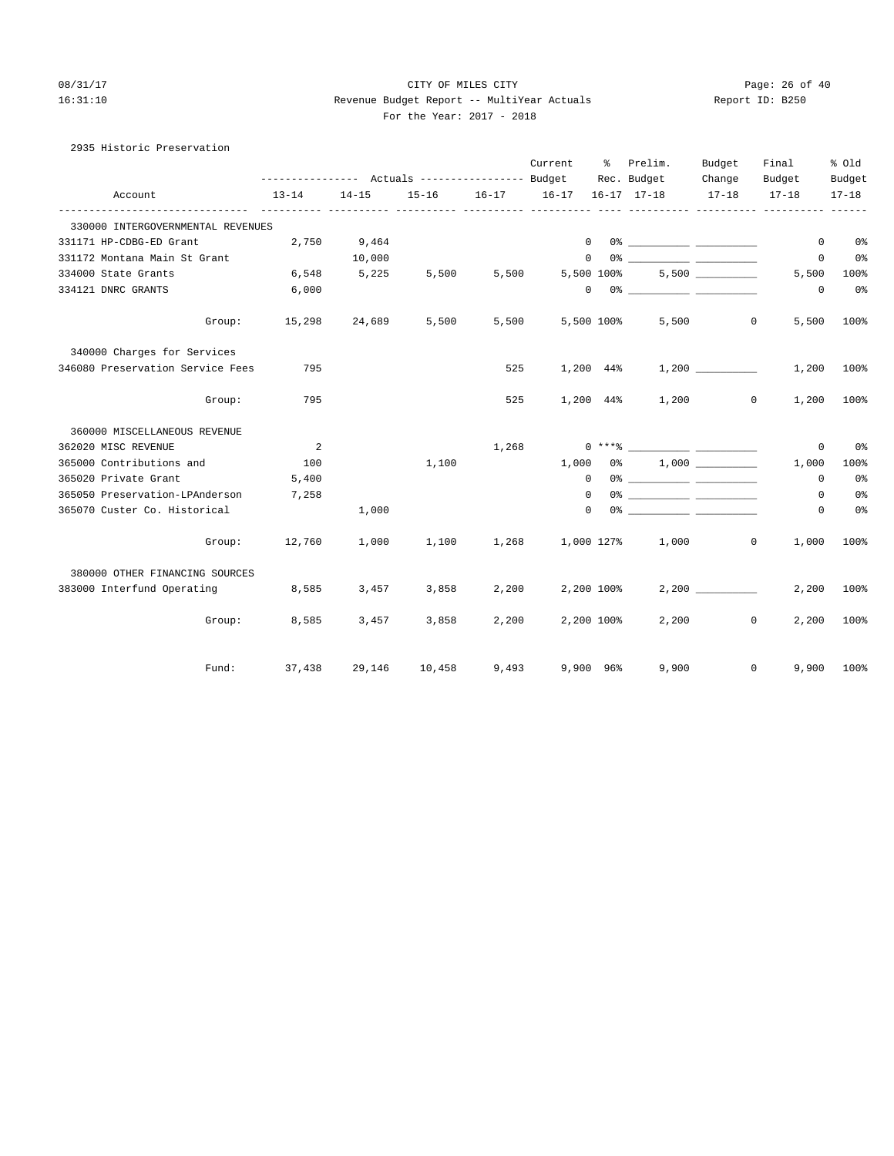2935 Historic Preservation

#### 08/31/17 Page: 26 of 40 16:31:10 Revenue Budget Report -- MultiYear Actuals Report ID: B250 For the Year: 2017 - 2018

|                                   | --------------- Actuals ---------------- Budget |           |           |       | Current    |                         | % Prelim.<br>Rec. Budget                                                                                                                                                                                                                                                                                                                                           | Budget              | Final               | % old               |
|-----------------------------------|-------------------------------------------------|-----------|-----------|-------|------------|-------------------------|--------------------------------------------------------------------------------------------------------------------------------------------------------------------------------------------------------------------------------------------------------------------------------------------------------------------------------------------------------------------|---------------------|---------------------|---------------------|
| Account                           | $13 - 14$                                       | $14 - 15$ | $15 - 16$ |       |            |                         |                                                                                                                                                                                                                                                                                                                                                                    | Change<br>$17 - 18$ | Budget<br>$17 - 18$ | Budget<br>$17 - 18$ |
| 330000 INTERGOVERNMENTAL REVENUES |                                                 |           |           |       |            |                         |                                                                                                                                                                                                                                                                                                                                                                    |                     |                     |                     |
| 331171 HP-CDBG-ED Grant           | 2,750                                           | 9,464     |           |       |            | $\mathbf{0}$            |                                                                                                                                                                                                                                                                                                                                                                    |                     | $\Omega$            | 0%                  |
| 331172 Montana Main St Grant      |                                                 | 10,000    |           |       |            |                         | $\begin{picture}(150,10) \put(0,0){\vector(1,0){100}} \put(15,0){\vector(1,0){100}} \put(15,0){\vector(1,0){100}} \put(15,0){\vector(1,0){100}} \put(15,0){\vector(1,0){100}} \put(15,0){\vector(1,0){100}} \put(15,0){\vector(1,0){100}} \put(15,0){\vector(1,0){100}} \put(15,0){\vector(1,0){100}} \put(15,0){\vector(1,0){100}} \put(15,0){\vector(1,0){100}}$ |                     | 0                   | 0%                  |
| 334000 State Grants               | 6,548                                           | 5,225     | 5,500     | 5,500 |            | 5,500 100%              |                                                                                                                                                                                                                                                                                                                                                                    |                     | 5,500               | 100%                |
| 334121 DNRC GRANTS                | 6,000                                           |           |           |       |            |                         | $\begin{picture}(150,10) \put(0,0){\vector(1,0){100}} \put(15,0){\vector(1,0){100}} \put(15,0){\vector(1,0){100}} \put(15,0){\vector(1,0){100}} \put(15,0){\vector(1,0){100}} \put(15,0){\vector(1,0){100}} \put(15,0){\vector(1,0){100}} \put(15,0){\vector(1,0){100}} \put(15,0){\vector(1,0){100}} \put(15,0){\vector(1,0){100}} \put(15,0){\vector(1,0){100}}$ |                     | $\Omega$            | 0%                  |
| Group:                            | 15,298                                          | 24,689    | 5,500     | 5,500 |            | 5,500 100%              |                                                                                                                                                                                                                                                                                                                                                                    | 5,500<br>$\circ$    | 5,500               | 100%                |
| 340000 Charges for Services       |                                                 |           |           |       |            |                         |                                                                                                                                                                                                                                                                                                                                                                    |                     |                     |                     |
| 346080 Preservation Service Fees  | 795                                             |           |           | 525   |            | 1,200 44%               |                                                                                                                                                                                                                                                                                                                                                                    |                     | 1,200               | 100%                |
| Group:                            | 795                                             |           |           | 525   |            |                         | 1,200 44% 1,200 0                                                                                                                                                                                                                                                                                                                                                  |                     | 1,200               | 100%                |
| 360000 MISCELLANEOUS REVENUE      |                                                 |           |           |       |            |                         |                                                                                                                                                                                                                                                                                                                                                                    |                     |                     |                     |
| 362020 MISC REVENUE               | 2                                               |           |           | 1,268 |            |                         |                                                                                                                                                                                                                                                                                                                                                                    |                     | $\Omega$            | 0 <sup>°</sup>      |
| 365000 Contributions and          | 100                                             |           | 1,100     |       | 1,000      |                         | $0\%$ 1,000                                                                                                                                                                                                                                                                                                                                                        |                     | 1,000               | 100%                |
| 365020 Private Grant              | 5,400                                           |           |           |       | $^{\circ}$ |                         |                                                                                                                                                                                                                                                                                                                                                                    |                     | $\Omega$            | 0%                  |
| 365050 Preservation-LPAnderson    | 7,258                                           |           |           |       | $\circ$    |                         |                                                                                                                                                                                                                                                                                                                                                                    |                     | $\circ$             | 0 <sup>°</sup>      |
| 365070 Custer Co. Historical      |                                                 | 1,000     |           |       |            | $\mathbf 0$             | $0$ $\frac{1}{2}$ $\frac{1}{2}$ $\frac{1}{2}$ $\frac{1}{2}$ $\frac{1}{2}$ $\frac{1}{2}$ $\frac{1}{2}$ $\frac{1}{2}$ $\frac{1}{2}$ $\frac{1}{2}$ $\frac{1}{2}$ $\frac{1}{2}$ $\frac{1}{2}$ $\frac{1}{2}$ $\frac{1}{2}$ $\frac{1}{2}$ $\frac{1}{2}$ $\frac{1}{2}$ $\frac{1}{2}$ $\frac{1}{2}$ $\frac{1}{2}$ $\frac{1}{2$                                             |                     | 0                   | $0\,$ s             |
|                                   | Group: 12,760                                   | 1,000     | 1,100     | 1,268 |            |                         | 1,000 127% 1,000                                                                                                                                                                                                                                                                                                                                                   | $\circ$             | 1,000               | 100%                |
| 380000 OTHER FINANCING SOURCES    |                                                 |           |           |       |            |                         |                                                                                                                                                                                                                                                                                                                                                                    |                     |                     |                     |
| 383000 Interfund Operating        | 8,585                                           | 3,457     | 3,858     | 2,200 |            | 2,200 100%              |                                                                                                                                                                                                                                                                                                                                                                    | 2,200               | 2,200               | 100%                |
| Group:                            | 8,585                                           | 3,457     | 3,858     | 2,200 |            | 2,200 100%              | 2,200                                                                                                                                                                                                                                                                                                                                                              | $\mathbf{0}$        | 2,200               | 100%                |
| Fund:                             | 37,438 29,146 10,458                            |           |           | 9,493 |            | $9,900$ $96\frac{8}{3}$ |                                                                                                                                                                                                                                                                                                                                                                    | 9,900<br>$\circ$    | 9,900               | 100%                |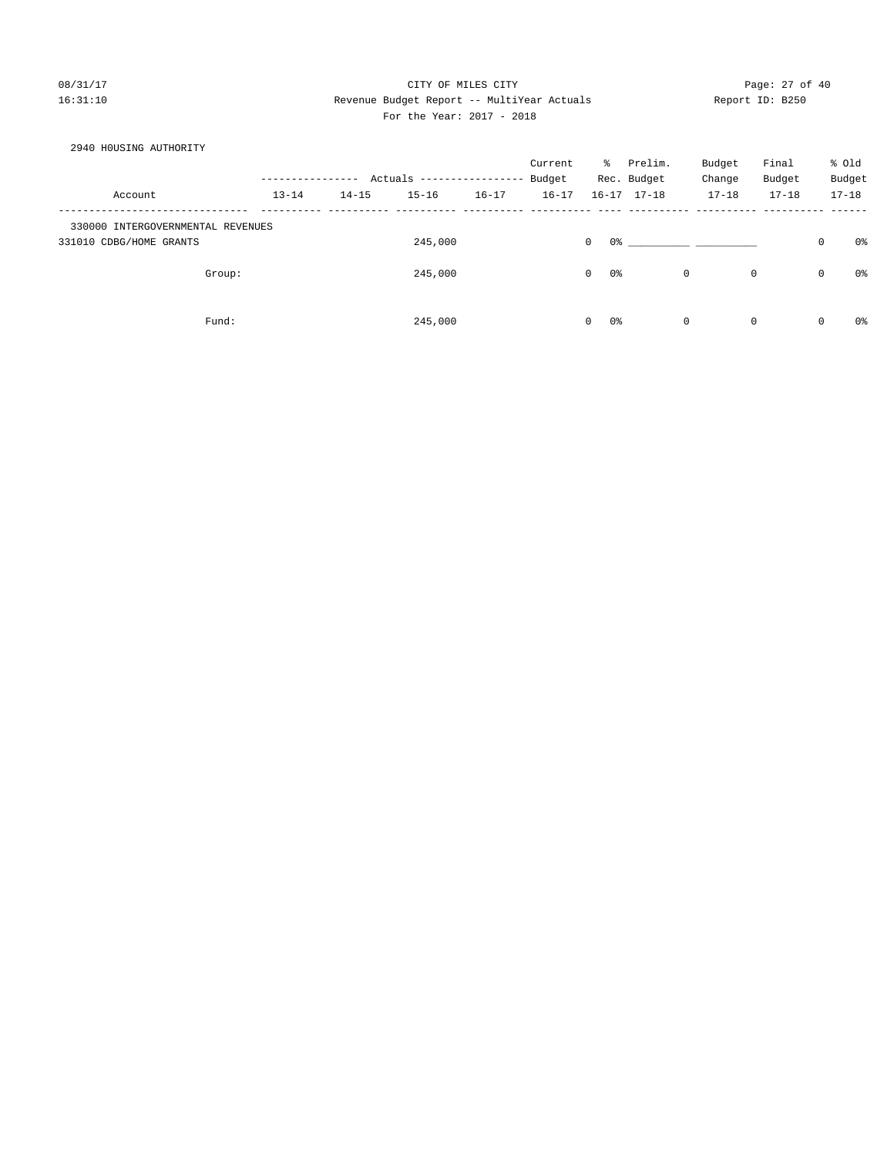## 08/31/17 Page: 27 of 40 16:31:10 Revenue Budget Report -- MultiYear Actuals Report ID: B250 For the Year: 2017 - 2018

| 2940 HOUSING AUTHORITY            |        |           |           |                           |           |           |                   |                     |           |             |   |                |
|-----------------------------------|--------|-----------|-----------|---------------------------|-----------|-----------|-------------------|---------------------|-----------|-------------|---|----------------|
|                                   |        |           |           |                           |           | Current   | ႜႜၟ               | Prelim.             | Budget    | Final       |   | % Old          |
|                                   |        |           |           | Actuals ----------------- |           | Budget    |                   | Rec. Budget         | Change    | Budget      |   | Budget         |
| Account                           |        | $13 - 14$ | $14 - 15$ | $15 - 16$                 | $16 - 17$ | $16 - 17$ |                   | $16 - 17$ $17 - 18$ | $17 - 18$ | $17 - 18$   |   | $17 - 18$      |
| 330000 INTERGOVERNMENTAL REVENUES |        |           |           |                           |           |           |                   |                     |           |             |   |                |
| 331010 CDBG/HOME GRANTS           |        |           |           | 245,000                   |           |           | $\mathbf 0$<br>0% |                     |           |             | 0 | 0%             |
|                                   | Group: |           |           | 245,000                   |           |           | $\mathbf 0$<br>0% |                     | 0         | $\mathbf 0$ | 0 | 0%             |
|                                   | Fund:  |           |           | 245,000                   |           |           | $\Omega$<br>0 %   |                     | 0         | $\mathbf 0$ | 0 | 0 <sup>°</sup> |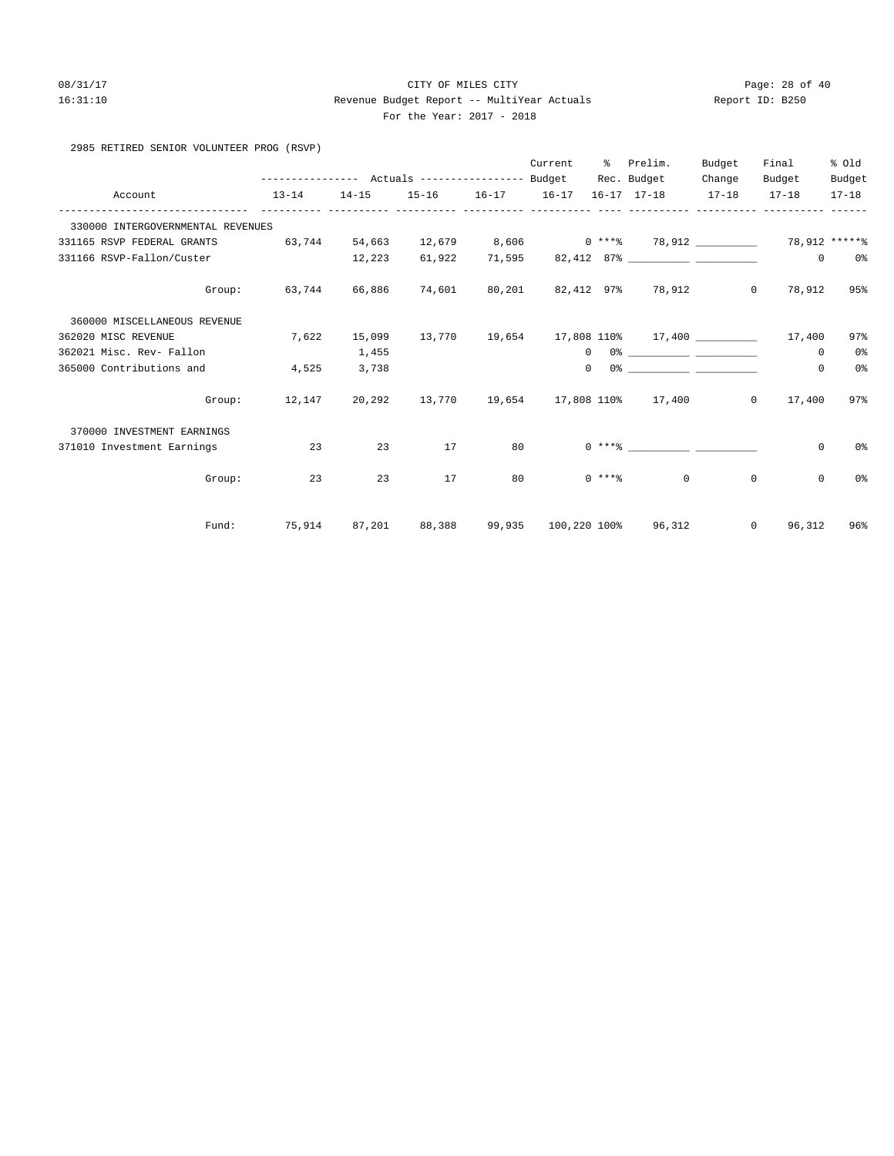#### 08/31/17 Page: 28 of 40 16:31:10 Revenue Budget Report -- MultiYear Actuals Report ID: B250 For the Year: 2017 - 2018

|  | 2985 RETIRED SENIOR VOLUNTEER PROG (RSVP) |  |
|--|-------------------------------------------|--|

|                                   |                                                                                    |           |    |    | Current |          | % Prelim.                                                                                                                                                                                                                                                                                                                                                          | Budget  | Final         | % Old          |
|-----------------------------------|------------------------------------------------------------------------------------|-----------|----|----|---------|----------|--------------------------------------------------------------------------------------------------------------------------------------------------------------------------------------------------------------------------------------------------------------------------------------------------------------------------------------------------------------------|---------|---------------|----------------|
|                                   |                                                                                    |           |    |    |         |          | Rec. Budget                                                                                                                                                                                                                                                                                                                                                        | Change  | Budget        | Budget         |
| Account                           | $13 - 14$                                                                          | $14 - 15$ |    |    |         |          | 15-16 16-17 16-17 16-17 17-18 17-18                                                                                                                                                                                                                                                                                                                                |         | $17 - 18$     | 17-18          |
| 330000 INTERGOVERNMENTAL REVENUES |                                                                                    |           |    |    |         |          |                                                                                                                                                                                                                                                                                                                                                                    |         |               |                |
| 331165 RSVP FEDERAL GRANTS        | 63,744   54,663   12,679    8,606      0 ***%   78,912 ___________   78,912 *****% |           |    |    |         |          |                                                                                                                                                                                                                                                                                                                                                                    |         |               |                |
| 331166 RSVP-Fallon/Custer         | $12,223$ 61,922                                                                    |           |    |    |         |          | 71,595 82,412 87%                                                                                                                                                                                                                                                                                                                                                  |         | $\circ$       | 0%             |
|                                   | Group: 63,744 66,886 74,601 80,201 82,412 97% 78,912 0                             |           |    |    |         |          |                                                                                                                                                                                                                                                                                                                                                                    |         | 78,912        | 95%            |
| 360000 MISCELLANEOUS REVENUE      |                                                                                    |           |    |    |         |          |                                                                                                                                                                                                                                                                                                                                                                    |         |               |                |
| 362020 MISC REVENUE               | 7,622                                                                              | 15,099    |    |    |         |          | $13,770$ $19,654$ $17,808$ $110$ $17,400$ $17,400$ $17,400$                                                                                                                                                                                                                                                                                                        |         |               | 97%            |
| 362021 Misc. Rev- Fallon          |                                                                                    | 1,455     |    |    |         |          | $\begin{picture}(180,10) \put(0,0){\vector(1,0){100}} \put(15,0){\vector(1,0){100}} \put(15,0){\vector(1,0){100}} \put(15,0){\vector(1,0){100}} \put(15,0){\vector(1,0){100}} \put(15,0){\vector(1,0){100}} \put(15,0){\vector(1,0){100}} \put(15,0){\vector(1,0){100}} \put(15,0){\vector(1,0){100}} \put(15,0){\vector(1,0){100}} \put(15,0){\vector(1,0){100}}$ |         | 0             | 0 <sup>°</sup> |
| 365000 Contributions and          | 4,525                                                                              | 3,738     |    |    |         | $\Omega$ |                                                                                                                                                                                                                                                                                                                                                                    |         | $\mathbf{0}$  | 0 <sup>°</sup> |
|                                   | Group: 12,147 20,292 13,770 19,654 17,808 110% 17,400 0 17,400                     |           |    |    |         |          |                                                                                                                                                                                                                                                                                                                                                                    |         |               | 97%            |
| 370000 INVESTMENT EARNINGS        |                                                                                    |           |    |    |         |          |                                                                                                                                                                                                                                                                                                                                                                    |         |               |                |
| 371010 Investment Earnings        | 23                                                                                 | 23        | 17 | 80 |         |          |                                                                                                                                                                                                                                                                                                                                                                    |         | $\circ$       | 0%             |
| Group:                            | 23                                                                                 | 23        | 17 | 80 |         |          | $0 \times 10^{-10}$                                                                                                                                                                                                                                                                                                                                                | $\circ$ | $\mathbf{0}$  | 0%             |
| Fund:                             | 75,914 87,201 88,388 99,935 100,220 100% 96,312                                    |           |    |    |         |          |                                                                                                                                                                                                                                                                                                                                                                    |         | $0 \t 96,312$ | 96%            |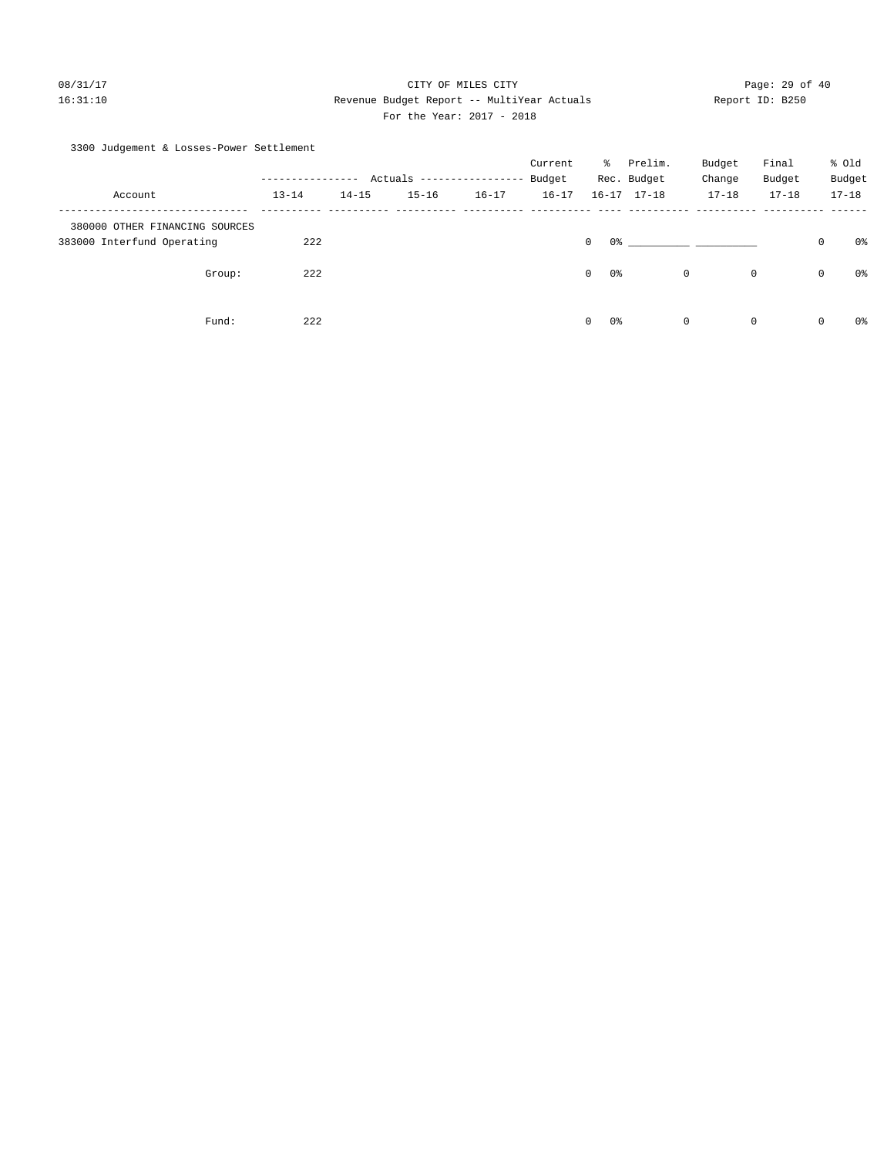## 08/31/17 Page: 29 of 40 16:31:10 Revenue Budget Report -- MultiYear Actuals Report ID: B250 For the Year: 2017 - 2018

## 3300 Judgement & Losses-Power Settlement

|                                |              |           |                           |           | Current   | ိ             | Prelim.             | Budget       | Final        |              | % Old     |
|--------------------------------|--------------|-----------|---------------------------|-----------|-----------|---------------|---------------------|--------------|--------------|--------------|-----------|
|                                | . <u>.</u> . |           | Actuals ----------------- |           | Budget    |               | Rec. Budget         | Change       | Budget       |              | Budget    |
| Account                        | $13 - 14$    | $14 - 15$ | $15 - 16$                 | $16 - 17$ | $16 - 17$ |               | $16 - 17$ $17 - 18$ | $17 - 18$    | $17 - 18$    |              | $17 - 18$ |
| 380000 OTHER FINANCING SOURCES |              |           |                           |           |           |               |                     |              |              |              |           |
| 383000 Interfund Operating     | 222          |           |                           |           |           | $\mathbf{0}$  | 0 왕                 |              |              | $\mathbf 0$  | 0%        |
| Group:                         | 222          |           |                           |           |           | 0%<br>$\circ$ |                     | $\mathbf{0}$ | $\mathsf{O}$ | $\mathbf{0}$ | 0%        |
| Fund:                          | 222          |           |                           |           |           | $\circ$<br>0% |                     | $\mathbf 0$  | 0            | $\mathbf 0$  | 0%        |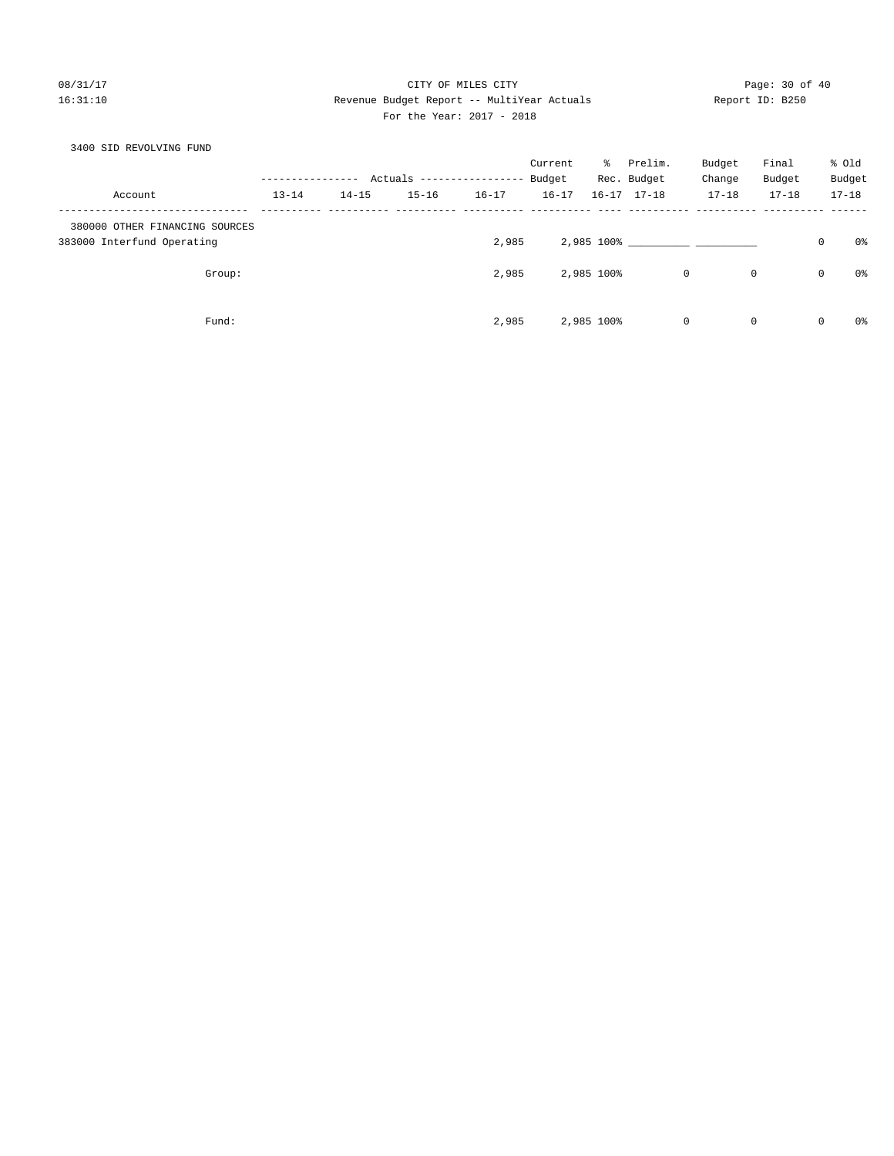## 08/31/17 Page: 30 of 40 16:31:10 Revenue Budget Report -- MultiYear Actuals Report ID: B250 For the Year: 2017 - 2018

| 3400 SID REVOLVING FUND        |           |           |           |                            |           |            |                     |             |             |         |                |
|--------------------------------|-----------|-----------|-----------|----------------------------|-----------|------------|---------------------|-------------|-------------|---------|----------------|
|                                |           |           |           |                            | Current   | ႜႜၟ        | Prelim.             | Budget      | Final       |         | % old          |
|                                |           |           |           | Actuals ------------------ | Budget    |            | Rec. Budget         | Change      | Budget      |         | Budget         |
| Account                        | $13 - 14$ | $14 - 15$ | $15 - 16$ | $16 - 17$                  | $16 - 17$ |            | $16 - 17$ $17 - 18$ | $17 - 18$   | $17 - 18$   |         | $17 - 18$      |
| 380000 OTHER FINANCING SOURCES |           |           |           |                            |           |            |                     |             |             |         |                |
| 383000 Interfund Operating     |           |           |           | 2,985                      |           |            |                     | 2,985 100%  |             | $\circ$ | 0%             |
| Group:                         |           |           |           | 2,985                      |           | 2,985 100% |                     | $\mathbf 0$ | $\mathbf 0$ | 0       | 0%             |
| Fund:                          |           |           |           | 2,985                      |           | 2,985 100% |                     | $\mathbf 0$ | $\mathbf 0$ | 0       | 0 <sup>o</sup> |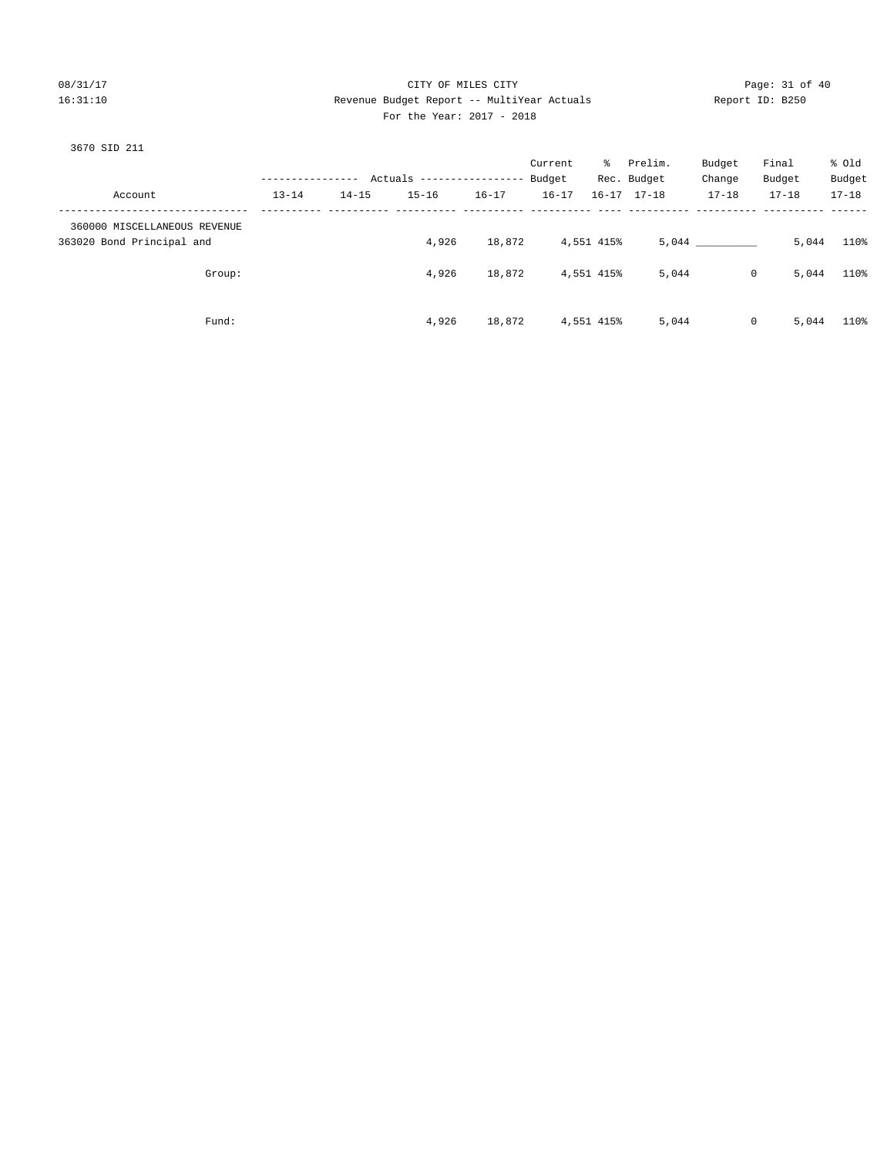## 08/31/17 Page: 31 of 40 16:31:10 Revenue Budget Report -- MultiYear Actuals Report ID: B250 For the Year: 2017 - 2018

# 3670 SID 211

| Account                                                   | ----------------<br>$13 - 14$ | $14 - 15$ | Actuals ----------------- Budget<br>$15 - 16$ | $16 - 17$ | Current<br>$16 - 17$ |            | % Prelim.<br>Rec. Budget<br>$16 - 17$ $17 - 18$ | Budget<br>Change<br>$17 - 18$ | Final<br>Budget<br>$17 - 18$ | % old<br>Budget<br>$17 - 18$ |
|-----------------------------------------------------------|-------------------------------|-----------|-----------------------------------------------|-----------|----------------------|------------|-------------------------------------------------|-------------------------------|------------------------------|------------------------------|
| 360000 MISCELLANEOUS REVENUE<br>363020 Bond Principal and |                               |           | 4,926                                         | 18,872    |                      | 4,551 415% |                                                 | 5,044                         | 5,044                        | 110%                         |
| Group:                                                    |                               |           | 4,926                                         | 18,872    |                      | 4,551 415% | 5,044                                           | $\mathbf{0}$                  | 5,044                        | 110%                         |
| Fund:                                                     |                               |           | 4,926                                         | 18,872    |                      | 4,551 415% | 5,044                                           | $\mathbf{0}$                  | 5,044                        | 110%                         |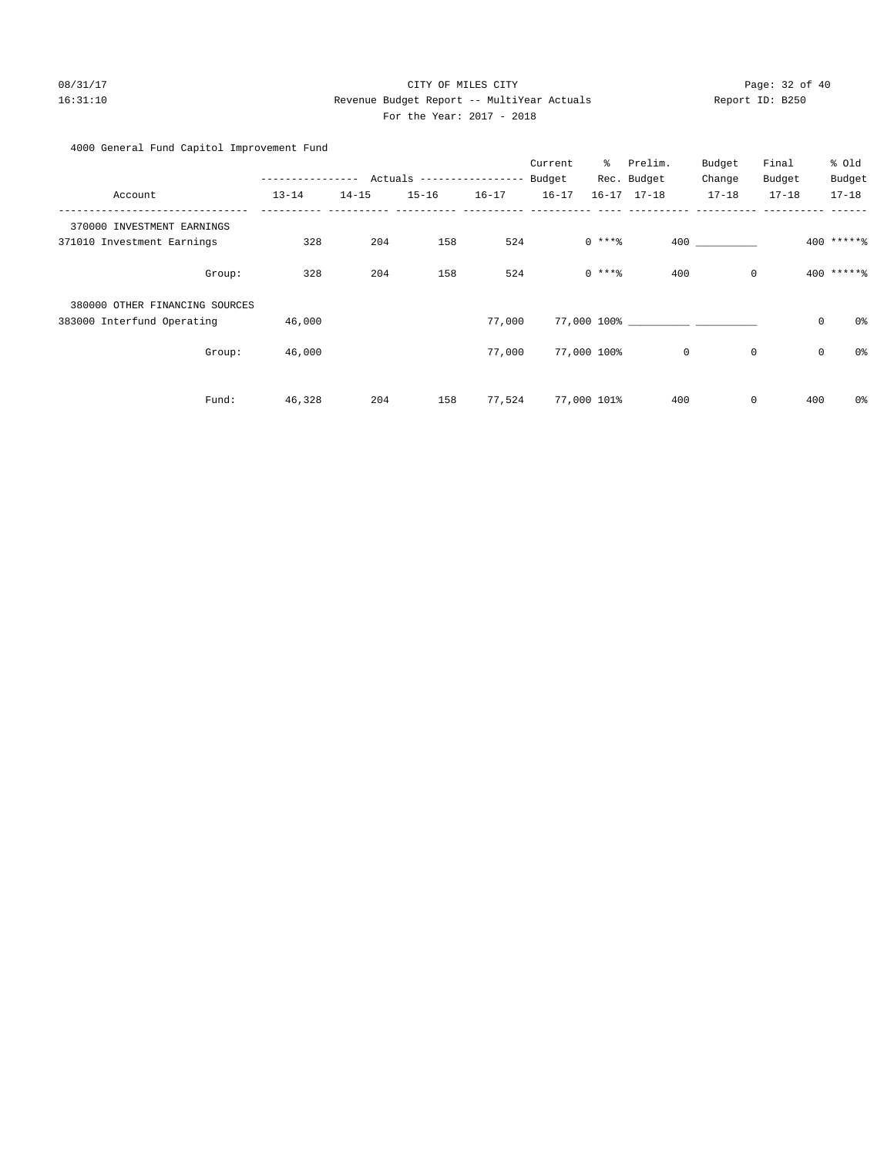## 08/31/17 Page: 32 of 40 16:31:10 Revenue Budget Report -- MultiYear Actuals Report ID: B250 For the Year: 2017 - 2018

## 4000 General Fund Capitol Improvement Fund

|                                |        |           |           |                                  |           | Current   | နွ          | Prelim.             | Budget      | Final               | % Old           |
|--------------------------------|--------|-----------|-----------|----------------------------------|-----------|-----------|-------------|---------------------|-------------|---------------------|-----------------|
|                                |        |           | $------$  | Actuals ----------------- Budget |           |           |             | Rec. Budget         | Change      | Budget              | Budget          |
| Account                        |        | $13 - 14$ | $14 - 15$ | $15 - 16$                        | $16 - 17$ | $16 - 17$ |             | $16 - 17$ $17 - 18$ | $17 - 18$   | $17 - 18$           | $17 - 18$       |
| 370000 INVESTMENT EARNINGS     |        |           |           |                                  |           |           |             |                     |             |                     |                 |
| 371010 Investment Earnings     |        | 328       | 204       | 158                              | 524       |           | $0$ ****    |                     | 400 000     |                     | $400$ ******    |
|                                | Group: | 328       | 204       | 158                              | 524       |           | $0$ ****    | 400                 | $\mathbf 0$ |                     | $400$ ***** $%$ |
| 380000 OTHER FINANCING SOURCES |        |           |           |                                  |           |           |             |                     |             |                     |                 |
| 383000 Interfund Operating     |        | 46,000    |           |                                  | 77,000    |           |             | 77,000 100%         |             | $\mathsf{O}\xspace$ | 0%              |
|                                | Group: | 46,000    |           |                                  | 77,000    |           | 77,000 100% | $\mathbf 0$         | $\mathbf 0$ | $\mathbf 0$         | 0%              |
|                                | Fund:  | 46,328    | 204       | 158                              | 77,524    |           | 77,000 101% | 400                 | $\mathbf 0$ | 400                 | 0%              |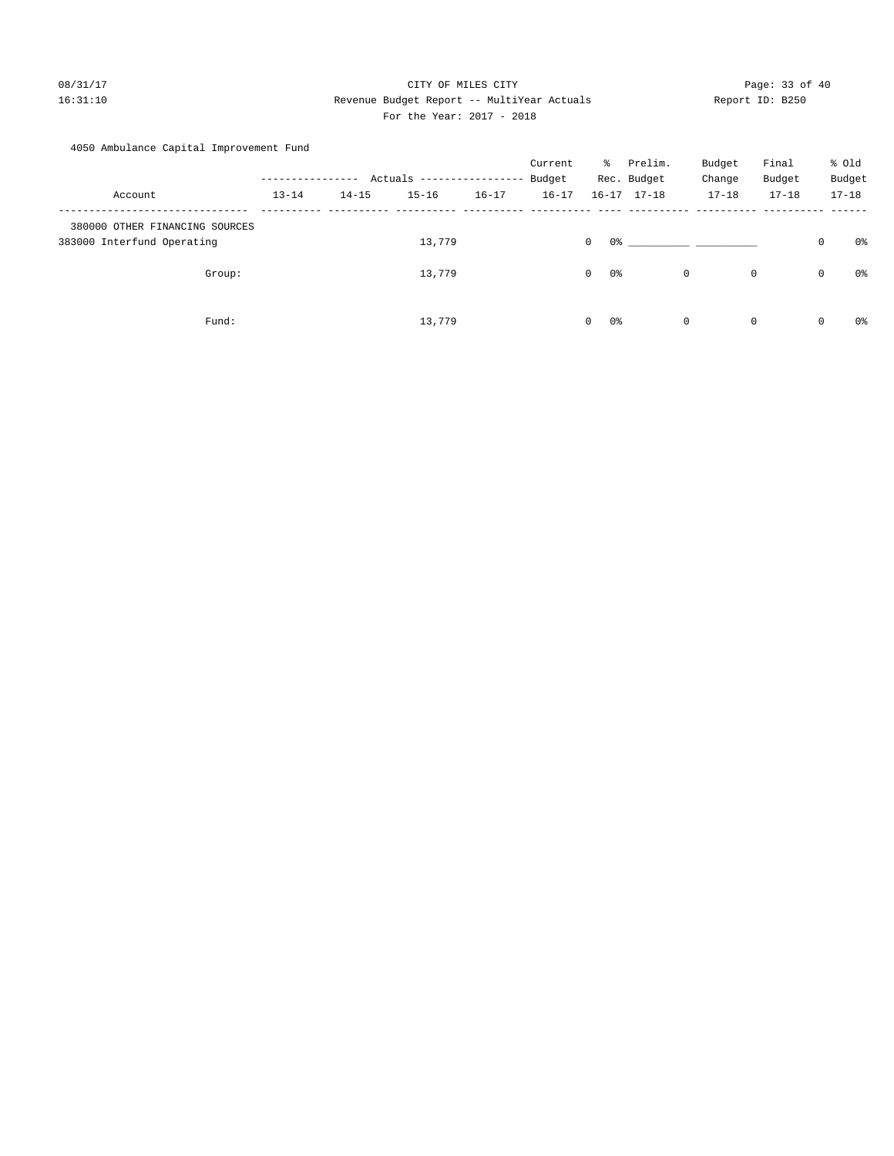## 08/31/17 Page: 33 of 40 16:31:10 Revenue Budget Report -- MultiYear Actuals Report ID: B250 For the Year: 2017 - 2018

## 4050 Ambulance Capital Improvement Fund

|                                                              |           |           |                           |           | Current   | ိ                   | Prelim.             | Budget       |             | Final        | % Old     |    |
|--------------------------------------------------------------|-----------|-----------|---------------------------|-----------|-----------|---------------------|---------------------|--------------|-------------|--------------|-----------|----|
|                                                              |           |           | Actuals ----------------- |           | Budget    |                     | Rec. Budget         | Change       |             | Budget       | Budget    |    |
| Account                                                      | $13 - 14$ | $14 - 15$ | $15 - 16$                 | $16 - 17$ | $16 - 17$ |                     | $16 - 17$ $17 - 18$ | $17 - 18$    |             | $17 - 18$    | $17 - 18$ |    |
| 380000 OTHER FINANCING SOURCES<br>383000 Interfund Operating |           |           | 13,779                    |           |           | 0 %<br>$\mathbf{0}$ |                     |              |             | $\mathbf 0$  |           | 0% |
| Group:                                                       |           |           | 13,779                    |           |           | $\circ$<br>0%       |                     | $\mathsf{O}$ | $\mathbf 0$ | $\mathsf{O}$ |           | 0% |
| Fund:                                                        |           |           | 13,779                    |           |           | 0%<br>$\circ$       |                     | $\mathsf{O}$ | $\mathbf 0$ | $\mathsf{O}$ |           | 0% |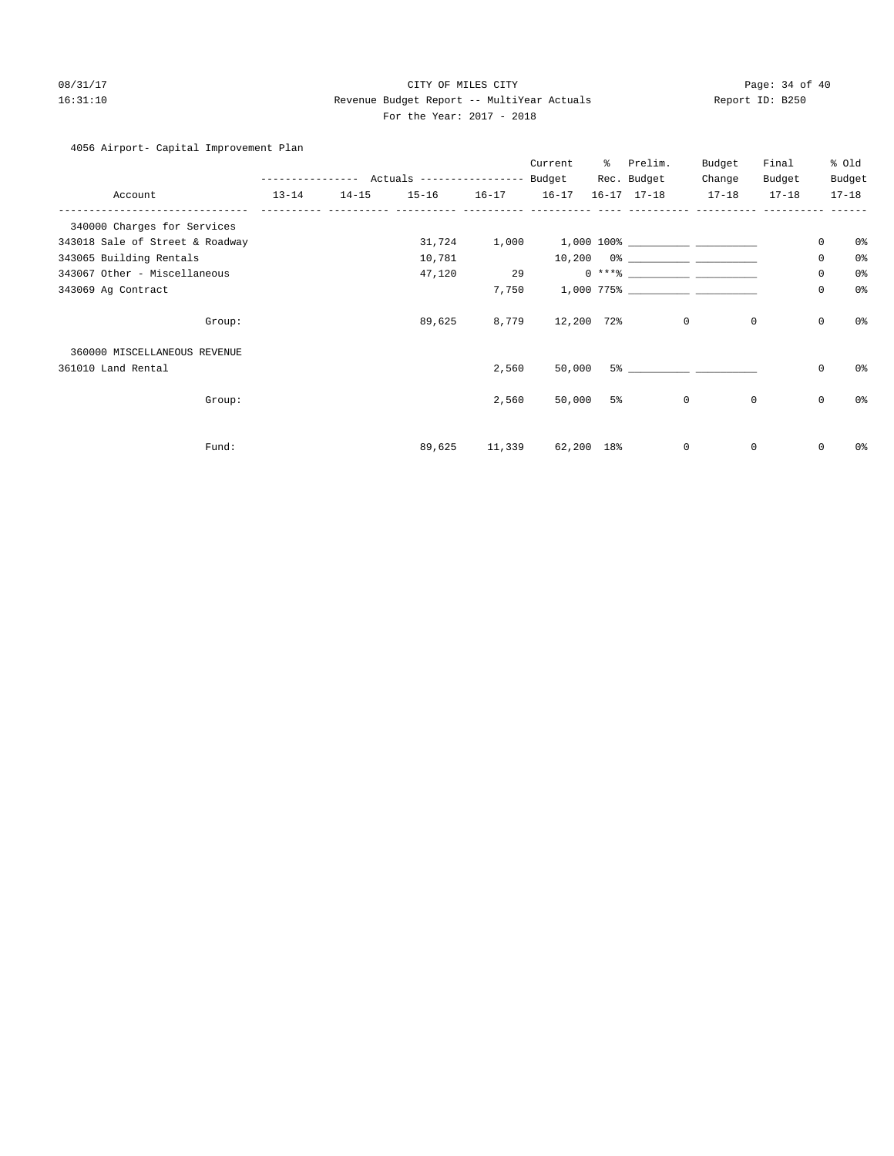## 08/31/17 Page: 34 of 40 16:31:10 Revenue Budget Report -- MultiYear Actuals Report ID: B250 For the Year: 2017 - 2018

4056 Airport- Capital Improvement Plan

|                                 |           |           | --------------- Actuals ----------------- |        | Current<br>Budget | ႜႜၟ | Prelim.<br>Rec. Budget                                                                                                                                                                                                                                                                                                                                                                                                                                                                                              | Budget<br>Change | Final<br>Budget |             | % old<br>Budget |
|---------------------------------|-----------|-----------|-------------------------------------------|--------|-------------------|-----|---------------------------------------------------------------------------------------------------------------------------------------------------------------------------------------------------------------------------------------------------------------------------------------------------------------------------------------------------------------------------------------------------------------------------------------------------------------------------------------------------------------------|------------------|-----------------|-------------|-----------------|
| Account                         | $13 - 14$ | $14 - 15$ | $15 - 16$ $16 - 17$                       |        | $16 - 17$         |     | $16 - 17$ $17 - 18$                                                                                                                                                                                                                                                                                                                                                                                                                                                                                                 | $17 - 18$        | $17 - 18$       |             | $17 - 18$       |
| 340000 Charges for Services     |           |           |                                           |        |                   |     |                                                                                                                                                                                                                                                                                                                                                                                                                                                                                                                     |                  |                 |             |                 |
| 343018 Sale of Street & Roadway |           |           | 31,724                                    |        |                   |     |                                                                                                                                                                                                                                                                                                                                                                                                                                                                                                                     |                  |                 | 0           | 0%              |
| 343065 Building Rentals         |           |           | 10,781                                    |        |                   |     |                                                                                                                                                                                                                                                                                                                                                                                                                                                                                                                     |                  |                 | $\mathbf 0$ | 0%              |
| 343067 Other - Miscellaneous    |           |           | 47,120                                    | 29     |                   |     | $0 \xrightarrow{***\text{\texttt{\%}}}\xrightarrow{\hspace*{1.5cm}}\xrightarrow{\hspace*{1.5cm}}\xrightarrow{\hspace*{1.5cm}}\xrightarrow{\hspace*{1.5cm}}\xrightarrow{\hspace*{1.5cm}}\xrightarrow{\hspace*{1.5cm}}\xrightarrow{\hspace*{1.5cm}}\xrightarrow{\hspace*{1.5cm}}\xrightarrow{\hspace*{1.5cm}}\xrightarrow{\hspace*{1.5cm}}\xrightarrow{\hspace*{1.5cm}}\xrightarrow{\hspace*{1.5cm}}\xrightarrow{\hspace*{1.5cm}}\xrightarrow{\hspace*{1.5cm}}\xrightarrow{\hspace*{1.5cm}}\xrightarrow{\hspace*{1.5$ |                  |                 | 0           | 0%              |
| 343069 Ag Contract              |           |           |                                           | 7,750  |                   |     |                                                                                                                                                                                                                                                                                                                                                                                                                                                                                                                     |                  |                 | $\mathbf 0$ | 0%              |
| Group:                          |           |           | 89,625                                    |        | 8,779 12,200 72%  |     | $\mathbf{0}$                                                                                                                                                                                                                                                                                                                                                                                                                                                                                                        | 0                |                 | $\mathbf 0$ | 0%              |
| 360000 MISCELLANEOUS REVENUE    |           |           |                                           |        |                   |     |                                                                                                                                                                                                                                                                                                                                                                                                                                                                                                                     |                  |                 |             |                 |
| 361010 Land Rental              |           |           |                                           | 2,560  | 50,000            |     | 5% - 2010 - 2011 - 2012 - 2012 - 2012 - 2012 - 2012 - 2012 - 2012 - 2012 - 2012 - 2013                                                                                                                                                                                                                                                                                                                                                                                                                              |                  |                 | $\circ$     | 0%              |
| Group:                          |           |           |                                           | 2,560  | 50,000            | 5%  | $\circ$                                                                                                                                                                                                                                                                                                                                                                                                                                                                                                             | $\mathbb O$      |                 | $\mathsf 0$ | 0%              |
| Fund:                           |           |           | 89,625                                    | 11,339 | 62,200 18%        |     | $\mathbf 0$                                                                                                                                                                                                                                                                                                                                                                                                                                                                                                         | 0                |                 | 0           | 0%              |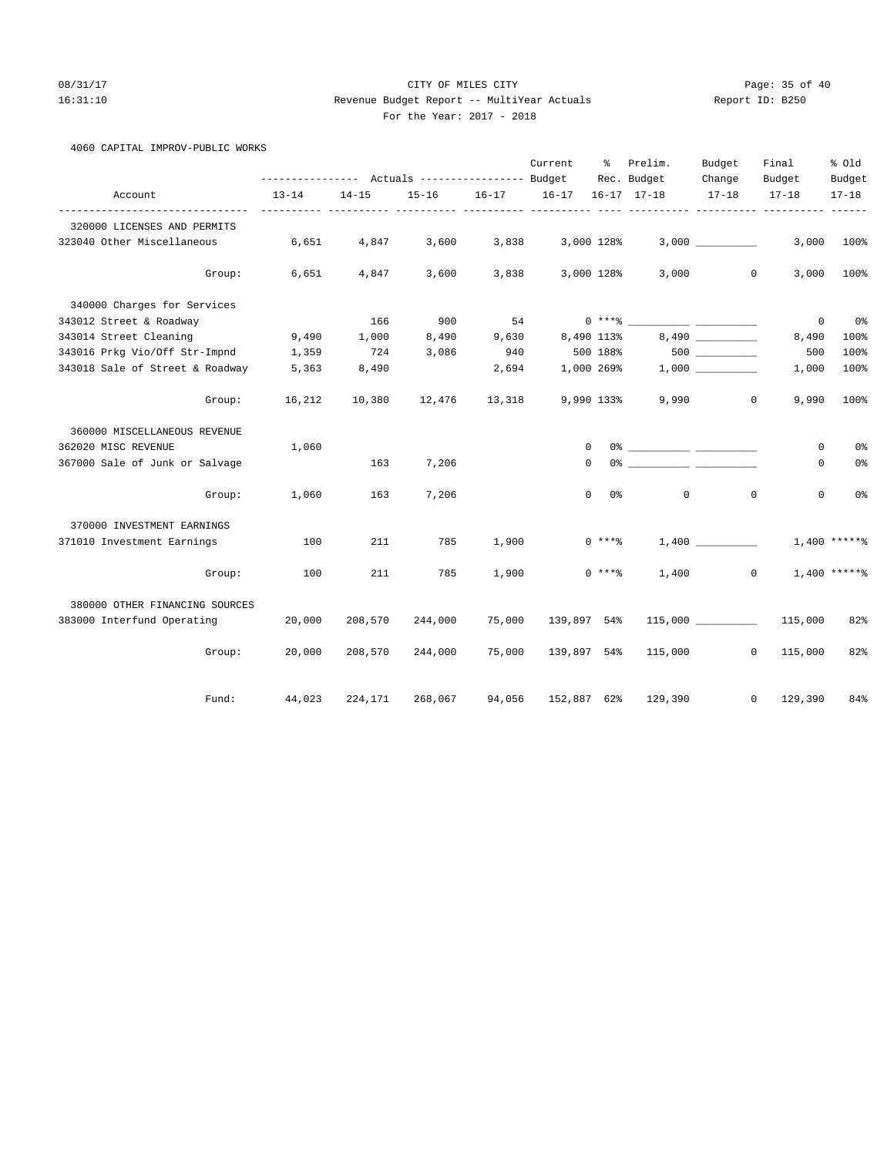#### 08/31/17 Page: 35 of 40 16:31:10 Revenue Budget Report -- MultiYear Actuals Report ID: B250 For the Year: 2017 - 2018

|  | For the Year: 2017 |  |
|--|--------------------|--|
|  |                    |  |

|  |  | 4060 CAPITAL IMPROV-PUBLIC WORKS |  |
|--|--|----------------------------------|--|
|--|--|----------------------------------|--|

|                                 |           |           |         |        | Current           | ి                   | Prelim.             | Budget    | Final                       | % old          |
|---------------------------------|-----------|-----------|---------|--------|-------------------|---------------------|---------------------|-----------|-----------------------------|----------------|
|                                 |           |           |         |        |                   |                     | Rec. Budget         | Change    | Budget                      | Budget         |
| Account                         | $13 - 14$ | $14 - 15$ |         |        | 15-16 16-17 16-17 |                     | $16 - 17$ $17 - 18$ | $17 - 18$ | $17 - 18$                   | $17 - 18$      |
| 320000 LICENSES AND PERMITS     |           |           |         |        |                   |                     |                     |           |                             | -----          |
| 323040 Other Miscellaneous      | 6,651     | 4,847     | 3,600   | 3,838  |                   | 3,000 128%          |                     | 3,000     | 3,000                       | 100%           |
| Group:                          | 6,651     | 4,847     | 3,600   | 3,838  |                   | 3,000 128%          |                     | 3,000     | $\mathbf{0}$<br>3,000       | 100%           |
| 340000 Charges for Services     |           |           |         |        |                   |                     |                     |           |                             |                |
| 343012 Street & Roadway         |           | 166       | 900     | 54     |                   |                     |                     |           | 0                           | 0%             |
| 343014 Street Cleaning          | 9,490     | 1,000     | 8,490   | 9,630  |                   | 8,490 113%          |                     | 8,490     | 8,490                       | 100%           |
| 343016 Prkg Vio/Off Str-Impnd   | 1,359     | 724       | 3,086   | 940    |                   | 500 188%            |                     |           | 500                         | 100%           |
| 343018 Sale of Street & Roadway | 5,363     | 8,490     |         | 2,694  |                   | 1,000 269%          |                     |           | 1,000                       | 100%           |
| Group:                          | 16,212    | 10,380    | 12,476  | 13,318 |                   | 9,990 133%          | 9,990               |           | $\mathbf{0}$<br>9,990       | 100%           |
| 360000 MISCELLANEOUS REVENUE    |           |           |         |        |                   |                     |                     |           |                             |                |
| 362020 MISC REVENUE             | 1,060     |           |         |        | $\mathbf 0$       |                     |                     |           | 0                           | 0%             |
| 367000 Sale of Junk or Salvage  |           | 163       | 7,206   |        | $\circ$           |                     |                     |           | 0                           | 0%             |
| Group:                          | 1,060     | 163       | 7,206   |        |                   | $\mathbf{0}$<br>0 % | $\circ$             |           | $\mathbf{0}$<br>$\mathbf 0$ | 0 <sup>°</sup> |
| 370000 INVESTMENT EARNINGS      |           |           |         |        |                   |                     |                     |           |                             |                |
| 371010 Investment Earnings      | 100       | 211       | 785     | 1,900  |                   | $0***$ $*$          |                     | 1,400     |                             | $1,400****$    |
| Group:                          | 100       | 211       | 785     | 1,900  |                   | $0***8$             | 1,400               |           | $\mathbf{0}$                | $1,400$ *****% |
| 380000 OTHER FINANCING SOURCES  |           |           |         |        |                   |                     |                     |           |                             |                |
| 383000 Interfund Operating      | 20,000    | 208,570   | 244,000 | 75,000 | 139,897 54%       |                     |                     |           | 115,000                     | 82%            |
| Group:                          | 20,000    | 208,570   | 244,000 | 75,000 | 139,897 54%       |                     |                     | 115,000   | $\circ$<br>115,000          | 82%            |
| Fund:                           | 44,023    | 224,171   | 268,067 | 94,056 | 152,887 62%       |                     | 129,390             |           | 129,390<br>$^{\circ}$       | 84%            |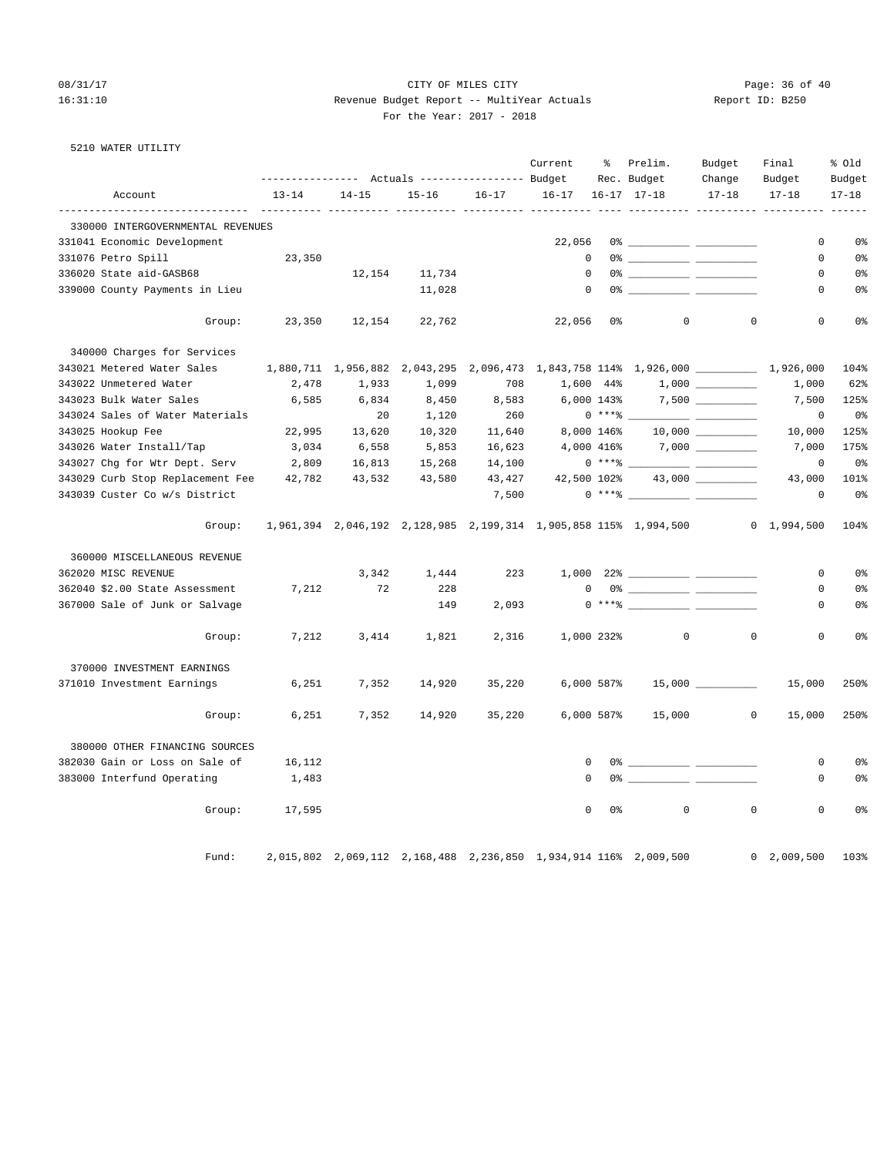#### 08/31/17 Page: 36 of 40 16:31:10 Revenue Budget Report -- MultiYear Actuals Report ID: B250 For the Year: 2017 - 2018

| 5210 WATER UTILITY |  |
|--------------------|--|
|--------------------|--|

|                                         |                               |                                                       |           |           | Current     | ိ            | Prelim.                                 | Budget                                                                                                                 | Final                                                                        | % old          |
|-----------------------------------------|-------------------------------|-------------------------------------------------------|-----------|-----------|-------------|--------------|-----------------------------------------|------------------------------------------------------------------------------------------------------------------------|------------------------------------------------------------------------------|----------------|
|                                         |                               | ---------------    Actuals ----------------    Budget |           |           |             |              | Rec. Budget                             | Change                                                                                                                 | Budget                                                                       | Budget         |
| Account                                 | $13 - 14$                     | $14 - 15$<br>.                                        | $15 - 16$ | $16 - 17$ | $16 - 17$   |              | $16 - 17$ $17 - 18$                     | $17 - 18$                                                                                                              | $17 - 18$                                                                    | $17 - 18$      |
| 330000 INTERGOVERNMENTAL REVENUES       |                               |                                                       |           |           |             |              |                                         |                                                                                                                        |                                                                              |                |
| 331041 Economic Development             |                               |                                                       |           |           | 22,056      |              |                                         |                                                                                                                        | 0                                                                            | 0 <sup>8</sup> |
| 331076 Petro Spill                      | 23,350                        |                                                       |           |           | $\mathbf 0$ |              |                                         |                                                                                                                        | 0                                                                            | 0 <sup>°</sup> |
| 336020 State aid-GASB68                 |                               | 12,154                                                | 11,734    |           | $\mathbf 0$ |              |                                         |                                                                                                                        | 0                                                                            | 0 <sup>°</sup> |
| 339000 County Payments in Lieu          |                               |                                                       | 11,028    |           | $\Omega$    |              |                                         |                                                                                                                        | $\Omega$                                                                     | 0 <sup>8</sup> |
| Group:                                  | 23,350                        | 12,154                                                | 22,762    |           | 22,056      | 0 %          | $\circ$                                 | $\mathbf 0$                                                                                                            | 0                                                                            | 0 <sup>8</sup> |
| 340000 Charges for Services             |                               |                                                       |           |           |             |              |                                         |                                                                                                                        |                                                                              |                |
| 343021 Metered Water Sales              | 1,880,711 1,956,882 2,043,295 |                                                       |           |           |             |              |                                         |                                                                                                                        | 2,096,473 1,843,758 114% 1,926,000 1,926,000                                 | 104%           |
| 343022 Unmetered Water                  | 2,478                         | 1,933                                                 | 1,099     | 708       |             | 1,600 44%    |                                         |                                                                                                                        | 1,000                                                                        | 62%            |
| 343023 Bulk Water Sales                 | 6,585                         | 6,834                                                 | 8,450     | 8,583     | 6,000 143%  |              |                                         |                                                                                                                        | 7,500                                                                        | 125%           |
| 343024 Sales of Water Materials         |                               | 20                                                    | 1,120     | 260       |             | $0***$ $*$   |                                         | <u> 1989 - John Harry Barn, mars and de la partie de la partie de la partie de la partie de la partie de la partie</u> | 0                                                                            | 0%             |
| 343025 Hookup Fee                       | 22,995                        | 13,620                                                | 10,320    | 11,640    |             | 8,000 146%   |                                         |                                                                                                                        | 10,000                                                                       | 125%           |
| 343026 Water Install/Tap                | 3,034                         | 6,558                                                 | 5,853     | 16,623    |             | 4,000 416%   |                                         |                                                                                                                        | 7,000                                                                        | 175%           |
| 343027 Chg for Wtr Dept. Serv 2,809     |                               | 16,813                                                | 15,268    | 14,100    |             | $0***$ $*$   |                                         |                                                                                                                        | $\mathbf 0$                                                                  | 0%             |
| 343029 Curb Stop Replacement Fee 42,782 |                               | 43,532                                                | 43,580    | 43,427    | 42,500 102% |              |                                         | 43,000 _________                                                                                                       | 43,000                                                                       | 101%           |
| 343039 Custer Co w/s District           |                               |                                                       |           | 7,500     |             |              | $0 \xrightarrow{***\,8} \xrightarrow{}$ |                                                                                                                        | $\mathbf 0$                                                                  | 0%             |
| Group:                                  |                               |                                                       |           |           |             |              |                                         |                                                                                                                        | 1,961,394 2,046,192 2,128,985 2,199,314 1,905,858 115% 1,994,500 0 1,994,500 | 104%           |
| 360000 MISCELLANEOUS REVENUE            |                               |                                                       |           |           |             |              |                                         |                                                                                                                        |                                                                              |                |
| 362020 MISC REVENUE                     |                               | 3,342                                                 | 1,444     | 223       |             |              |                                         |                                                                                                                        | 0                                                                            | 0 <sup>°</sup> |
| 362040 \$2.00 State Assessment          | 7,212                         | 72                                                    | 228       |           | $\mathbf 0$ |              |                                         |                                                                                                                        | 0                                                                            | 0 <sup>°</sup> |
| 367000 Sale of Junk or Salvage          |                               |                                                       | 149       | 2,093     |             |              |                                         |                                                                                                                        | 0                                                                            | 0%             |
| Group:                                  | 7,212                         | 3,414                                                 | 1,821     | 2,316     |             | 1,000 232%   | $\mathbf 0$                             | $\mathbf 0$                                                                                                            | 0                                                                            | 0%             |
| 370000 INVESTMENT EARNINGS              |                               |                                                       |           |           |             |              |                                         |                                                                                                                        |                                                                              |                |
| 371010 Investment Earnings              | 6,251                         | 7,352                                                 | 14,920    | 35,220    |             | $6,000$ 587% |                                         | 15,000                                                                                                                 | 15,000                                                                       | 250%           |
| Group:                                  | 6,251                         | 7,352                                                 | 14,920    | 35,220    |             | 6,000 587%   | 15,000                                  |                                                                                                                        | $\circ$<br>15,000                                                            | 250%           |
| 380000 OTHER FINANCING SOURCES          |                               |                                                       |           |           |             |              |                                         |                                                                                                                        |                                                                              |                |
| 382030 Gain or Loss on Sale of          | 16,112                        |                                                       |           |           | 0           |              |                                         |                                                                                                                        | 0                                                                            | 0 <sup>°</sup> |
| 383000 Interfund Operating              | 1,483                         |                                                       |           |           | 0           |              |                                         |                                                                                                                        | 0                                                                            | 0%             |
| Group:                                  | 17,595                        |                                                       |           |           | $\mathbf 0$ | 0%           | $\mathbf 0$                             | $\mathbf{0}$                                                                                                           | 0                                                                            | 0 <sup>°</sup> |
|                                         |                               |                                                       |           |           |             |              |                                         |                                                                                                                        |                                                                              |                |

Fund: 2,015,802 2,069,112 2,168,488 2,236,850 1,934,914 116% 2,009,500 0 2,009,500 103%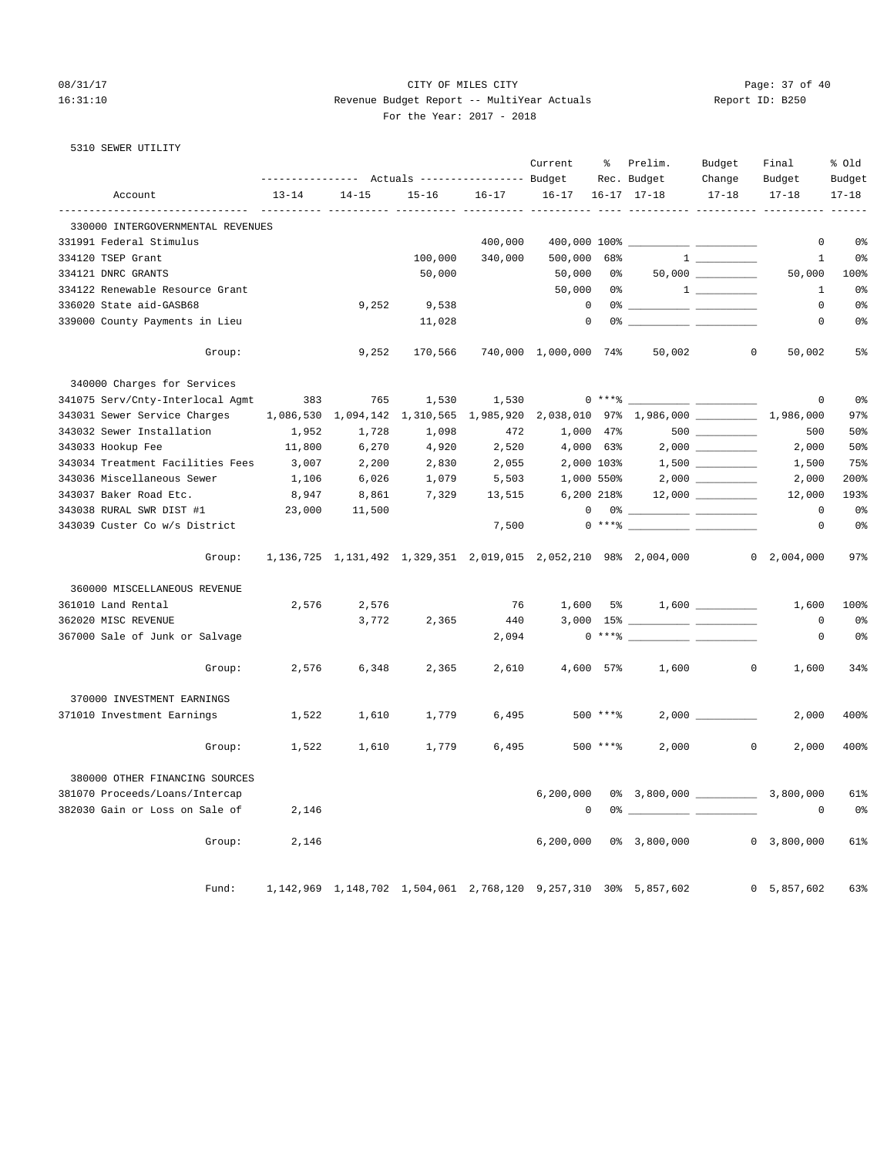5310 SEWER UTILITY

#### 08/31/17 Page: 37 of 40 16:31:10 Revenue Budget Report -- MultiYear Actuals Report ID: B250 For the Year: 2017 - 2018

Current % Prelim. Budget Final % Old

|                                                                       |           |                               | ---------------    Actuals ----------------    Budget                       |           |                       |             | Rec. Budget                                                                                                                                                                                                                                                                                                                                                        | Change                                                                                                                                                                                                                                                                                                              | Budget             | Budget         |
|-----------------------------------------------------------------------|-----------|-------------------------------|-----------------------------------------------------------------------------|-----------|-----------------------|-------------|--------------------------------------------------------------------------------------------------------------------------------------------------------------------------------------------------------------------------------------------------------------------------------------------------------------------------------------------------------------------|---------------------------------------------------------------------------------------------------------------------------------------------------------------------------------------------------------------------------------------------------------------------------------------------------------------------|--------------------|----------------|
| Account                                                               | $13 - 14$ | $14 - 15$                     | $15 - 16$                                                                   | $16 - 17$ | 16-17 16-17 17-18     |             |                                                                                                                                                                                                                                                                                                                                                                    | $17 - 18$                                                                                                                                                                                                                                                                                                           | $17 - 18$          | $17 - 18$      |
| --------------------------------<br>330000 INTERGOVERNMENTAL REVENUES |           |                               |                                                                             |           |                       |             |                                                                                                                                                                                                                                                                                                                                                                    |                                                                                                                                                                                                                                                                                                                     |                    |                |
| 331991 Federal Stimulus                                               |           |                               |                                                                             | 400,000   |                       |             |                                                                                                                                                                                                                                                                                                                                                                    |                                                                                                                                                                                                                                                                                                                     | $\mathbf 0$        | 0 <sub>8</sub> |
| 334120 TSEP Grant                                                     |           |                               | 100,000                                                                     | 340,000   | 500,000               | 68%         |                                                                                                                                                                                                                                                                                                                                                                    |                                                                                                                                                                                                                                                                                                                     | $\mathbf{1}$       | 0 <sub>8</sub> |
| 334121 DNRC GRANTS                                                    |           |                               | 50,000                                                                      |           | 50,000                | 0%          |                                                                                                                                                                                                                                                                                                                                                                    | $50,000$ ___________                                                                                                                                                                                                                                                                                                | 50,000             | 100%           |
| 334122 Renewable Resource Grant                                       |           |                               |                                                                             |           | 50,000                | 0%          |                                                                                                                                                                                                                                                                                                                                                                    | $\frac{1}{2}$ $\frac{1}{2}$ $\frac{1}{2}$ $\frac{1}{2}$ $\frac{1}{2}$ $\frac{1}{2}$ $\frac{1}{2}$ $\frac{1}{2}$ $\frac{1}{2}$ $\frac{1}{2}$ $\frac{1}{2}$ $\frac{1}{2}$ $\frac{1}{2}$ $\frac{1}{2}$ $\frac{1}{2}$ $\frac{1}{2}$ $\frac{1}{2}$ $\frac{1}{2}$ $\frac{1}{2}$ $\frac{1}{2}$ $\frac{1}{2}$ $\frac{1}{2}$ | 1                  | 0 <sub>8</sub> |
| 336020 State aid-GASB68                                               |           | 9,252                         | 9,538                                                                       |           | $\mathbf 0$           |             |                                                                                                                                                                                                                                                                                                                                                                    |                                                                                                                                                                                                                                                                                                                     | $\Omega$           | 0 <sup>°</sup> |
| 339000 County Payments in Lieu                                        |           |                               | 11,028                                                                      |           | $\mathbf 0$           |             |                                                                                                                                                                                                                                                                                                                                                                    |                                                                                                                                                                                                                                                                                                                     | $\mathbf 0$        | 0 <sub>8</sub> |
| Group:                                                                |           | 9,252                         | 170,566                                                                     |           | 740,000 1,000,000 74% |             | 50,002                                                                                                                                                                                                                                                                                                                                                             | $\mathbf{0}$                                                                                                                                                                                                                                                                                                        | 50,002             | 5%             |
| 340000 Charges for Services                                           |           |                               |                                                                             |           |                       |             |                                                                                                                                                                                                                                                                                                                                                                    |                                                                                                                                                                                                                                                                                                                     |                    |                |
| 341075 Serv/Cnty-Interlocal Agmt                                      | 383       | 765                           | 1,530                                                                       | 1,530     |                       |             | $0***$ $****$                                                                                                                                                                                                                                                                                                                                                      |                                                                                                                                                                                                                                                                                                                     | $\Omega$           | 0 <sup>°</sup> |
| 343031 Sewer Service Charges                                          |           | 1,086,530 1,094,142 1,310,565 |                                                                             | 1,985,920 |                       |             | 2,038,010 97% 1,986,000 1, 1,986,000                                                                                                                                                                                                                                                                                                                               |                                                                                                                                                                                                                                                                                                                     |                    | 97%            |
| 343032 Sewer Installation                                             | 1,952     | 1,728                         | 1,098                                                                       | 472       | 1,000 47%             |             |                                                                                                                                                                                                                                                                                                                                                                    | $500$                                                                                                                                                                                                                                                                                                               | 500                | 50%            |
| 343033 Hookup Fee                                                     | 11,800    | 6,270                         | 4,920                                                                       | 2,520     | 4,000 63%             |             |                                                                                                                                                                                                                                                                                                                                                                    |                                                                                                                                                                                                                                                                                                                     | 2,000              | 50%            |
| 343034 Treatment Facilities Fees                                      | 3,007     | 2,200                         | 2,830                                                                       | 2,055     | 2,000 103%            |             |                                                                                                                                                                                                                                                                                                                                                                    |                                                                                                                                                                                                                                                                                                                     | 1,500              | 75%            |
| 343036 Miscellaneous Sewer                                            | 1,106     | 6,026                         | 1,079                                                                       | 5,503     | 1,000 550%            |             |                                                                                                                                                                                                                                                                                                                                                                    |                                                                                                                                                                                                                                                                                                                     | 2,000              | 200%           |
| 343037 Baker Road Etc.                                                | 8,947     | 8,861                         | 7,329                                                                       | 13,515    | 6,200 218%            |             |                                                                                                                                                                                                                                                                                                                                                                    | 12,000                                                                                                                                                                                                                                                                                                              | 12,000             | 193%           |
| 343038 RURAL SWR DIST #1                                              | 23,000    | 11,500                        |                                                                             |           |                       |             | $\begin{picture}(150,10) \put(0,0){\vector(1,0){100}} \put(15,0){\vector(1,0){100}} \put(15,0){\vector(1,0){100}} \put(15,0){\vector(1,0){100}} \put(15,0){\vector(1,0){100}} \put(15,0){\vector(1,0){100}} \put(15,0){\vector(1,0){100}} \put(15,0){\vector(1,0){100}} \put(15,0){\vector(1,0){100}} \put(15,0){\vector(1,0){100}} \put(15,0){\vector(1,0){100}}$ |                                                                                                                                                                                                                                                                                                                     | $\mathbf{0}$       | 0 <sup>°</sup> |
| 343039 Custer Co w/s District                                         |           |                               |                                                                             | 7,500     |                       |             | $0 \times 10^{-10}$                                                                                                                                                                                                                                                                                                                                                |                                                                                                                                                                                                                                                                                                                     | $\mathbf 0$        | 0 <sub>8</sub> |
| Group:                                                                |           |                               | 1, 136, 725 1, 131, 492 1, 329, 351 2, 019, 015 2, 052, 210 98% 2, 004, 000 |           |                       |             |                                                                                                                                                                                                                                                                                                                                                                    |                                                                                                                                                                                                                                                                                                                     | $0\quad 2,004,000$ | 97%            |
| 360000 MISCELLANEOUS REVENUE                                          |           |                               |                                                                             |           |                       |             |                                                                                                                                                                                                                                                                                                                                                                    |                                                                                                                                                                                                                                                                                                                     |                    |                |
| 361010 Land Rental                                                    | 2,576     | 2,576                         |                                                                             | 76        | 1,600 5%              |             |                                                                                                                                                                                                                                                                                                                                                                    |                                                                                                                                                                                                                                                                                                                     | 1,600              | 100%           |
| 362020 MISC REVENUE                                                   |           | 3,772                         | 2,365                                                                       | 440       |                       |             |                                                                                                                                                                                                                                                                                                                                                                    |                                                                                                                                                                                                                                                                                                                     | $\mathbf 0$        | 0 <sub>8</sub> |
| 367000 Sale of Junk or Salvage                                        |           |                               |                                                                             | 2,094     |                       | $0***$ $*$  |                                                                                                                                                                                                                                                                                                                                                                    | $\overline{\phantom{a}}$ . The contract of $\overline{\phantom{a}}$                                                                                                                                                                                                                                                 | $\mathbf 0$        | 0 <sup>°</sup> |
| Group:                                                                | 2,576     | 6,348                         | 2,365                                                                       | 2,610     | 4,600 57%             |             | 1,600                                                                                                                                                                                                                                                                                                                                                              | $\circ$                                                                                                                                                                                                                                                                                                             | 1,600              | 34%            |
| 370000 INVESTMENT EARNINGS                                            |           |                               |                                                                             |           |                       |             |                                                                                                                                                                                                                                                                                                                                                                    |                                                                                                                                                                                                                                                                                                                     |                    |                |
| 371010 Investment Earnings                                            | 1,522     | 1,610                         | 1,779                                                                       | 6,495     |                       | $500$ ****  |                                                                                                                                                                                                                                                                                                                                                                    |                                                                                                                                                                                                                                                                                                                     | 2,000              | 400%           |
| Group:                                                                | 1,522     | 1,610                         | 1,779                                                                       | 6,495     |                       | $500$ *** 8 | 2,000                                                                                                                                                                                                                                                                                                                                                              | $\circ$                                                                                                                                                                                                                                                                                                             | 2,000              | 400%           |
| 380000 OTHER FINANCING SOURCES                                        |           |                               |                                                                             |           |                       |             |                                                                                                                                                                                                                                                                                                                                                                    |                                                                                                                                                                                                                                                                                                                     |                    |                |
| 381070 Proceeds/Loans/Intercap                                        |           |                               |                                                                             |           | 6, 200, 000           |             |                                                                                                                                                                                                                                                                                                                                                                    |                                                                                                                                                                                                                                                                                                                     |                    | 61%            |
| 382030 Gain or Loss on Sale of                                        | 2,146     |                               |                                                                             |           | $\mathbf 0$           |             | $0$ $\frac{1}{2}$ $\frac{1}{2}$ $\frac{1}{2}$ $\frac{1}{2}$ $\frac{1}{2}$ $\frac{1}{2}$ $\frac{1}{2}$ $\frac{1}{2}$ $\frac{1}{2}$ $\frac{1}{2}$ $\frac{1}{2}$ $\frac{1}{2}$ $\frac{1}{2}$ $\frac{1}{2}$ $\frac{1}{2}$ $\frac{1}{2}$ $\frac{1}{2}$ $\frac{1}{2}$ $\frac{1}{2}$ $\frac{1}{2}$ $\frac{1}{2}$ $\frac{1}{2$                                             |                                                                                                                                                                                                                                                                                                                     | $\mathbf 0$        | 0 <sub>8</sub> |
| Group:                                                                | 2,146     |                               |                                                                             |           | 6,200,000             |             | 0% 3,800,000                                                                                                                                                                                                                                                                                                                                                       |                                                                                                                                                                                                                                                                                                                     | 0, 3, 800, 000     | 61%            |
| Fund:                                                                 |           |                               | 1, 142, 969 1, 148, 702 1, 504, 061 2, 768, 120 9, 257, 310 30% 5, 857, 602 |           |                       |             |                                                                                                                                                                                                                                                                                                                                                                    |                                                                                                                                                                                                                                                                                                                     | 0 5,857,602        | 63%            |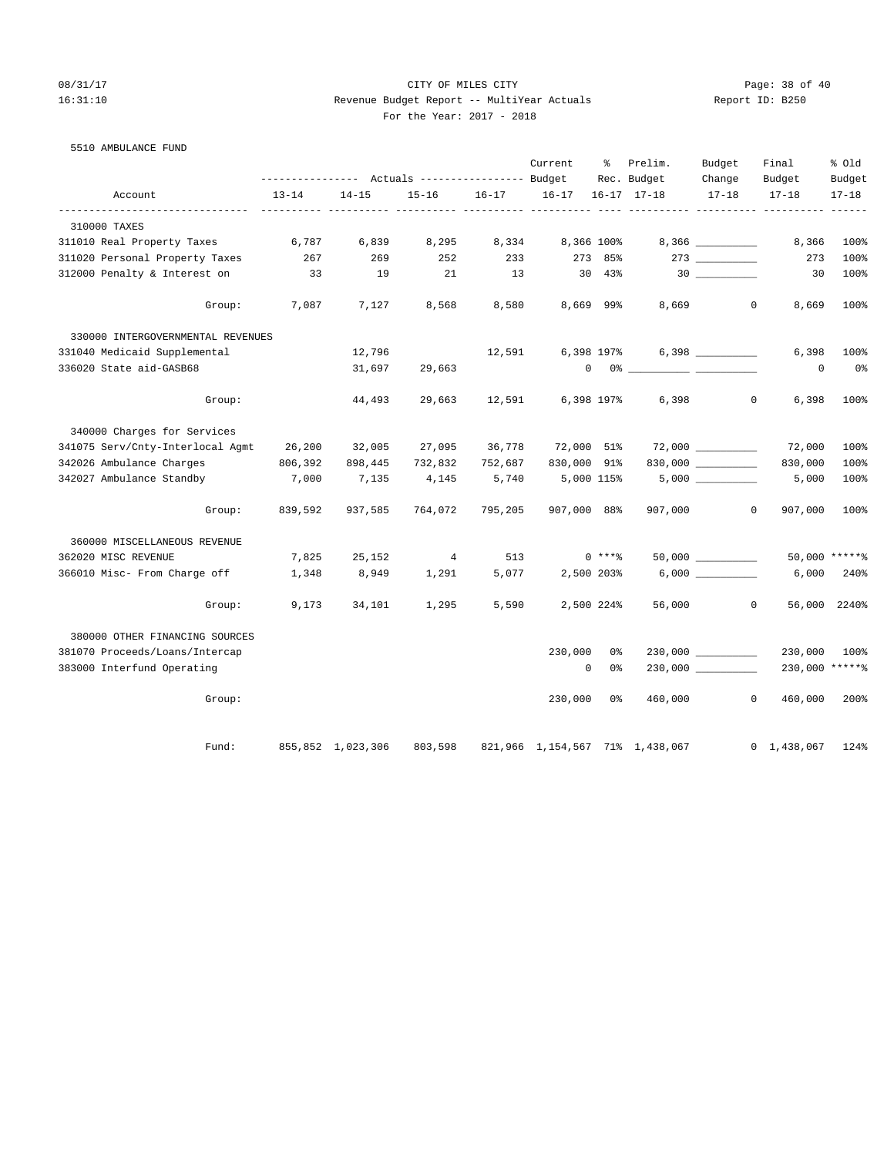5510 AMBULANCE FUND

## 08/31/17 Page: 38 of 40 16:31:10 Revenue Budget Report -- MultiYear Actuals Report ID: B250 For the Year: 2017 - 2018

|                                   |           | ---------------    Actuals ----------------    Budget |           |           | Current     | ႜ             | Prelim.<br>Rec. Budget          | Budget<br>Change    | Final<br>Budget         | % Old<br>Budget |
|-----------------------------------|-----------|-------------------------------------------------------|-----------|-----------|-------------|---------------|---------------------------------|---------------------|-------------------------|-----------------|
| Account                           | $13 - 14$ | $14 - 15$                                             | $15 - 16$ | $16 - 17$ | $16 - 17$   |               | $16 - 17$ $17 - 18$             | $17 - 18$           | $17 - 18$               | $17 - 18$       |
| 310000 TAXES                      |           |                                                       |           |           |             |               |                                 |                     |                         |                 |
| 311010 Real Property Taxes        | 6,787     | 6,839                                                 | 8,295     | 8,334     |             | 8,366 100%    |                                 |                     | 8,366                   | 100%            |
| 311020 Personal Property Taxes    | 267       | 269                                                   | 252       | 233       | 273         | 85%           |                                 | $273$ ________      | 273                     | 100%            |
| 312000 Penalty & Interest on      | 33        | 19                                                    | 21        | 13        | 30          | $43\%$        |                                 | 30                  | 30                      | 100%            |
| Group:                            | 7,087     | 7,127                                                 | 8,568     | 8,580     |             | 8,669 99%     | 8,669                           |                     | $\circ$<br>8,669        | 100%            |
| 330000 INTERGOVERNMENTAL REVENUES |           |                                                       |           |           |             |               |                                 |                     |                         |                 |
| 331040 Medicaid Supplemental      |           | 12,796                                                |           | 12,591    |             | 6,398 197%    |                                 |                     | 6,398                   | 100%            |
| 336020 State aid-GASB68           |           | 31,697                                                | 29,663    |           |             | $0\qquad 0$ % |                                 |                     | 0                       | 0 <sup>8</sup>  |
| Group:                            |           | 44,493                                                | 29,663    | 12,591    |             | 6,398 197%    | 6,398                           |                     | $\circ$<br>6,398        | 100%            |
| 340000 Charges for Services       |           |                                                       |           |           |             |               |                                 |                     |                         |                 |
| 341075 Serv/Cnty-Interlocal Agmt  | 26,200    | 32,005                                                | 27,095    | 36,778    | 72,000 51%  |               |                                 |                     | 72,000                  | 100%            |
| 342026 Ambulance Charges          | 806,392   | 898,445                                               | 732,832   | 752,687   | 830,000 91% |               |                                 | 830,000 __________  | 830,000                 | 100%            |
| 342027 Ambulance Standby          | 7,000     | 7,135                                                 | 4,145     | 5,740     |             | 5,000 115%    |                                 |                     | 5,000                   | 100%            |
| Group:                            | 839,592   | 937,585                                               | 764,072   | 795,205   | 907,000 88% |               | 907,000                         |                     | $\circ$<br>907,000      | 100%            |
| 360000 MISCELLANEOUS REVENUE      |           |                                                       |           |           |             |               |                                 |                     |                         |                 |
| 362020 MISC REVENUE               | 7,825     | 25,152                                                | 4         | 513       |             | $0$ ****      |                                 | 50,000              |                         | 50,000 ******   |
| 366010 Misc- From Charge off      | 1,348     | 8,949                                                 | 1,291     | 5,077     |             | 2,500 203%    |                                 |                     | 6,000                   | 240%            |
| Group:                            | 9,173     | 34,101                                                | 1,295     | 5,590     |             | 2,500 224%    | 56,000                          |                     | $\mathbf{0}$            | 56,000 2240%    |
| 380000 OTHER FINANCING SOURCES    |           |                                                       |           |           |             |               |                                 |                     |                         |                 |
| 381070 Proceeds/Loans/Intercap    |           |                                                       |           |           | 230,000     | 0%            |                                 | $230,000$ _________ | 230,000                 | 100%            |
| 383000 Interfund Operating        |           |                                                       |           |           | $\mathbf 0$ | 0 %           |                                 | 230,000             | 230,000 ******          |                 |
| Group:                            |           |                                                       |           |           | 230,000     | 0%            | 460,000                         |                     | $\mathbf{0}$<br>460,000 | 200%            |
| Fund:                             |           | 855,852 1,023,306                                     | 803,598   |           |             |               | 821,966 1,154,567 71% 1,438,067 |                     | $0 \quad 1,438,067$     | 124%            |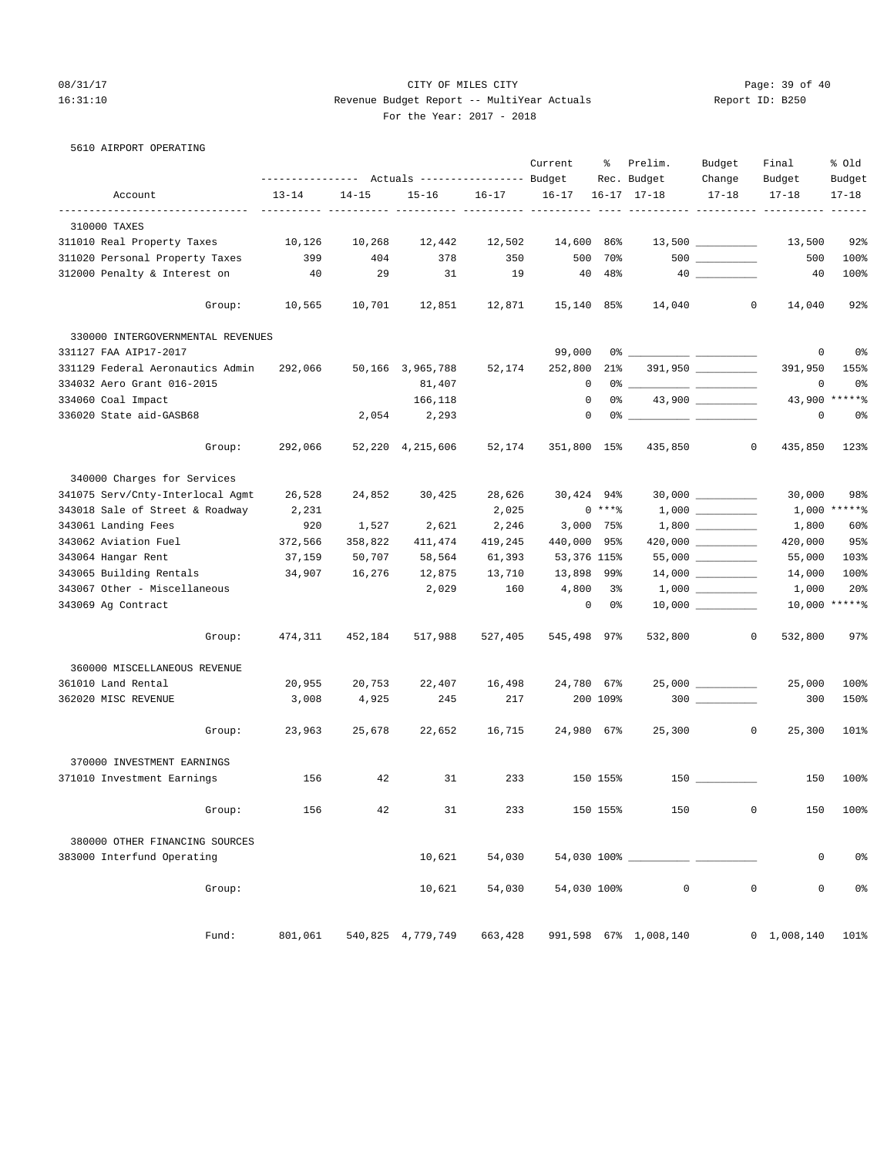## 08/31/17 Page: 39 of 40 16:31:10 Revenue Budget Report -- MultiYear Actuals Report ID: B250 For the Year: 2017 - 2018

| 5610 AIRPORT OPERATING |  |
|------------------------|--|
|------------------------|--|

|                                   |                   |           |                                  |           | Current     | ႜ           | Prelim.               | Budget              | Final                        | % old           |
|-----------------------------------|-------------------|-----------|----------------------------------|-----------|-------------|-------------|-----------------------|---------------------|------------------------------|-----------------|
|                                   | ----------------- |           | Actuals ----------------- Budget |           |             |             | Rec. Budget           | Change              | Budget                       | Budget          |
| Account                           | $13 - 14$         | $14 - 15$ | $15 - 16$                        | $16 - 17$ | $16 - 17$   |             | $16 - 17$ $17 - 18$   | $17 - 18$           | $17 - 18$                    | $17 - 18$       |
| 310000 TAXES                      |                   |           |                                  |           |             |             |                       |                     |                              |                 |
| 311010 Real Property Taxes        | 10,126            | 10,268    | 12,442                           | 12,502    | 14,600      | 86%         |                       | $13,500$ _________  | 13,500                       | 92%             |
| 311020 Personal Property Taxes    | 399               | 404       | 378                              | 350       | 500         | 70%         |                       |                     | 500                          | 100%            |
| 312000 Penalty & Interest on      | 40                | 29        | 31                               | 19        | 40          | 48%         |                       |                     | 40                           | 100%            |
| Group:                            | 10,565            | 10,701    | 12,851                           | 12,871    | 15,140 85%  |             | 14,040                | $\mathbf{0}$        | 14,040                       | 92%             |
| 330000 INTERGOVERNMENTAL REVENUES |                   |           |                                  |           |             |             |                       |                     |                              |                 |
| 331127 FAA AIP17-2017             |                   |           |                                  |           | 99,000      |             |                       |                     | 0                            | 0 <sup>8</sup>  |
| 331129 Federal Aeronautics Admin  | 292,066           |           | 50,166 3,965,788                 | 52,174    | 252,800     | $21\%$      |                       |                     | 391,950                      | 155%            |
| 334032 Aero Grant 016-2015        |                   |           | 81,407                           |           | $^{\circ}$  |             |                       |                     | 0                            | 0%              |
| 334060 Coal Impact                |                   |           | 166,118                          |           | 0           | 0%          |                       | $43,900$ __________ | 43,900                       | $*****$         |
| 336020 State aid-GASB68           |                   | 2,054     | 2,293                            |           | $\circ$     |             |                       |                     | 0                            | 0 <sup>8</sup>  |
| Group:                            | 292,066           |           | 52,220 4,215,606                 | 52,174    | 351,800 15% |             | 435,850               | $\circ$             | 435,850                      | 123%            |
| 340000 Charges for Services       |                   |           |                                  |           |             |             |                       |                     |                              |                 |
| 341075 Serv/Cnty-Interlocal Agmt  | 26,528            | 24,852    | 30,425                           | 28,626    | 30,424 94%  |             |                       |                     | 30,000                       | 98%             |
| 343018 Sale of Street & Roadway   | 2,231             |           |                                  | 2,025     |             | $0***8$     |                       |                     |                              | $1,000$ *****%  |
| 343061 Landing Fees               | 920               | 1,527     | 2,621                            | 2,246     |             | $3,000$ 75% |                       |                     | 1,800                        | 60%             |
| 343062 Aviation Fuel              | 372,566           | 358,822   | 411,474                          | 419,245   | 440,000 95% |             |                       | 420,000 _________   | 420,000                      | 95%             |
| 343064 Hangar Rent                | 37,159            | 50,707    | 58,564                           | 61,393    | 53,376 115% |             |                       |                     | 55,000                       | 103%            |
| 343065 Building Rentals           | 34,907            | 16,276    | 12,875                           | 13,710    | 13,898 99%  |             |                       |                     | 14,000                       | 100%            |
| 343067 Other - Miscellaneous      |                   |           | 2,029                            | 160       | 4,800       | 3%          |                       |                     | 1,000                        | 20%             |
| 343069 Ag Contract                |                   |           |                                  |           | $\circ$     | 0 %         |                       |                     |                              | $10,000$ ****** |
| Group:                            | 474,311           | 452,184   | 517,988                          | 527,405   | 545,498 97% |             | 532,800               | $\mathbf{0}$        | 532,800                      | 97%             |
| 360000 MISCELLANEOUS REVENUE      |                   |           |                                  |           |             |             |                       |                     |                              |                 |
| 361010 Land Rental                | 20,955            | 20,753    | 22,407                           | 16,498    | 24,780 67%  |             |                       | $25,000$ __________ | 25,000                       | 100%            |
| 362020 MISC REVENUE               | 3,008             | 4,925     | 245                              | 217       |             | 200 109%    |                       |                     | 300                          | 150%            |
|                                   |                   |           |                                  |           |             |             |                       |                     |                              |                 |
| Group:                            | 23,963            | 25,678    | 22,652                           | 16,715    | 24,980 67%  |             | 25,300                | $\circ$             | 25,300                       | 101%            |
| 370000 INVESTMENT EARNINGS        |                   |           |                                  |           |             |             |                       |                     |                              |                 |
| 371010 Investment Earnings        | 156               | 42        | 31                               | 233       |             | 150 155%    |                       | $150$ _________     | 150                          | 100%            |
| Group:                            | 156               | 42        | 31                               | 233       |             | 150 155%    | 150                   |                     | $\mathbf{0}$<br>150          | 100%            |
| 380000 OTHER FINANCING SOURCES    |                   |           |                                  |           |             |             |                       |                     |                              |                 |
| 383000 Interfund Operating        |                   |           | 10,621                           | 54,030    |             |             |                       |                     | 0                            | 0 <sup>8</sup>  |
| Group:                            |                   |           | 10,621                           | 54,030    | 54,030 100% |             | $\mathsf 0$           | $\mathsf 0$         | $\mathsf{O}\xspace$          | 0 <sup>°</sup>  |
| Fund:                             |                   |           | 801,061 540,825 4,779,749        | 663,428   |             |             | 991,598 67% 1,008,140 |                     | $0\quad 1,008,140\quad 101\$ |                 |